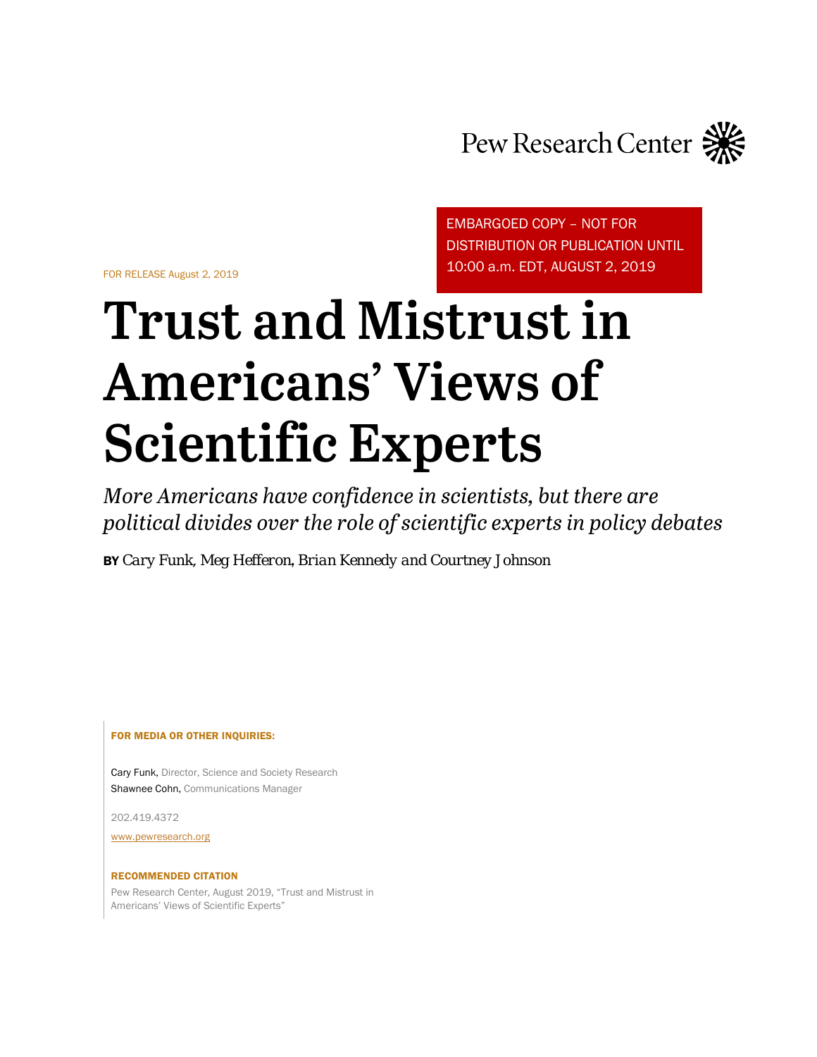

FOR RELEASE August 2, 2019

EMBARGOED COPY – NOT FOR DISTRIBUTION OR PUBLICATION UNTIL 10:00 a.m. EDT, AUGUST 2, 2019

# **Trust and Mistrust in Americans' Views of Scientific Experts**

*More Americans have confidence in scientists, but there are political divides over the role of scientific experts in policy debates*

BY *Cary Funk, Meg Hefferon*, *Brian Kennedy and Courtney Johnson*

FOR MEDIA OR OTHER INQUIRIES:

Cary Funk, Director, Science and Society Research Shawnee Cohn, Communications Manager

202.419.4372

[www.pewresearch.org](http://www.pewresearch.org/)

#### RECOMMENDED CITATION

Pew Research Center, August 2019, "Trust and Mistrust in Americans' Views of Scientific Experts"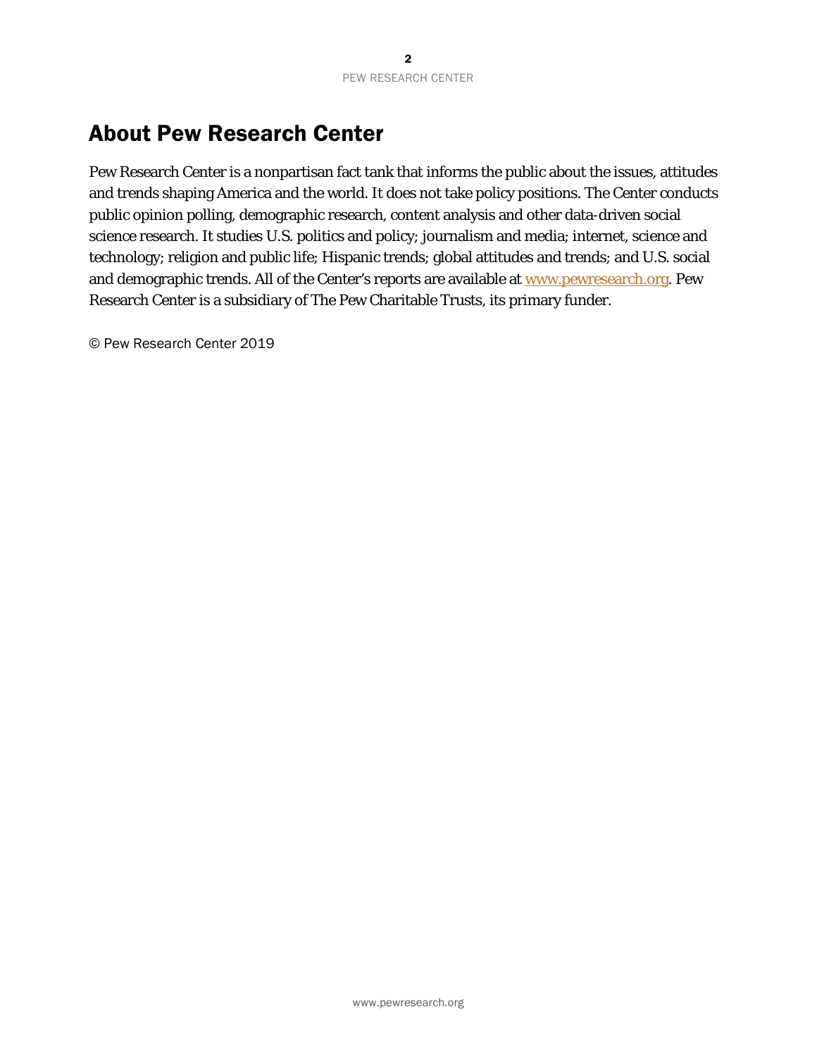# <span id="page-1-0"></span>About Pew Research Center

Pew Research Center is a nonpartisan fact tank that informs the public about the issues, attitudes and trends shaping America and the world. It does not take policy positions. The Center conducts public opinion polling, demographic research, content analysis and other data-driven social science research. It studies U.S. politics and policy; journalism and media; internet, science and technology; religion and public life; Hispanic trends; global attitudes and trends; and U.S. social and demographic trends. All of the Center's reports are available at [www.pewresearch.org.](http://www.pewresearch.org/) Pew Research Center is a subsidiary of The Pew Charitable Trusts, its primary funder.

© Pew Research Center 2019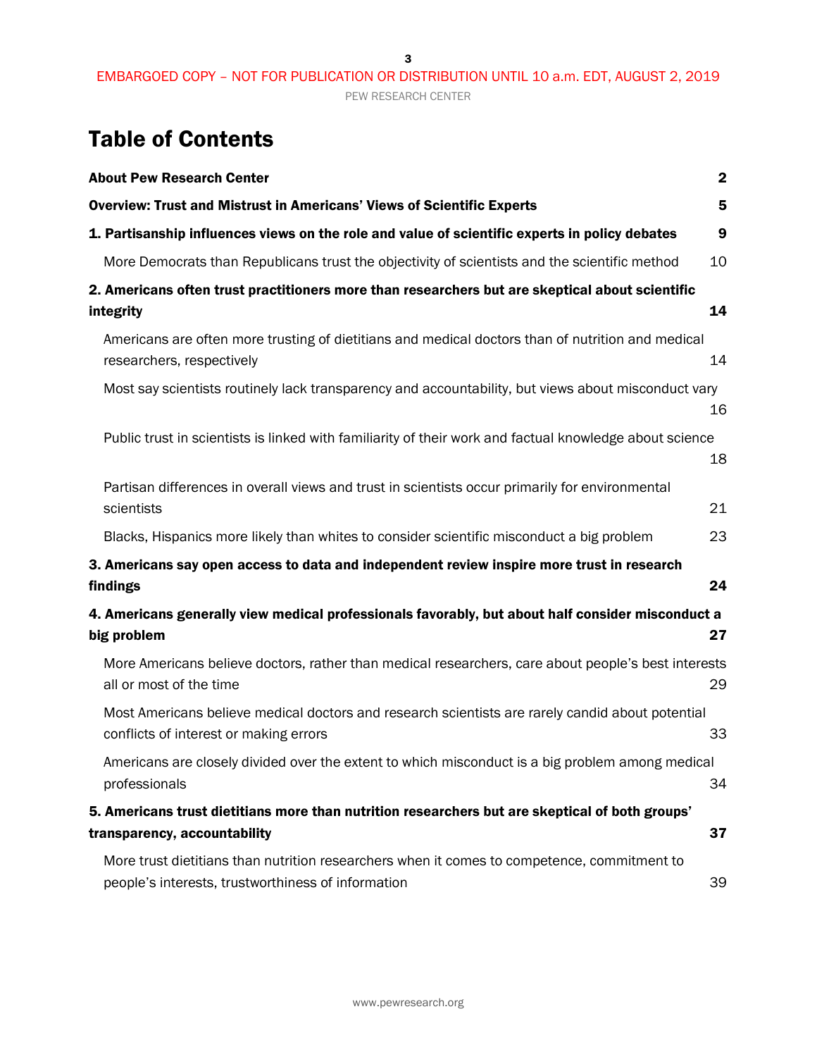3

# Table of Contents

| <b>About Pew Research Center</b>                                                                                                                  | $\mathbf 2$ |
|---------------------------------------------------------------------------------------------------------------------------------------------------|-------------|
| <b>Overview: Trust and Mistrust in Americans' Views of Scientific Experts</b>                                                                     | 5           |
| 1. Partisanship influences views on the role and value of scientific experts in policy debates                                                    | 9           |
| More Democrats than Republicans trust the objectivity of scientists and the scientific method                                                     | 10          |
| 2. Americans often trust practitioners more than researchers but are skeptical about scientific<br>integrity                                      | 14          |
| Americans are often more trusting of dietitians and medical doctors than of nutrition and medical<br>researchers, respectively                    | 14          |
| Most say scientists routinely lack transparency and accountability, but views about misconduct vary                                               | 16          |
| Public trust in scientists is linked with familiarity of their work and factual knowledge about science                                           | 18          |
| Partisan differences in overall views and trust in scientists occur primarily for environmental<br>scientists                                     | 21          |
| Blacks, Hispanics more likely than whites to consider scientific misconduct a big problem                                                         | 23          |
| 3. Americans say open access to data and independent review inspire more trust in research<br>findings                                            | 24          |
| 4. Americans generally view medical professionals favorably, but about half consider misconduct a<br>big problem                                  | 27          |
| More Americans believe doctors, rather than medical researchers, care about people's best interests<br>all or most of the time                    | 29          |
| Most Americans believe medical doctors and research scientists are rarely candid about potential<br>conflicts of interest or making errors        | 33          |
| Americans are closely divided over the extent to which misconduct is a big problem among medical<br>professionals                                 | 34          |
| 5. Americans trust dietitians more than nutrition researchers but are skeptical of both groups'<br>transparency, accountability                   | 37          |
| More trust dietitians than nutrition researchers when it comes to competence, commitment to<br>people's interests, trustworthiness of information | 39          |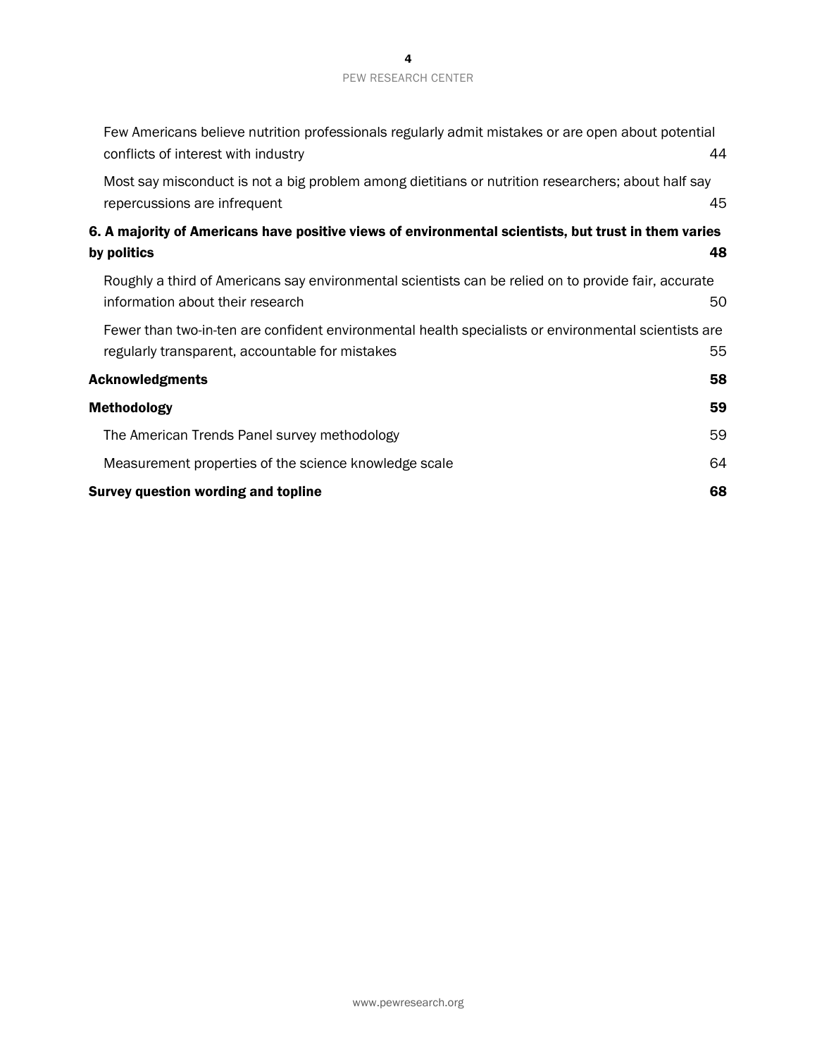| Few Americans believe nutrition professionals regularly admit mistakes or are open about potential<br>conflicts of interest with industry               | 44 |
|---------------------------------------------------------------------------------------------------------------------------------------------------------|----|
| Most say misconduct is not a big problem among dietitians or nutrition researchers; about half say<br>repercussions are infrequent                      | 45 |
| 6. A majority of Americans have positive views of environmental scientists, but trust in them varies<br>by politics                                     | 48 |
| Roughly a third of Americans say environmental scientists can be relied on to provide fair, accurate<br>information about their research                | 50 |
| Fewer than two-in-ten are confident environmental health specialists or environmental scientists are<br>regularly transparent, accountable for mistakes | 55 |
| <b>Acknowledgments</b>                                                                                                                                  | 58 |
| Methodology                                                                                                                                             | 59 |
| The American Trends Panel survey methodology                                                                                                            | 59 |
| Measurement properties of the science knowledge scale                                                                                                   | 64 |
| <b>Survey question wording and topline</b>                                                                                                              | 68 |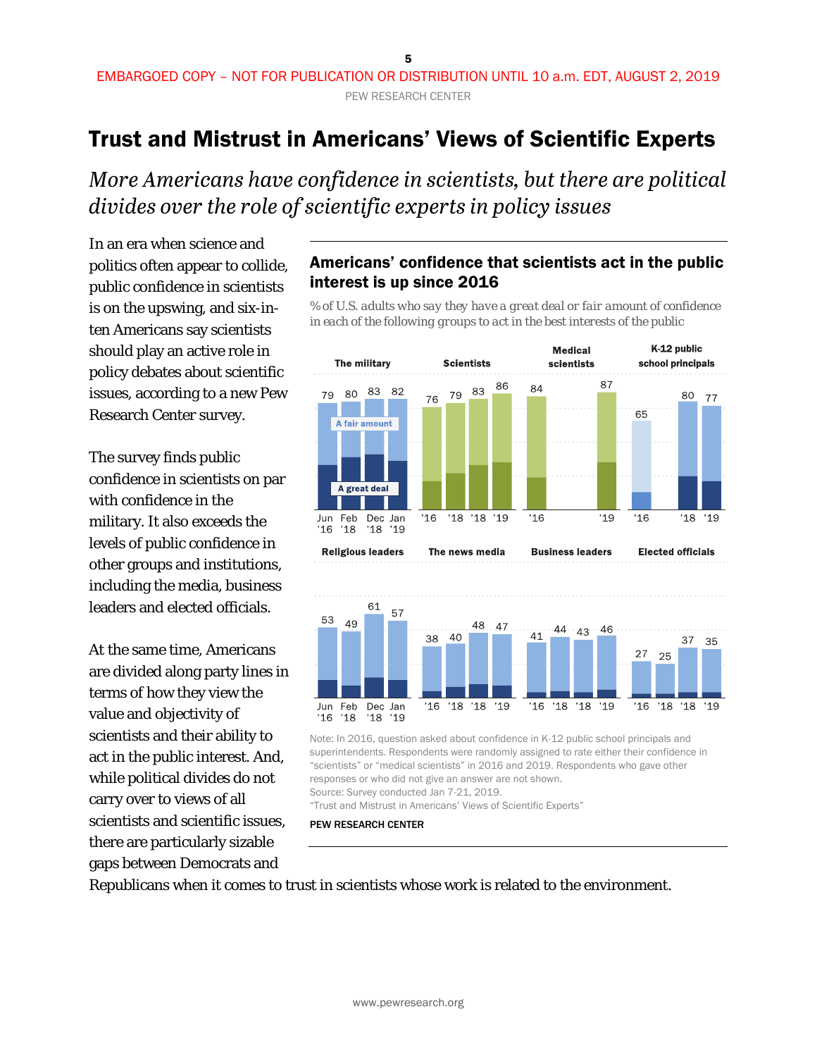# <span id="page-4-0"></span>Trust and Mistrust in Americans' Views of Scientific Experts

*More Americans have confidence in scientists, but there are political divides over the role of scientific experts in policy issues*

In an era when science and politics often appear to collide, public confidence in scientists is on the upswing, and six-inten Americans say scientists should play an active role in policy debates about scientific issues, according to a new Pew Research Center survey.

The survey finds public confidence in scientists on par with confidence in the military. It also exceeds the levels of public confidence in other groups and institutions, including the media, business leaders and elected officials.

At the same time, Americans are divided along party lines in terms of how they view the value and objectivity of scientists and their ability to act in the public interest. And, while political divides do not carry over to views of all scientists and scientific issues, there are particularly sizable gaps between Democrats and

#### Americans' confidence that scientists act in the public interest is up since 2016

*% of U.S. adults who say they have a great deal or fair amount of confidence in each of the following groups to act in the best interests of the public*



"Trust and Mistrust in Americans' Views of Scientific Experts"

PEW RESEARCH CENTER

Republicans when it comes to trust in scientists whose work is related to the environment.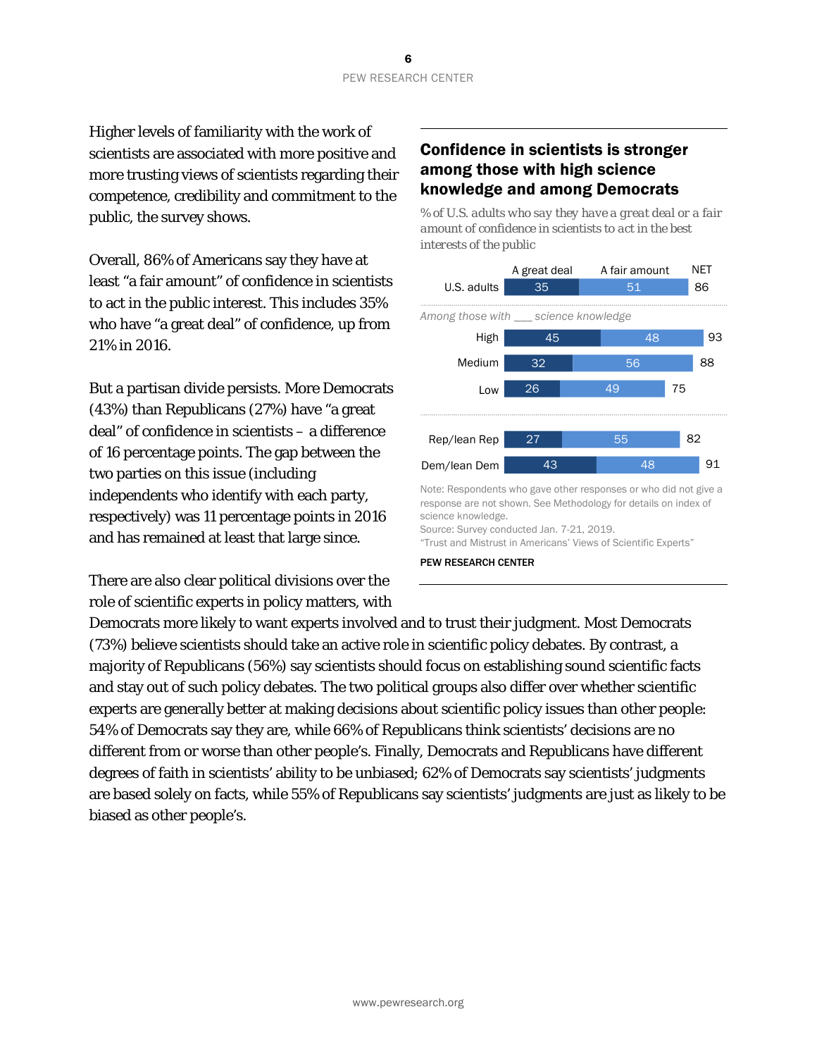Higher levels of familiarity with the work of scientists are associated with more positive and more trusting views of scientists regarding their competence, credibility and commitment to the public, the survey shows.

Overall, 86% of Americans say they have at least "a fair amount" of confidence in scientists to act in the public interest. This includes 35% who have "a great deal" of confidence, up from 21% in 2016.

But a partisan divide persists. More Democrats (43%) than Republicans (27%) have "a great deal" of confidence in scientists – a difference of 16 percentage points. The gap between the two parties on this issue (including independents who identify with each party, respectively) was 11 percentage points in 2016 and has remained at least that large since.

There are also clear political divisions over the role of scientific experts in policy matters, with

#### Confidence in scientists is stronger among those with high science knowledge and among Democrats

*% of U.S. adults who say they have a great deal or a fair amount of confidence in scientists to act in the best interests of the public*



Note: Respondents who gave other responses or who did not give a response are not shown. See Methodology for details on index of science knowledge.

Source: Survey conducted Jan. 7-21, 2019. "Trust and Mistrust in Americans' Views of Scientific Experts"

PEW RESEARCH CENTER

Democrats more likely to want experts involved and to trust their judgment. Most Democrats (73%) believe scientists should take an active role in scientific policy debates. By contrast, a majority of Republicans (56%) say scientists should focus on establishing sound scientific facts and stay out of such policy debates. The two political groups also differ over whether scientific experts are generally better at making decisions about scientific policy issues than other people: 54% of Democrats say they are, while 66% of Republicans think scientists' decisions are no different from or worse than other people's. Finally, Democrats and Republicans have different degrees of faith in scientists' ability to be unbiased; 62% of Democrats say scientists' judgments are based solely on facts, while 55% of Republicans say scientists' judgments are just as likely to be biased as other people's.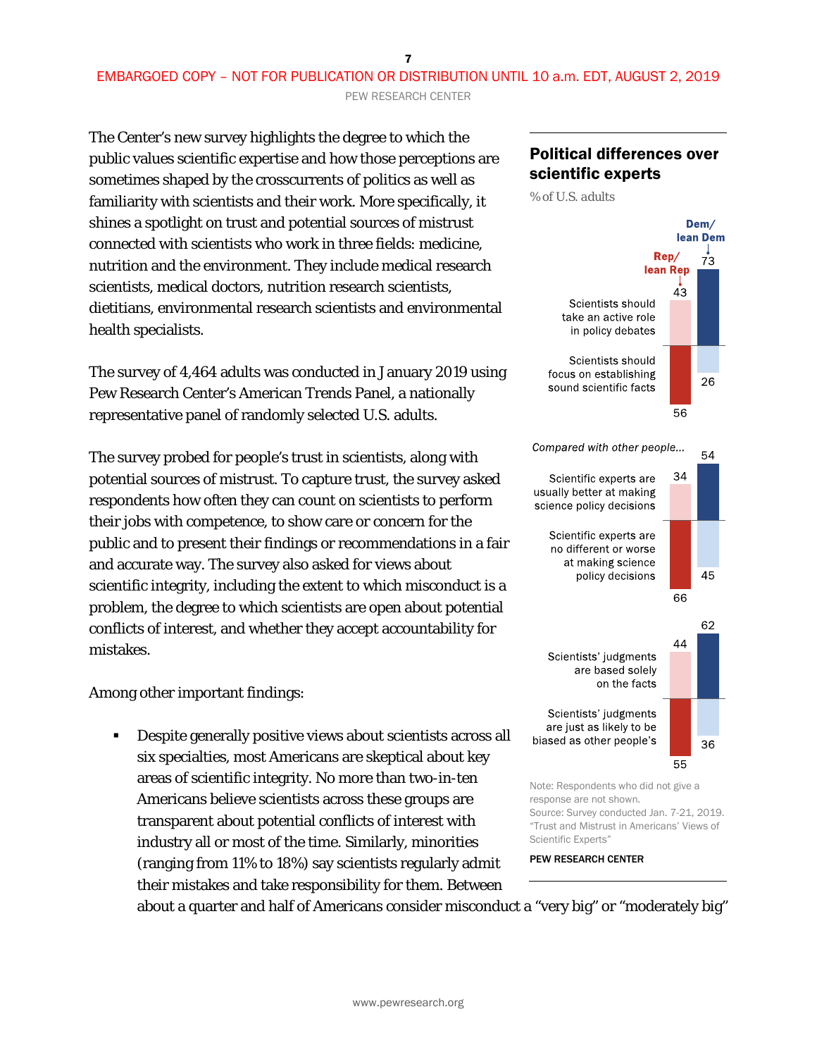7 EMBARGOED COPY – NOT FOR PUBLICATION OR DISTRIBUTION UNTIL 10 a.m. EDT, AUGUST 2, 2019 PEW RESEARCH CENTER

The Center's new survey highlights the degree to which the public values scientific expertise and how those perceptions are sometimes shaped by the crosscurrents of politics as well as familiarity with scientists and their work. More specifically, it shines a spotlight on trust and potential sources of mistrust connected with scientists who work in three fields: medicine, nutrition and the environment. They include medical research scientists, medical doctors, nutrition research scientists, dietitians, environmental research scientists and environmental health specialists.

The survey of 4,464 adults was conducted in January 2019 using Pew Research Center's American Trends Panel, a nationally representative panel of randomly selected U.S. adults.

The survey probed for people's trust in scientists, along with potential sources of mistrust. To capture trust, the survey asked respondents how often they can count on scientists to perform their jobs with competence, to show care or concern for the public and to present their findings or recommendations in a fair and accurate way. The survey also asked for views about scientific integrity, including the extent to which misconduct is a problem, the degree to which scientists are open about potential conflicts of interest, and whether they accept accountability for mistakes.

Among other important findings:

 Despite generally positive views about scientists across all six specialties, most Americans are skeptical about key areas of scientific integrity. No more than two-in-ten Americans believe scientists across these groups are transparent about potential conflicts of interest with industry all or most of the time. Similarly, minorities (ranging from 11% to 18%) say scientists regularly admit their mistakes and take responsibility for them. Between

#### Political differences over scientific experts

*% of U.S. adults*



Scientific Experts" PEW RESEARCH CENTER

about a quarter and half of Americans consider misconduct a "very big" or "moderately big"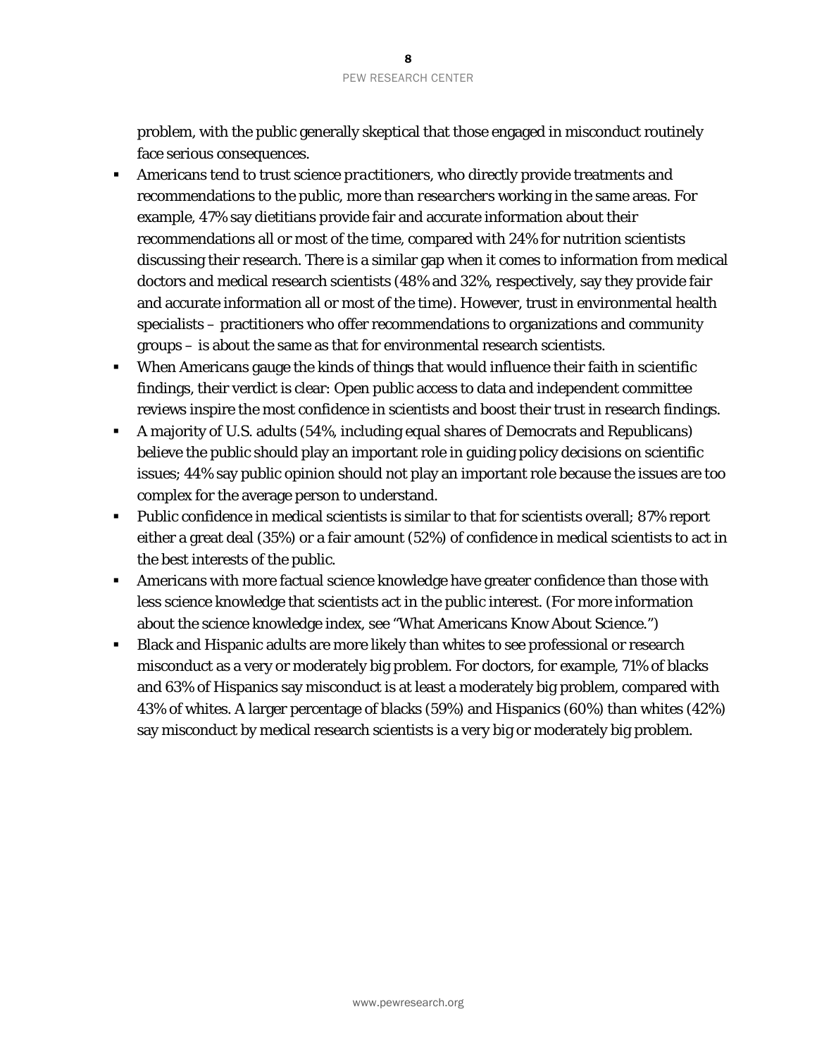problem, with the public generally skeptical that those engaged in misconduct routinely face serious consequences.

- Americans tend to trust science *practitioners*, who directly provide treatments and recommendations to the public, more than *researchers* working in the same areas. For example, 47% say dietitians provide fair and accurate information about their recommendations all or most of the time, compared with 24% for nutrition scientists discussing their research. There is a similar gap when it comes to information from medical doctors and medical research scientists (48% and 32%, respectively, say they provide fair and accurate information all or most of the time). However, trust in environmental health specialists – practitioners who offer recommendations to organizations and community groups – is about the same as that for environmental research scientists.
- When Americans gauge the kinds of things that would influence their faith in scientific findings, their verdict is clear: Open public access to data and independent committee reviews inspire the most confidence in scientists and boost their trust in research findings.
- A majority of U.S. adults (54%, including equal shares of Democrats and Republicans) believe the public should play an important role in guiding policy decisions on scientific issues; 44% say public opinion should not play an important role because the issues are too complex for the average person to understand.
- **Public confidence in medical scientists is similar to that for scientists overall; 87% report** either a great deal (35%) or a fair amount (52%) of confidence in medical scientists to act in the best interests of the public.
- Americans with more factual science knowledge have greater confidence than those with less science knowledge that scientists act in the public interest. (For more information about the science knowledge index, see ["What Americans Know About Science.](https://www.pewresearch.org/science/2019/03/28/what-americans-know-about-science/)")
- Black and Hispanic adults are more likely than whites to see professional or research misconduct as a very or moderately big problem. For doctors, for example, 71% of blacks and 63% of Hispanics say misconduct is at least a moderately big problem, compared with 43% of whites. A larger percentage of blacks (59%) and Hispanics (60%) than whites (42%) say misconduct by medical research scientists is a very big or moderately big problem.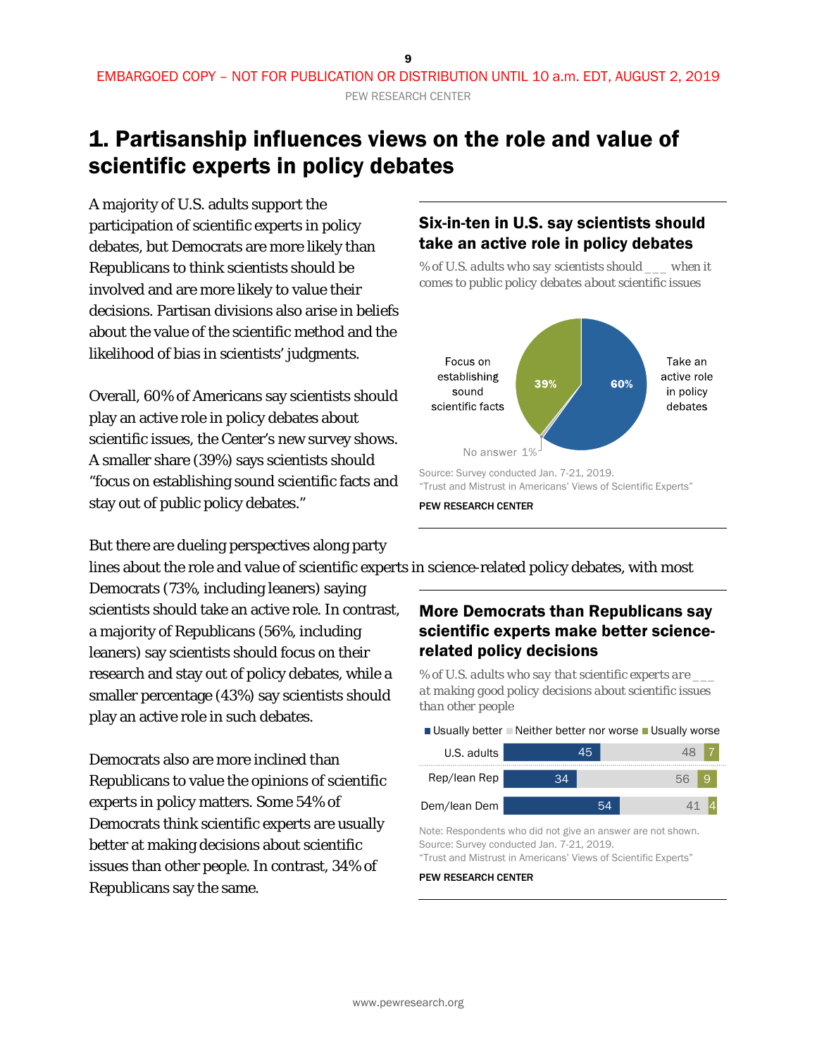## <span id="page-8-0"></span>1. Partisanship influences views on the role and value of scientific experts in policy debates

A majority of U.S. adults support the participation of scientific experts in policy debates, but Democrats are more likely than Republicans to think scientists should be involved and are more likely to value their decisions. Partisan divisions also arise in beliefs about the value of the scientific method and the likelihood of bias in scientists' judgments.

Overall, 60% of Americans say scientists should play an active role in policy debates about scientific issues, the Center's new survey shows. A smaller share (39%) says scientists should "focus on establishing sound scientific facts and stay out of public policy debates."

# But there are dueling perspectives along party

### Six-in-ten in U.S. say scientists should take an active role in policy debates

*% of U.S. adults who say scientists should \_\_\_ when it comes to public policy debates about scientific issues*



lines about the role and value of scientific experts in science-related policy debates, with most

Democrats (73%, including leaners) saying scientists should take an active role. In contrast, a majority of Republicans (56%, including leaners) say scientists should focus on their research and stay out of policy debates, while a smaller percentage (43%) say scientists should play an active role in such debates.

Democrats also are more inclined than Republicans to value the opinions of scientific experts in policy matters. Some 54% of Democrats think scientific experts are usually better at making decisions about scientific issues than other people. In contrast, 34% of Republicans say the same.

### More Democrats than Republicans say scientific experts make better sciencerelated policy decisions

*% of U.S. adults who say that scientific experts are \_\_\_ at making good policy decisions about scientific issues than other people*

Usually better  $\Box$  Neither better nor worse  $\Box$  Usually worse

| U.S. adults  |    | 45 |    |    |
|--------------|----|----|----|----|
| Rep/lean Rep | 24 |    | 56 | -9 |
| Dem/lean Dem |    | 54 |    |    |

Note: Respondents who did not give an answer are not shown. Source: Survey conducted Jan. 7-21, 2019.

"Trust and Mistrust in Americans' Views of Scientific Experts"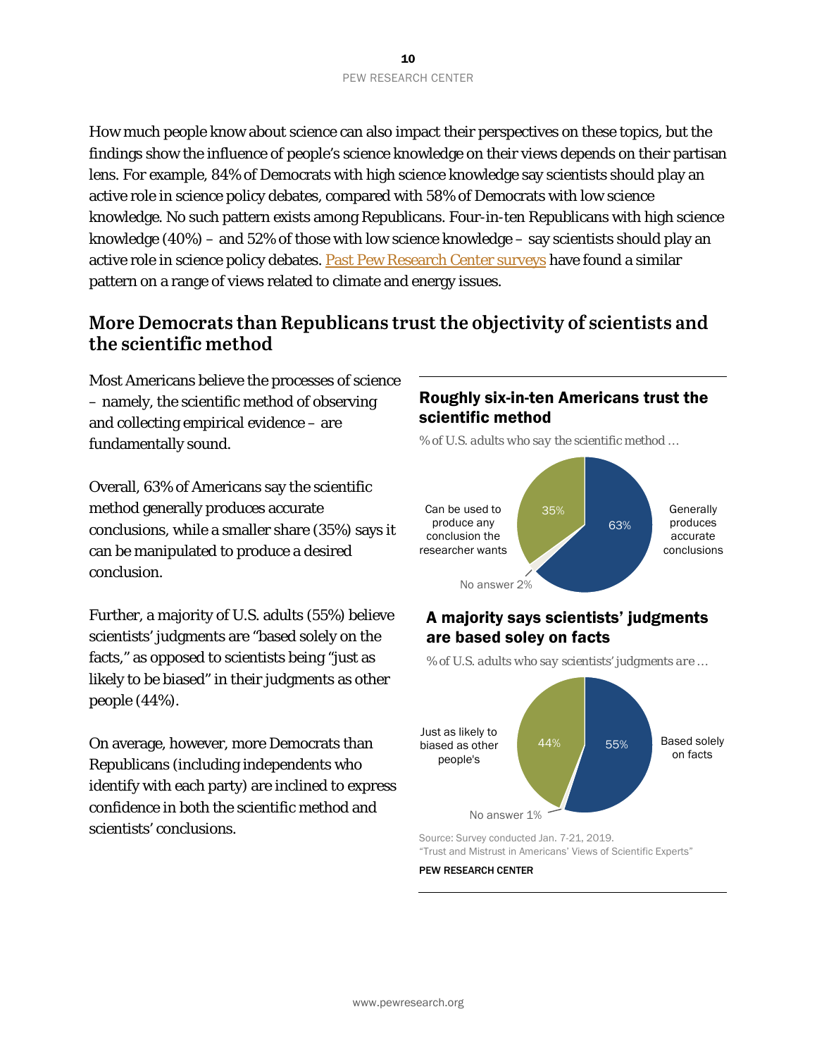How much people know about science can also impact their perspectives on these topics, but the findings show the influence of people's science knowledge on their views depends on their partisan lens. For example, 84% of Democrats with high science knowledge say scientists should play an active role in science policy debates, compared with 58% of Democrats with low science knowledge. No such pattern exists among Republicans. Four-in-ten Republicans with high science knowledge (40%) – and 52% of those with low science knowledge – say scientists should play an active role in science policy debates[. Past Pew Research Center surveys](https://www.pewresearch.org/science/2016/10/04/public-knowledge-about-science-has-a-limited-tie-to-peoples-beliefs-about-climate-change-and-climate-scientists/) have found a similar pattern on a range of views related to climate and energy issues.

### <span id="page-9-0"></span>**More Democrats than Republicans trust the objectivity of scientists and the scientific method**

Most Americans believe the processes of science – namely, the scientific method of observing and collecting empirical evidence – are fundamentally sound.

Overall, 63% of Americans say the scientific method generally produces accurate conclusions, while a smaller share (35%) says it can be manipulated to produce a desired conclusion.

Further, a majority of U.S. adults (55%) believe scientists' judgments are "based solely on the facts," as opposed to scientists being "just as likely to be biased" in their judgments as other people (44%).

On average, however, more Democrats than Republicans (including independents who identify with each party) are inclined to express confidence in both the scientific method and scientists' conclusions.

#### Roughly six-in-ten Americans trust the scientific method

*% of U.S. adults who say the scientific method …*



### A majority says scientists' judgments are based soley on facts

*% of U.S. adults who say scientists' judgments are …*



Source: Survey conducted Jan. 7-21, 2019. "Trust and Mistrust in Americans' Views of Scientific Experts"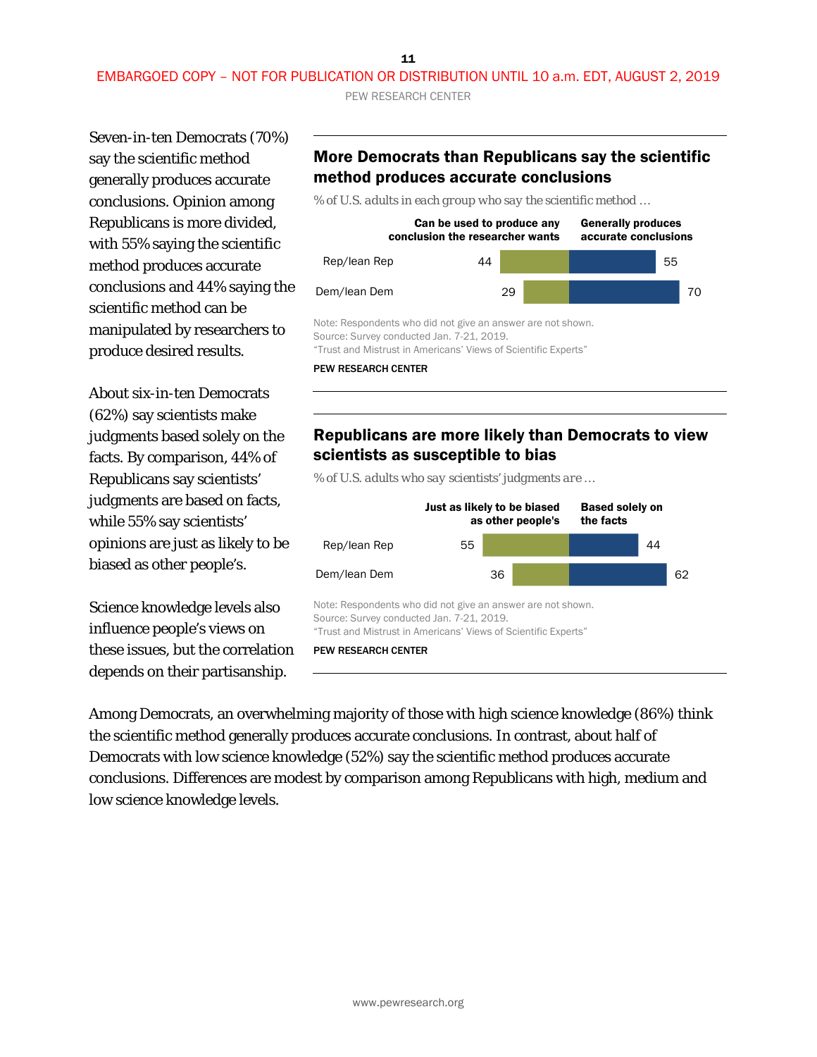11

PEW RESEARCH CENTER

Seven-in-ten Democrats (70%) say the scientific method generally produces accurate conclusions. Opinion among Republicans is more divided, with 55% saying the scientific method produces accurate conclusions and 44% saying the scientific method can be manipulated by researchers to produce desired results.

About six-in-ten Democrats (62%) say scientists make judgments based solely on the facts. By comparison, 44% of Republicans say scientists' judgments are based on facts, while 55% say scientists' opinions are just as likely to be biased as other people's.

Science knowledge levels also influence people's views on these issues, but the correlation depends on their partisanship.

#### More Democrats than Republicans say the scientific method produces accurate conclusions

*% of U.S. adults in each group who say the scientific method …*



PEW RESEARCH CENTER

#### Republicans are more likely than Democrats to view scientists as susceptible to bias

*% of U.S. adults who say scientists' judgments are …*



Among Democrats, an overwhelming majority of those with high science knowledge (86%) think the scientific method generally produces accurate conclusions. In contrast, about half of Democrats with low science knowledge (52%) say the scientific method produces accurate conclusions. Differences are modest by comparison among Republicans with high, medium and low science knowledge levels.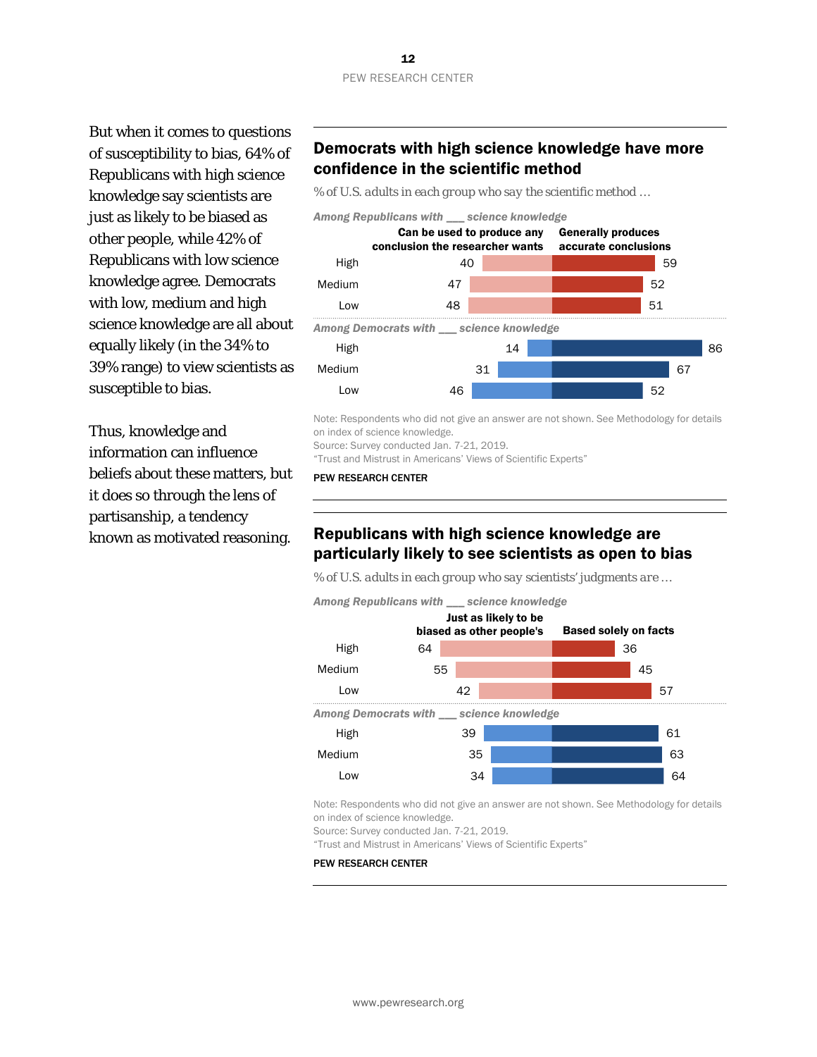But when it comes to questions of susceptibility to bias, 64% of Republicans with high science knowledge say scientists are just as likely to be biased as other people, while 42% of Republicans with low science knowledge agree. Democrats with low, medium and high science knowledge are all about equally likely (in the 34% to 39% range) to view scientists as susceptible to bias.

Thus, knowledge and information can influence beliefs about these matters, but it does so through the lens of partisanship, a tendency known as motivated reasoning.

### Democrats with high science knowledge have more confidence in the scientific method

*% of U.S. adults in each group who say the scientific method …*



Note: Respondents who did not give an answer are not shown. See Methodology for details on index of science knowledge.

Source: Survey conducted Jan. 7-21, 2019.

"Trust and Mistrust in Americans' Views of Scientific Experts"

PEW RESEARCH CENTER

#### Republicans with high science knowledge are particularly likely to see scientists as open to bias

*% of U.S. adults in each group who say scientists' judgments are …*



Note: Respondents who did not give an answer are not shown. See Methodology for details on index of science knowledge.

Source: Survey conducted Jan. 7-21, 2019.

"Trust and Mistrust in Americans' Views of Scientific Experts"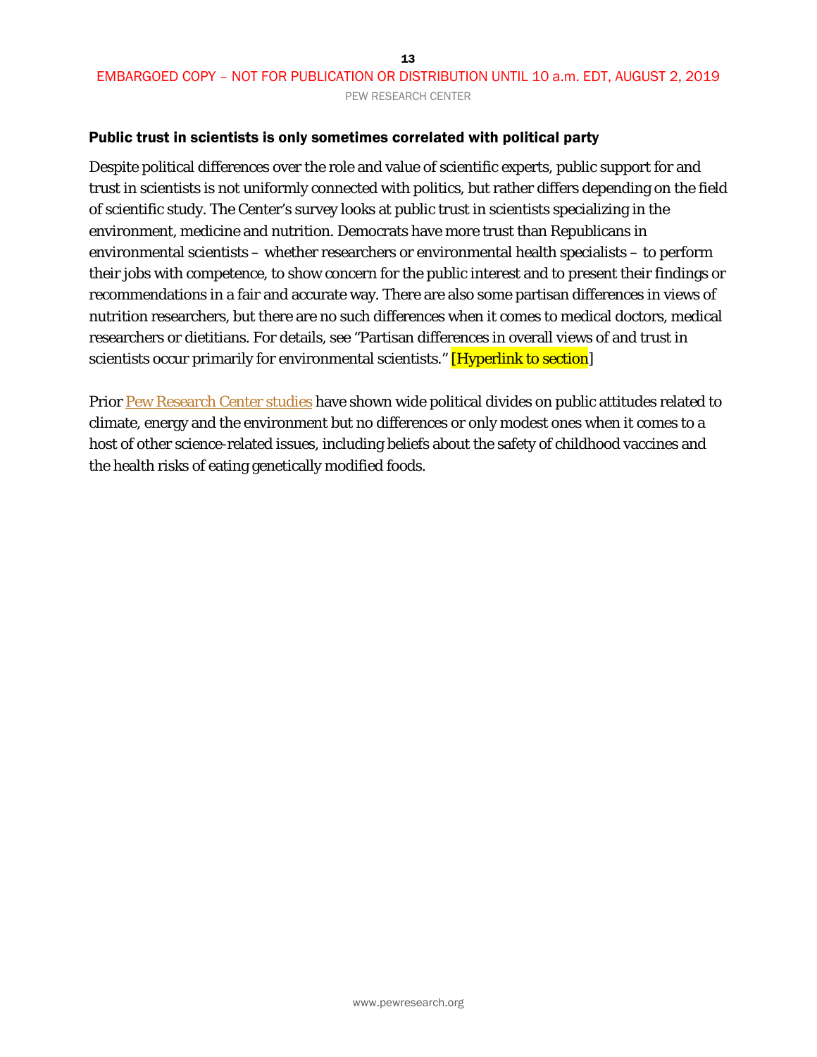### EMBARGOED COPY – NOT FOR PUBLICATION OR DISTRIBUTION UNTIL 10 a.m. EDT, AUGUST 2, 2019 PEW RESEARCH CENTER

#### Public trust in scientists is only sometimes correlated with political party

Despite political differences over the role and value of scientific experts, public support for and trust in scientists is not uniformly connected with politics, but rather differs depending on the field of scientific study. The Center's survey looks at public trust in scientists specializing in the environment, medicine and nutrition. Democrats have more trust than Republicans in environmental scientists – whether researchers or environmental health specialists – to perform their jobs with competence, to show concern for the public interest and to present their findings or recommendations in a fair and accurate way. There are also some partisan differences in views of nutrition researchers, but there are no such differences when it comes to medical doctors, medical researchers or dietitians. For details, see "Partisan differences in overall views of and trust in scientists occur primarily for environmental scientists." [Hyperlink to section]

Prior [Pew Research Center studies](https://www.pewresearch.org/science/2015/07/01/americans-politics-and-science-issues/) have shown wide political divides on public attitudes related to climate, energy and the environment but no differences or only modest ones when it comes to a host of other science-related issues, including beliefs about the safety of childhood vaccines and the health risks of eating genetically modified foods.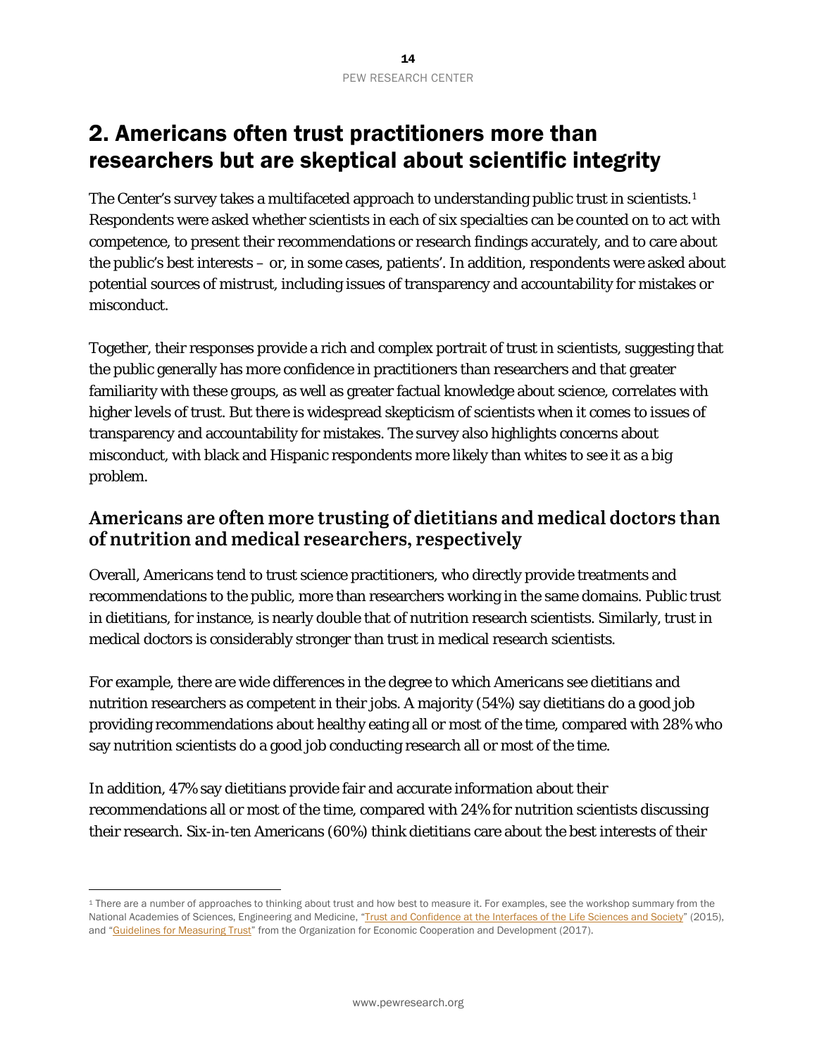# <span id="page-13-0"></span>2. Americans often trust practitioners more than researchers but are skeptical about scientific integrity

The Center's survey takes a multifaceted approach to understanding public trust in scientists.<sup>[1](#page-13-2)</sup> Respondents were asked whether scientists in each of six specialties can be counted on to act with competence, to present their recommendations or research findings accurately, and to care about the public's best interests – or, in some cases, patients'. In addition, respondents were asked about potential sources of mistrust, including issues of transparency and accountability for mistakes or misconduct.

Together, their responses provide a rich and complex portrait of trust in scientists, suggesting that the public generally has more confidence in practitioners than researchers and that greater familiarity with these groups, as well as greater factual knowledge about science, correlates with higher levels of trust. But there is widespread skepticism of scientists when it comes to issues of transparency and accountability for mistakes. The survey also highlights concerns about misconduct, with black and Hispanic respondents more likely than whites to see it as a big problem.

### <span id="page-13-1"></span>**Americans are often more trusting of dietitians and medical doctors than of nutrition and medical researchers, respectively**

Overall, Americans tend to trust science practitioners, who directly provide treatments and recommendations to the public, more than researchers working in the same domains. Public trust in dietitians, for instance, is nearly double that of nutrition research scientists. Similarly, trust in medical doctors is considerably stronger than trust in medical research scientists.

For example, there are wide differences in the degree to which Americans see dietitians and nutrition researchers as competent in their jobs. A majority (54%) say dietitians do a good job providing recommendations about healthy eating all or most of the time, compared with 28% who say nutrition scientists do a good job conducting research all or most of the time.

In addition, 47% say dietitians provide fair and accurate information about their recommendations all or most of the time, compared with 24% for nutrition scientists discussing their research. Six-in-ten Americans (60%) think dietitians care about the best interests of their

1

<span id="page-13-2"></span><sup>&</sup>lt;sup>1</sup> There are a number of approaches to thinking about trust and how best to measure it. For examples, see the workshop summary from the National Academies of Sciences, Engineering and Medicine, ["Trust and Confidence at the Interfaces of the Life Sciences and Society"](https://www.ncbi.nlm.nih.gov/books/NBK321986/) (2015), and ["Guidelines for Measuring Trust"](https://www.oecd.org/governance/oecd-guidelines-on-measuring-trust-9789264278219-en.htm) from the Organization for Economic Cooperation and Development (2017).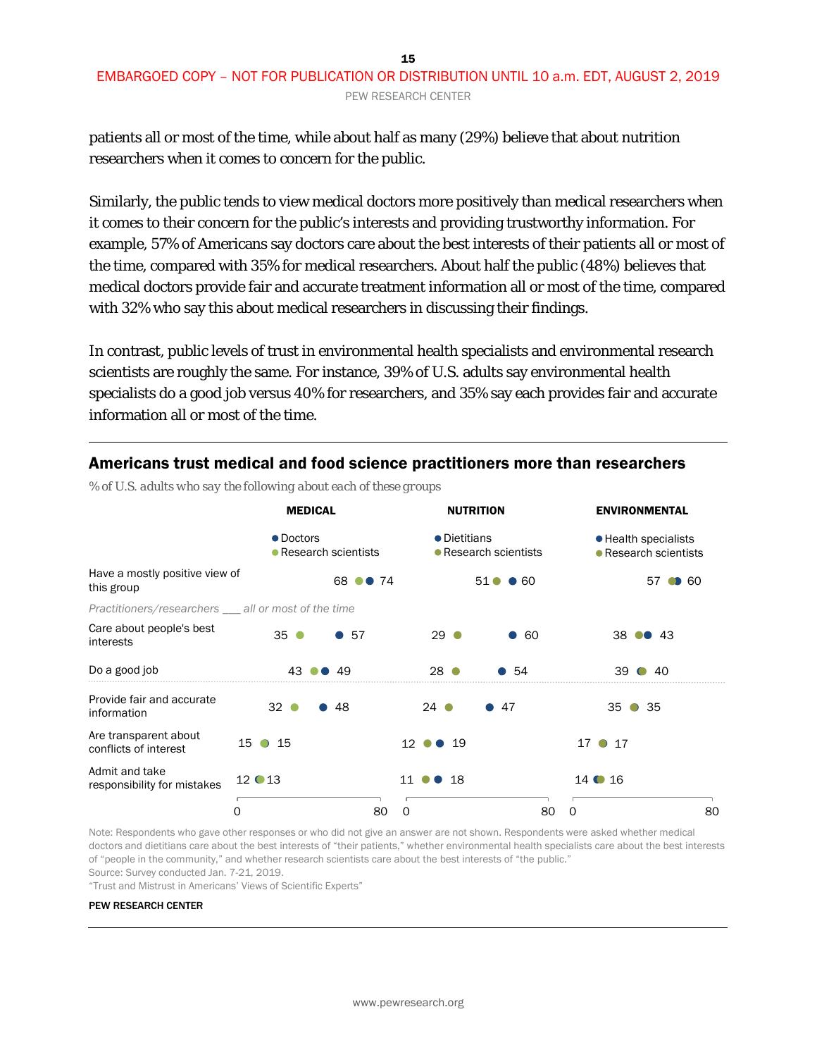patients all or most of the time, while about half as many (29%) believe that about nutrition researchers when it comes to concern for the public.

Similarly, the public tends to view medical doctors more positively than medical researchers when it comes to their concern for the public's interests and providing trustworthy information. For example, 57% of Americans say doctors care about the best interests of their patients all or most of the time, compared with 35% for medical researchers. About half the public (48%) believes that medical doctors provide fair and accurate treatment information all or most of the time, compared with 32% who say this about medical researchers in discussing their findings.

In contrast, public levels of trust in environmental health specialists and environmental research scientists are roughly the same. For instance, 39% of U.S. adults say environmental health specialists do a good job versus 40% for researchers, and 35% say each provides fair and accurate information all or most of the time.

|                                                      | <b>MEDICAL</b>  |                       | <b>NUTRITION</b>      |                                | <b>ENVIRONMENTAL</b>                          |    |
|------------------------------------------------------|-----------------|-----------------------|-----------------------|--------------------------------|-----------------------------------------------|----|
|                                                      | • Doctors       | • Research scientists | • Dietitians          | • Research scientists          | • Health specialists<br>• Research scientists |    |
| Have a mostly positive view of<br>this group         |                 | 68 ●● 74              |                       | $51$ $\bullet$<br>$\bullet$ 60 | $\bullet$ 60<br>57                            |    |
| Practitioners/researchers __ all or most of the time |                 |                       |                       |                                |                                               |    |
| Care about people's best<br>interests                | $35$ $\bullet$  | •57                   | $29$ $\bullet$        | $\bullet$ 60                   | $38 \bullet 43$                               |    |
| Do a good job                                        | 43              | 49                    | 28                    | .54                            | 39<br>40<br>$\blacksquare$                    |    |
| Provide fair and accurate<br>information             | 32 <sup>o</sup> | 48                    | $24$ $\bullet$        | 47                             | 35<br>-35<br>$\bullet$                        |    |
| Are transparent about<br>conflicts of interest       | $15 \bullet 15$ |                       | $12$ $\bullet$<br>-19 |                                | $17 \bullet 17$                               |    |
| Admit and take<br>responsibility for mistakes        | $12 \bullet 13$ |                       | -18<br>11             |                                | $14$ $\bullet$ $16$                           |    |
|                                                      | 0               | 80                    | 0                     | 80                             | 0                                             | 80 |

#### Americans trust medical and food science practitioners more than researchers

*% of U.S. adults who say the following about each of these groups*

Note: Respondents who gave other responses or who did not give an answer are not shown. Respondents were asked whether medical doctors and dietitians care about the best interests of "their patients," whether environmental health specialists care about the best interests of "people in the community," and whether research scientists care about the best interests of "the public."

Source: Survey conducted Jan. 7-21, 2019.

"Trust and Mistrust in Americans' Views of Scientific Experts"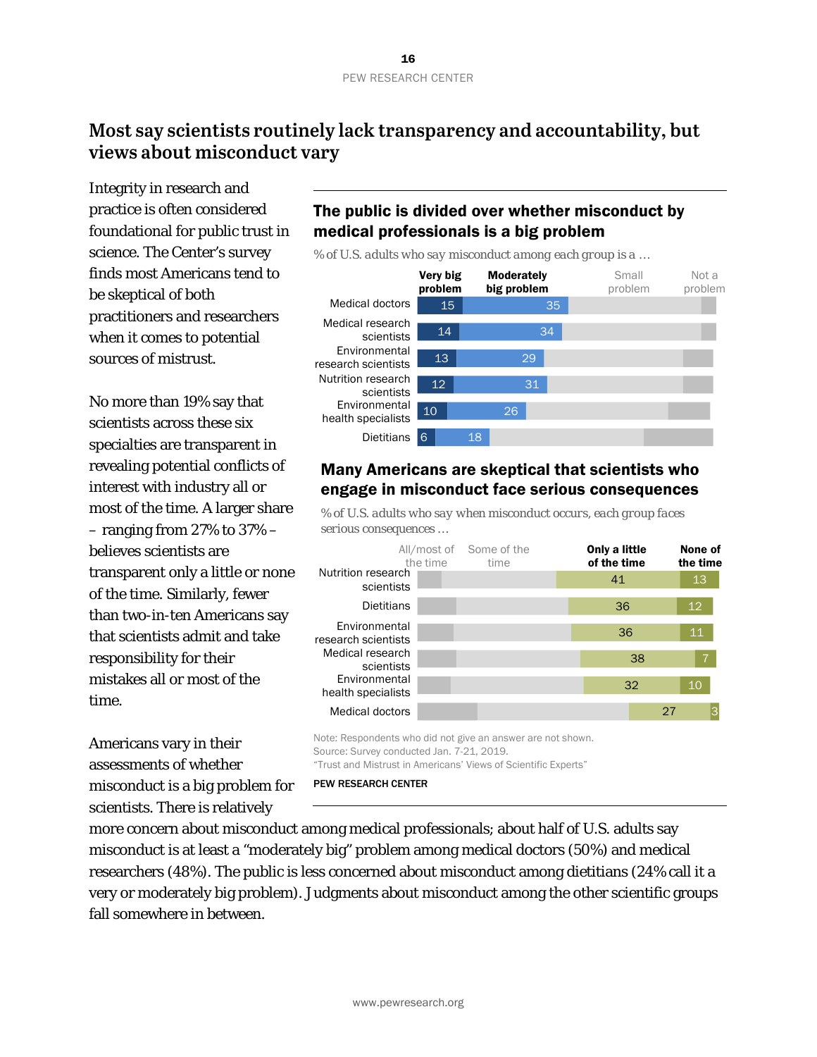### <span id="page-15-0"></span>**Most say scientists routinely lack transparency and accountability, but views about misconduct vary**

Integrity in research and practice is often considered foundational for public trust in science. The Center's survey finds most Americans tend to be skeptical of both practitioners and researchers when it comes to potential sources of mistrust.

No more than 19% say that scientists across these six specialties are transparent in revealing potential conflicts of interest with industry all or most of the time. A larger share – ranging from 27% to 37% – believes scientists are transparent only a little or none of the time. Similarly, fewer than two-in-ten Americans say that scientists admit and take responsibility for their mistakes all or most of the time.

Americans vary in their assessments of whether misconduct is a big problem for scientists. There is relatively

#### The public is divided over whether misconduct by medical professionals is a big problem

*% of U.S. adults who say misconduct among each group is a …*



#### Many Americans are skeptical that scientists who engage in misconduct face serious consequences

*% of U.S. adults who say when misconduct occurs, each group faces serious consequences …*



Note: Respondents who did not give an answer are not shown. Source: Survey conducted Jan. 7-21, 2019. "Trust and Mistrust in Americans' Views of Scientific Experts"

PEW RESEARCH CENTER

more concern about misconduct among medical professionals; about half of U.S. adults say misconduct is at least a "moderately big" problem among medical doctors (50%) and medical researchers (48%). The public is less concerned about misconduct among dietitians (24% call it a very or moderately big problem). Judgments about misconduct among the other scientific groups fall somewhere in between.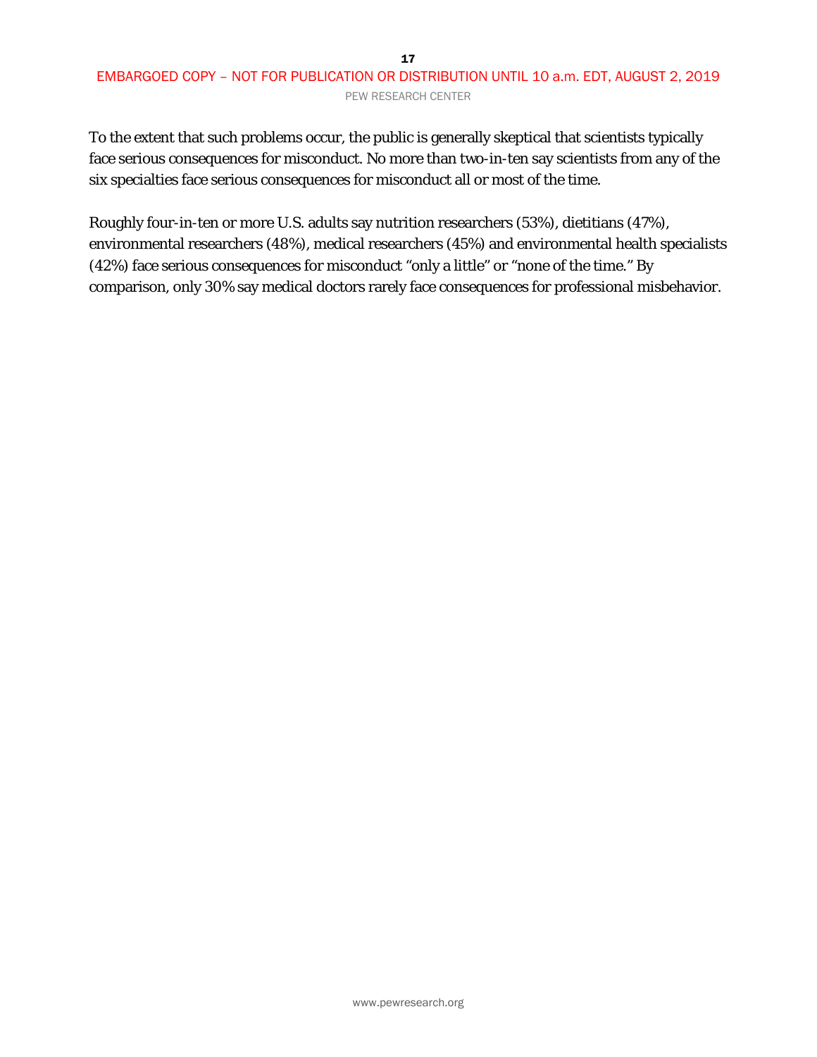#### 17 EMBARGOED COPY – NOT FOR PUBLICATION OR DISTRIBUTION UNTIL 10 a.m. EDT, AUGUST 2, 2019 PEW RESEARCH CENTER

To the extent that such problems occur, the public is generally skeptical that scientists typically face serious consequences for misconduct. No more than two-in-ten say scientists from any of the six specialties face serious consequences for misconduct all or most of the time.

Roughly four-in-ten or more U.S. adults say nutrition researchers (53%), dietitians (47%), environmental researchers (48%), medical researchers (45%) and environmental health specialists (42%) face serious consequences for misconduct "only a little" or "none of the time." By comparison, only 30% say medical doctors rarely face consequences for professional misbehavior.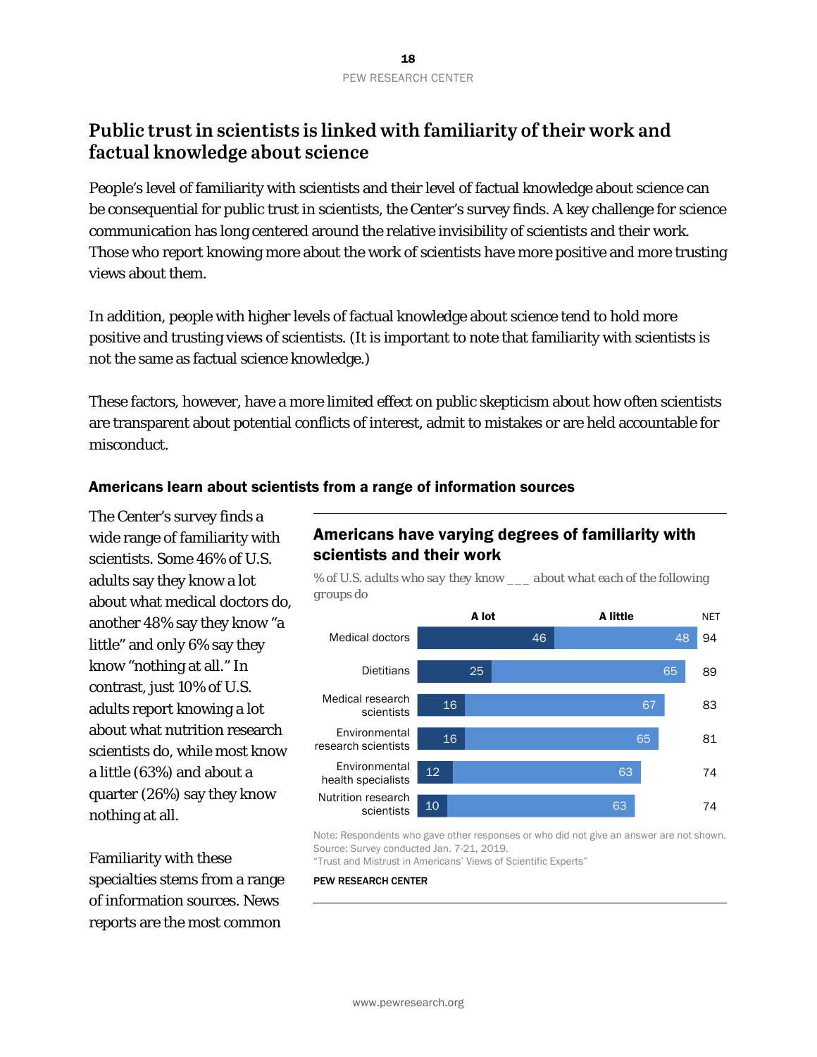### <span id="page-17-0"></span>**Public trust in scientists is linked with familiarity of their work and factual knowledge about science**

People's level of familiarity with scientists and their level of factual knowledge about science can be consequential for public trust in scientists, the Center's survey finds. A key challenge for science communication has long centered around the relative invisibility of scientists and their work. Those who report knowing more about the work of scientists have more positive and more trusting views about them.

In addition, people with higher levels of factual knowledge about science tend to hold more positive and trusting views of scientists. (It is important to note that familiarity with scientists is not the same as factual science knowledge.)

These factors, however, have a more limited effect on public skepticism about how often scientists are transparent about potential conflicts of interest, admit to mistakes or are held accountable for misconduct.

#### Americans learn about scientists from a range of information sources

The Center's survey finds a wide range of familiarity with scientists. Some 46% of U.S. adults say they know a lot about what medical doctors do, another 48% say they know "a little" and only 6% say they know "nothing at all." In contrast, just 10% of U.S. adults report knowing a lot about what nutrition research scientists do, while most know a little (63%) and about a quarter (26%) say they know nothing at all.

Familiarity with these specialties stems from a range of information sources. News reports are the most common

### Americans have varying degrees of familiarity with scientists and their work

*% of U.S. adults who say they know \_\_\_ about what each of the following groups do*



Note: Respondents who gave other responses or who did not give an answer are not shown. Source: Survey conducted Jan. 7-21, 2019.

"Trust and Mistrust in Americans' Views of Scientific Experts"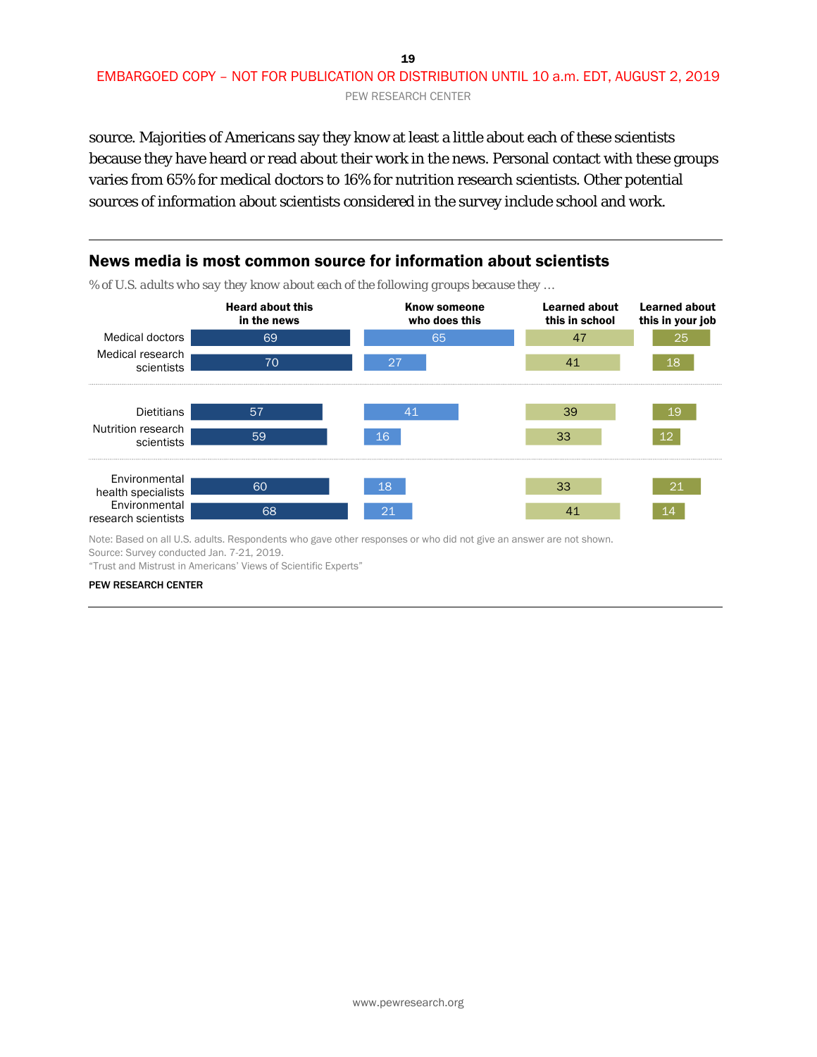#### 19 EMBARGOED COPY – NOT FOR PUBLICATION OR DISTRIBUTION UNTIL 10 a.m. EDT, AUGUST 2, 2019 PEW RESEARCH CENTER

source. Majorities of Americans say they know at least a little about each of these scientists because they have heard or read about their work in the news. Personal contact with these groups varies from 65% for medical doctors to 16% for nutrition research scientists. Other potential sources of information about scientists considered in the survey include school and work.



Note: Based on all U.S. adults. Respondents who gave other responses or who did not give an answer are not shown. Source: Survey conducted Jan. 7-21, 2019.

"Trust and Mistrust in Americans' Views of Scientific Experts"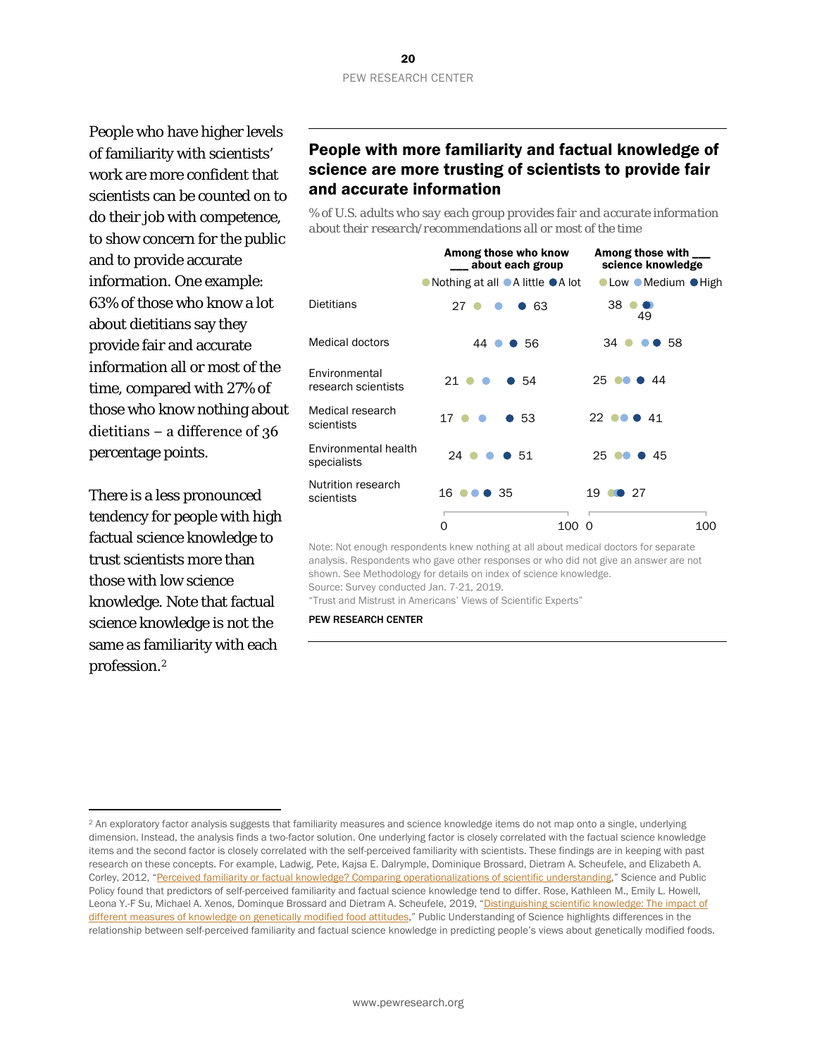People who have higher levels of familiarity with scientists' work are more confident that scientists can be counted on to do their job with competence, to show concern for the public and to provide accurate information. One example: 63% of those who know a lot about dietitians say they provide fair and accurate information all or most of the time, compared with 27% of those who know nothing about dietitians − a difference of 36 percentage points.

There is a less pronounced tendency for people with high factual science knowledge to trust scientists more than those with low science knowledge. Note that factual science knowledge is not the same as familiarity with each profession.[2](#page-19-0)

1

### People with more familiarity and factual knowledge of science are more trusting of scientists to provide fair and accurate information

*% of U.S. adults who say each group provides fair and accurate information about their research/recommendations all or most of the time*



Note: Not enough respondents knew nothing at all about medical doctors for separate analysis. Respondents who gave other responses or who did not give an answer are not shown. See Methodology for details on index of science knowledge. Source: Survey conducted Jan. 7-21, 2019.

"Trust and Mistrust in Americans' Views of Scientific Experts"

<span id="page-19-0"></span><sup>2</sup> An exploratory factor analysis suggests that familiarity measures and science knowledge items do not map onto a single, underlying dimension. Instead, the analysis finds a two-factor solution. One underlying factor is closely correlated with the factual science knowledge items and the second factor is closely correlated with the self-perceived familiarity with scientists. These findings are in keeping with past research on these concepts. For example[, Ladwig, Pete,](javascript:;) [Kajsa E. Dalrymple,](javascript:;) [Dominique Brossard,](javascript:;) [Dietram A. Scheufele,](javascript:;) an[d Elizabeth A.](javascript:;)  [Corley,](javascript:;) 2012, ["Perceived familiarity or factual knowledge? Comparing operationalizations of scientific understanding,](https://academic.oup.com/spp/article-abstract/39/6/761/1612144)" Science and Public Policy found that predictors of self-perceived familiarity and factual science knowledge tend to differ. Rose, Kathleen M., Emily L. Howell, Leona Y.-F Su, Michael A. Xenos, Dominque Brossard and Dietram A. Scheufele, 2019, "Distinguishing scientific knowledge: The impact of [different measures of knowledge on genetically modified food attitudes,"](https://journals.sagepub.com/doi/full/10.1177/0963662518824837) Public Understanding of Science highlights differences in the relationship between self-perceived familiarity and factual science knowledge in predicting people's views about genetically modified foods.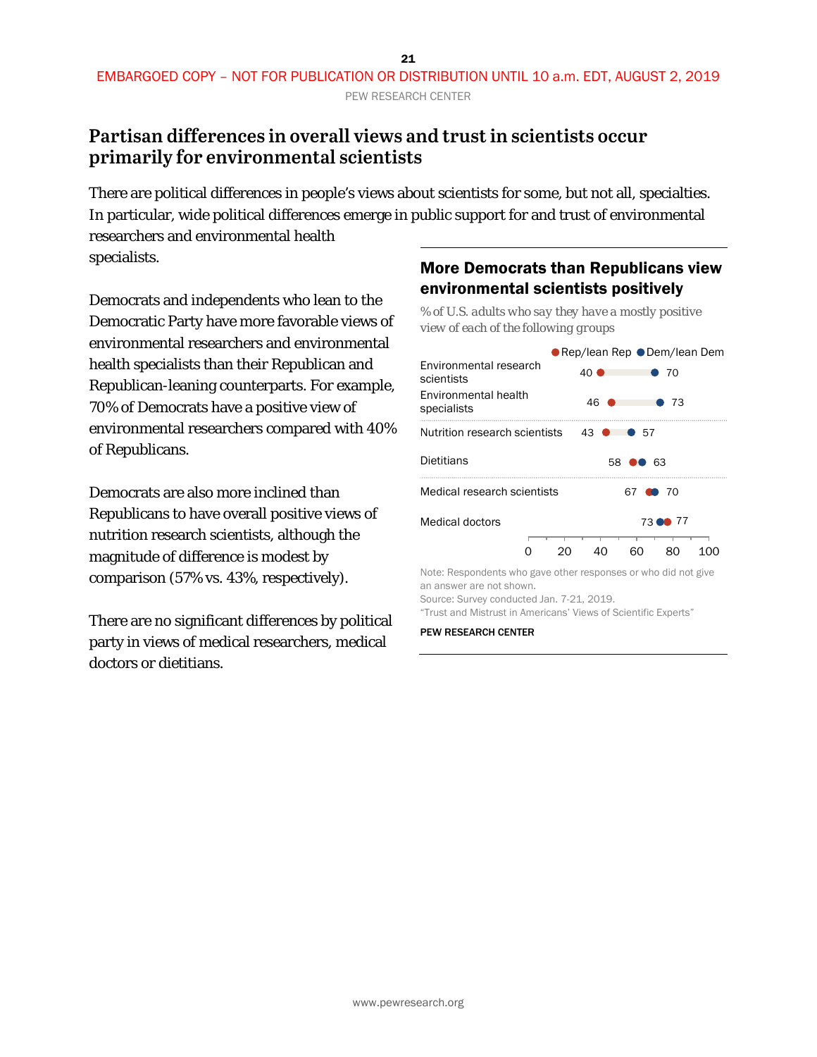### <span id="page-20-0"></span>**Partisan differences in overall views and trust in scientists occur primarily for environmental scientists**

There are political differences in people's views about scientists for some, but not all, specialties. In particular, wide political differences emerge in public support for and trust of environmental researchers and environmental health

specialists.

Democrats and independents who lean to the Democratic Party have more favorable views of environmental researchers and environmental health specialists than their Republican and Republican-leaning counterparts. For example, 70% of Democrats have a positive view of environmental researchers compared with 40% of Republicans.

Democrats are also more inclined than Republicans to have overall positive views of nutrition research scientists, although the magnitude of difference is modest by comparison (57% vs. 43%, respectively).

There are no significant differences by political party in views of medical researchers, medical doctors or dietitians.

### More Democrats than Republicans view environmental scientists positively

*% of U.S. adults who say they have a mostly positive view of each of the following groups*



an answer are not shown.

Source: Survey conducted Jan. 7-21, 2019.

"Trust and Mistrust in Americans' Views of Scientific Experts"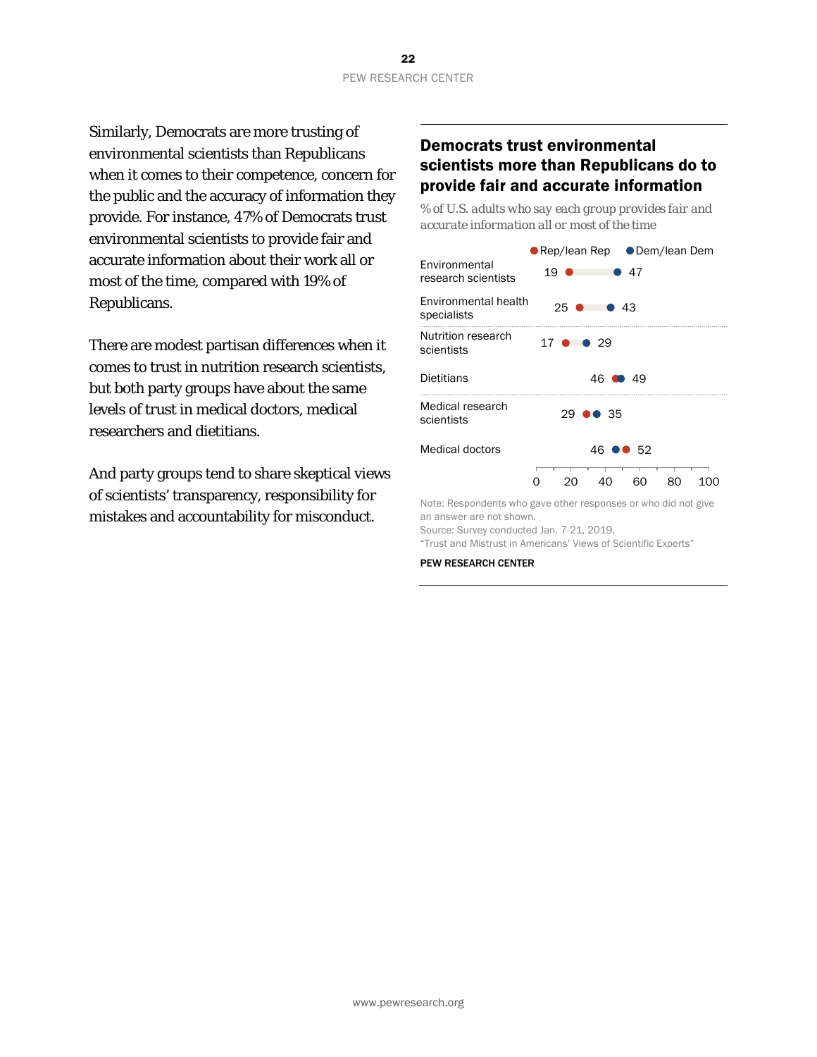Similarly, Democrats are more trusting of environmental scientists than Republicans when it comes to their competence, concern for the public and the accuracy of information they provide. For instance, 47% of Democrats trust environmental scientists to provide fair and accurate information about their work all or most of the time, compared with 19% of Republicans.

There are modest partisan differences when it comes to trust in nutrition research scientists, but both party groups have about the same levels of trust in medical doctors, medical researchers and dietitians.

And party groups tend to share skeptical views of scientists' transparency, responsibility for mistakes and accountability for misconduct.

### Democrats trust environmental scientists more than Republicans do to provide fair and accurate information

*% of U.S. adults who say each group provides fair and accurate information all or most of the time*



Note: Respondents who gave other responses or who did not give an answer are not shown.

Source: Survey conducted Jan. 7-21, 2019. "Trust and Mistrust in Americans' Views of Scientific Experts"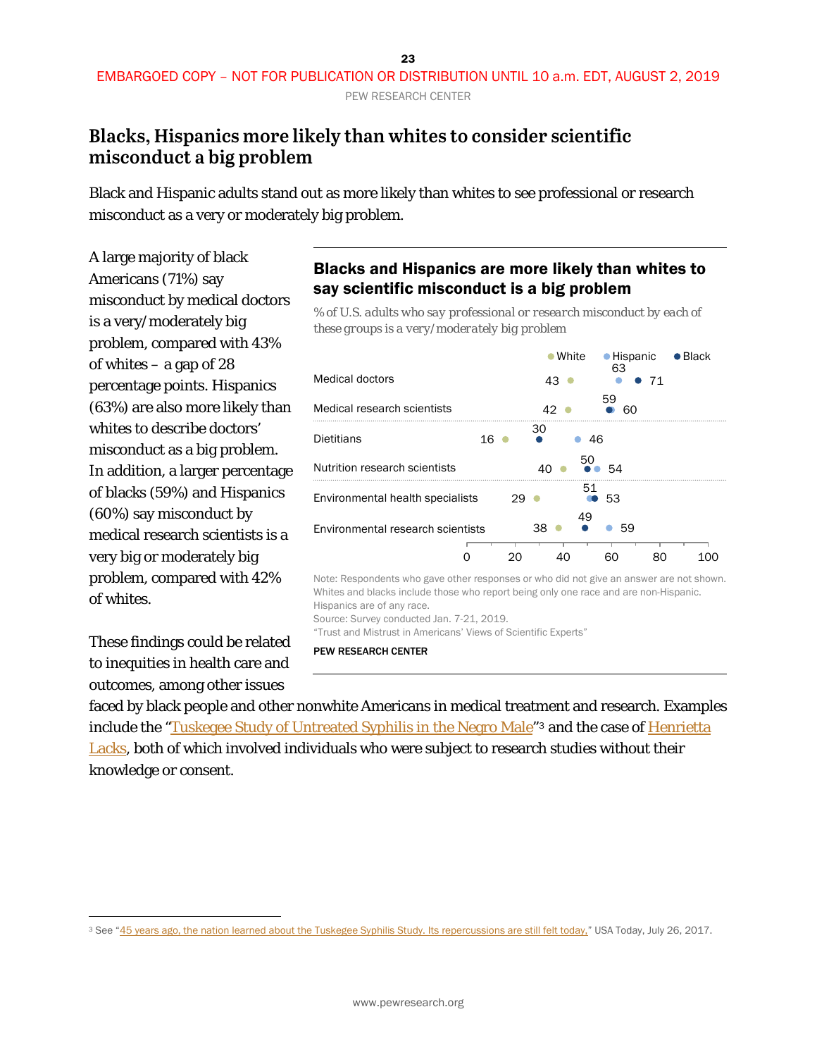### <span id="page-22-0"></span>**Blacks, Hispanics more likely than whites to consider scientific misconduct a big problem**

Black and Hispanic adults stand out as more likely than whites to see professional or research misconduct as a very or moderately big problem.

A large majority of black Americans (71%) say misconduct by medical doctors is a very/moderately big problem, compared with 43% of whites – a gap of 28 percentage points. Hispanics (63%) are also more likely than whites to describe doctors' misconduct as a big problem. In addition, a larger percentage of blacks (59%) and Hispanics (60%) say misconduct by medical research scientists is a very big or moderately big problem, compared with 42% of whites.

These findings could be related to inequities in health care and outcomes, among other issues

### Blacks and Hispanics are more likely than whites to say scientific misconduct is a big problem

*% of U.S. adults who say professional or research misconduct by each of these groups is a very/moderately big problem*

|                                                                                                                 |    | $\bullet$ White |    | • Hispanic<br>63 |    | $\bullet$ Black |  |
|-----------------------------------------------------------------------------------------------------------------|----|-----------------|----|------------------|----|-----------------|--|
| <b>Medical doctors</b>                                                                                          |    | 43              |    |                  | 71 |                 |  |
| Medical research scientists                                                                                     |    | 42              |    | 59<br>ഒറ         |    |                 |  |
| <b>Dietitians</b>                                                                                               | 16 | 30              | 46 |                  |    |                 |  |
| Nutrition research scientists                                                                                   |    | 40              | 50 | .54              |    |                 |  |
| Environmental health specialists                                                                                | 29 |                 | 51 | 53               |    |                 |  |
| Environmental research scientists                                                                               |    | 38              | 49 | 59               |    |                 |  |
|                                                                                                                 | 20 | 40              |    | 60               | 80 | 100             |  |
| Maria Rosseller i Lorenzo della contra controlla della della della della contra della contra della contra della |    |                 |    |                  |    |                 |  |

Note: Respondents who gave other responses or who did not give an answer are not shown. Whites and blacks include those who report being only one race and are non-Hispanic. Hispanics are of any race. Source: Survey conducted Jan. 7-21, 2019.

"Trust and Mistrust in Americans' Views of Scientific Experts"

PEW RESEARCH CENTER

faced by black people and other nonwhite Americans in medical treatment and research. Examples include the ["Tuskegee Study of Untreated Syphilis in the Negro Male"](https://www.cdc.gov/tuskegee/timeline.htm)[3](#page-22-1) and the case of [Henrietta](http://henriettalacksfoundation.org/)  [Lacks,](http://henriettalacksfoundation.org/) both of which involved individuals who were subject to research studies without their knowledge or consent.

<span id="page-22-1"></span> $\overline{a}$ <sup>3</sup> See ["45 years ago, the nation learned about the Tuskegee Syphilis Study. Its repercussions are still felt today,"](https://www.usatoday.com/story/news/2017/07/25/tuskegee-syphilis-study-its-repercussions-still-felt-today/506507001/) USA Today, July 26, 2017.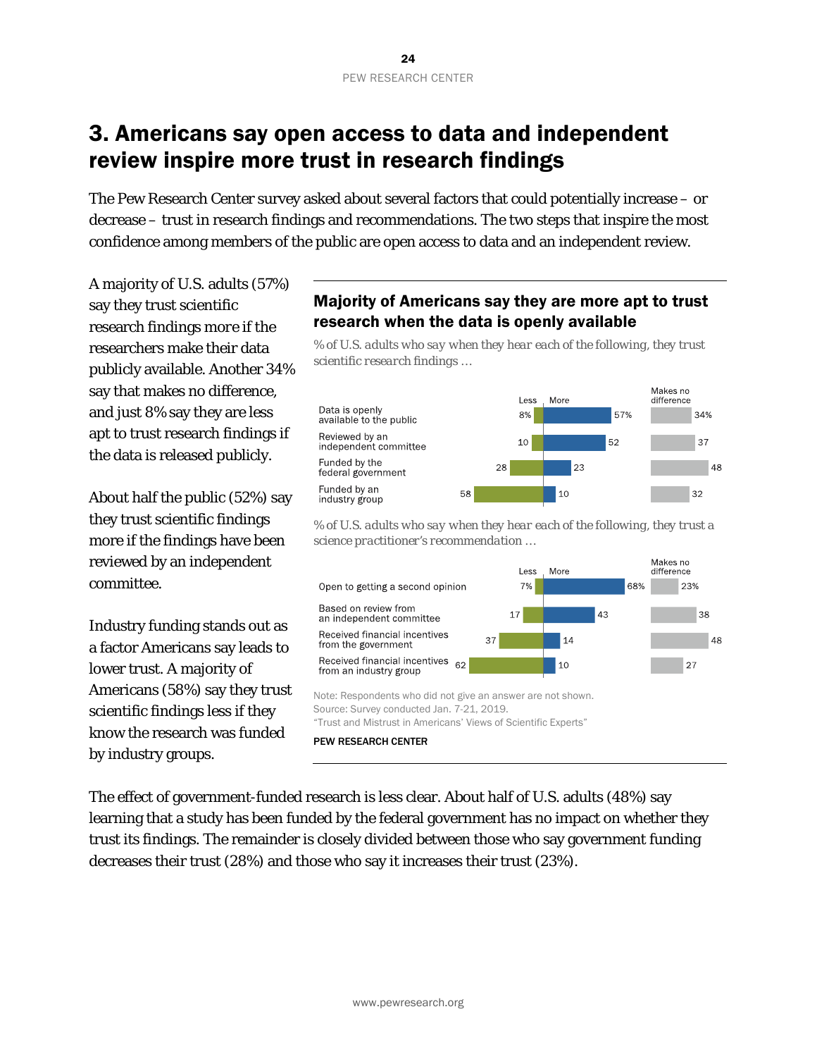# <span id="page-23-0"></span>3. Americans say open access to data and independent review inspire more trust in research findings

The Pew Research Center survey asked about several factors that could potentially increase – or decrease – trust in research findings and recommendations. The two steps that inspire the most confidence among members of the public are open access to data and an independent review.

A majority of U.S. adults (57%) say they trust scientific research findings *more* if the researchers make their data publicly available. Another 34% say that makes no difference, and just 8% say they are less apt to trust research findings if the data is released publicly.

About half the public (52%) say they trust scientific findings more if the findings have been reviewed by an independent committee.

Industry funding stands out as a factor Americans say leads to lower trust. A majority of Americans (58%) say they trust scientific findings less if they know the research was funded by industry groups.

### Majority of Americans say they are more apt to trust research when the data is openly available

*% of U.S. adults who say when they hear each of the following, they trust scientific research findings …*



*% of U.S. adults who say when they hear each of the following, they trust a science practitioner's recommendation …*



The effect of government-funded research is less clear. About half of U.S. adults (48%) say learning that a study has been funded by the federal government has no impact on whether they trust its findings. The remainder is closely divided between those who say government funding decreases their trust (28%) and those who say it increases their trust (23%).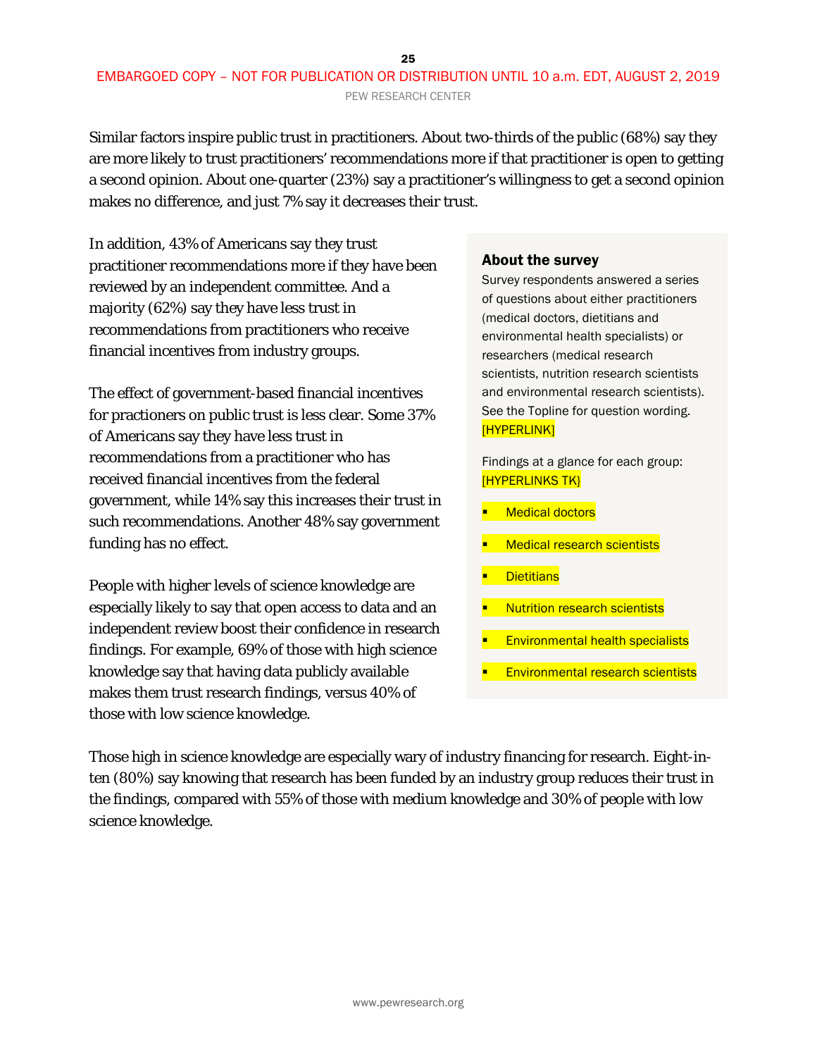#### 25 EMBARGOED COPY – NOT FOR PUBLICATION OR DISTRIBUTION UNTIL 10 a.m. EDT, AUGUST 2, 2019 PEW RESEARCH CENTER

Similar factors inspire public trust in practitioners. About two-thirds of the public (68%) say they are more likely to trust practitioners' recommendations more if that practitioner is open to getting a second opinion. About one-quarter (23%) say a practitioner's willingness to get a second opinion makes no difference, and just 7% say it decreases their trust.

In addition, 43% of Americans say they trust practitioner recommendations more if they have been reviewed by an independent committee. And a majority (62%) say they have less trust in recommendations from practitioners who receive financial incentives from industry groups.

The effect of government-based financial incentives for practioners on public trust is less clear. Some 37% of Americans say they have less trust in recommendations from a practitioner who has received financial incentives from the federal government, while 14% say this increases their trust in such recommendations. Another 48% say government funding has no effect.

People with higher levels of science knowledge are especially likely to say that open access to data and an independent review boost their confidence in research findings. For example, 69% of those with high science knowledge say that having data publicly available makes them trust research findings, versus 40% of those with low science knowledge.

#### About the survey

Survey respondents answered a series of questions about either practitioners (medical doctors, dietitians and environmental health specialists) or researchers (medical research scientists, nutrition research scientists and environmental research scientists). See the Topline for question wording. [HYPERLINK]

Findings at a glance for each group: [HYPERLINKS TK}

- Medical doctors
- Medical research scientists
- **Dietitians**
- Nutrition research scientists
- Environmental health specialists
- Environmental research scientists

Those high in science knowledge are especially wary of industry financing for research. Eight-inten (80%) say knowing that research has been funded by an industry group reduces their trust in the findings, compared with 55% of those with medium knowledge and 30% of people with low science knowledge.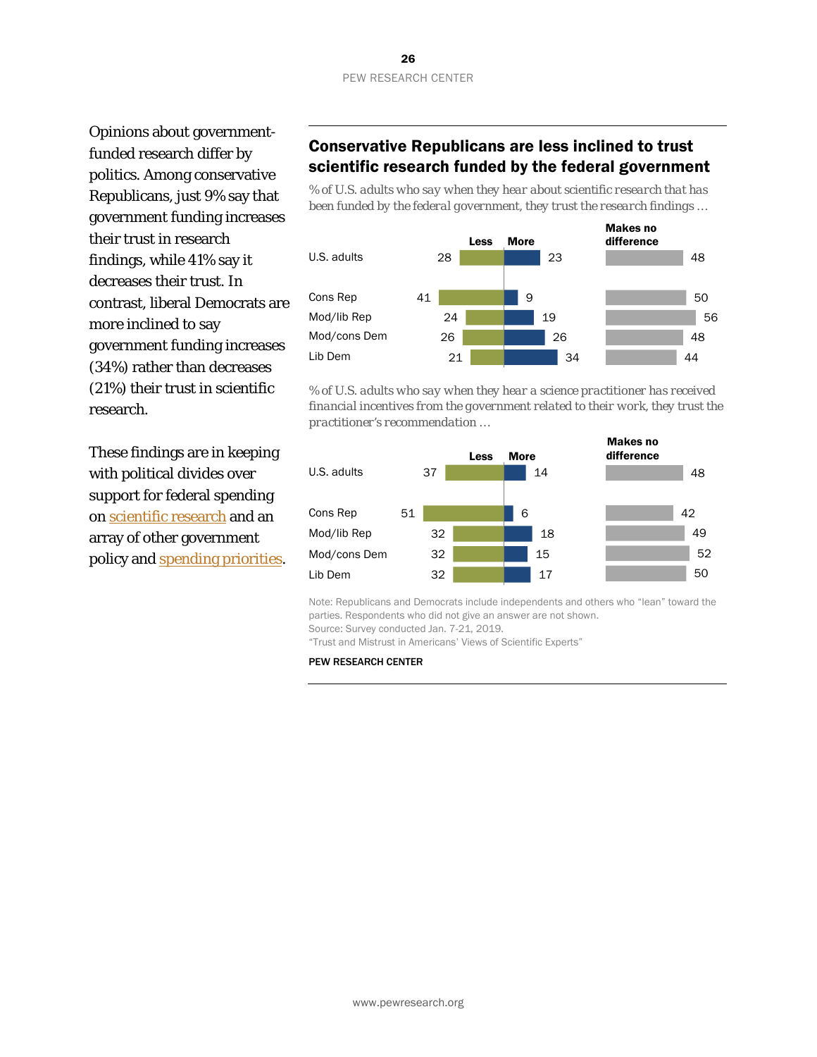#### 26 PEW RESEARCH CENTER

Opinions about governmentfunded research differ by politics. Among conservative Republicans, just 9% say that government funding increases their trust in research findings, while 41% say it decreases their trust. In contrast, liberal Democrats are more inclined to say government funding increases (34%) rather than decreases (21%) their trust in scientific research.

These findings are in keeping with political divides over support for federal spending o[n scientific research](https://www.pewresearch.org/fact-tank/2017/05/01/democrats-far-more-supportive-than-republicans-of-federal-spending-for-scientific-research/) and an array of other government policy and [spending priorities.](https://www.people-press.org/2019/04/11/little-public-support-for-reductions-in-federal-spending/)

### Conservative Republicans are less inclined to trust scientific research funded by the federal government

*% of U.S. adults who say when they hear about scientific research that has been funded by the federal government, they trust the research findings …*



*% of U.S. adults who say when they hear a science practitioner has received financial incentives from the government related to their work, they trust the practitioner's recommendation …*



Note: Republicans and Democrats include independents and others who "lean" toward the parties. Respondents who did not give an answer are not shown.

Source: Survey conducted Jan. 7-21, 2019. "Trust and Mistrust in Americans' Views of Scientific Experts"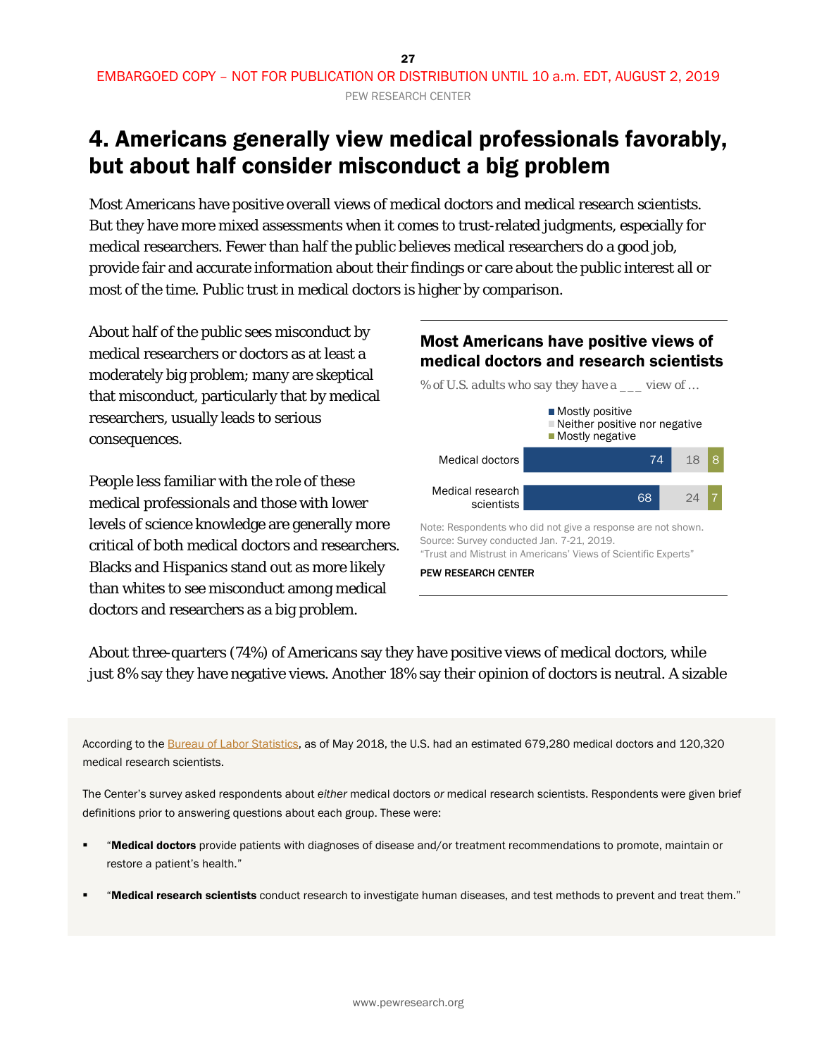# <span id="page-26-0"></span>4. Americans generally view medical professionals favorably, but about half consider misconduct a big problem

Most Americans have positive overall views of medical doctors and medical research scientists. But they have more mixed assessments when it comes to trust-related judgments, especially for medical researchers. Fewer than half the public believes medical researchers do a good job, provide fair and accurate information about their findings or care about the public interest all or most of the time. Public trust in medical doctors is higher by comparison.

About half of the public sees misconduct by medical researchers or doctors as at least a moderately big problem; many are skeptical that misconduct, particularly that by medical researchers, usually leads to serious consequences.

People less familiar with the role of these medical professionals and those with lower levels of science knowledge are generally more critical of both medical doctors and researchers. Blacks and Hispanics stand out as more likely than whites to see misconduct among medical doctors and researchers as a big problem.

#### Most Americans have positive views of medical doctors and research scientists

*% of U.S. adults who say they have a \_\_\_ view of …*



Note: Respondents who did not give a response are not shown. Source: Survey conducted Jan. 7-21, 2019. "Trust and Mistrust in Americans' Views of Scientific Experts"

#### PEW RESEARCH CENTER

About three-quarters (74%) of Americans say they have positive views of medical doctors, while just 8% say they have negative views. Another 18% say their opinion of doctors is neutral. A sizable

According to th[e Bureau of Labor Statistics,](https://www.bls.gov/oes/current/oes_nat.htm) as of May 2018, the U.S. had an estimated 679,280 medical doctors and 120,320 medical research scientists.

The Center's survey asked respondents about *either* medical doctors *or* medical research scientists. Respondents were given brief definitions prior to answering questions about each group. These were:

- "Medical doctors provide patients with diagnoses of disease and/or treatment recommendations to promote, maintain or restore a patient's health."
- "Medical research scientists conduct research to investigate human diseases, and test methods to prevent and treat them."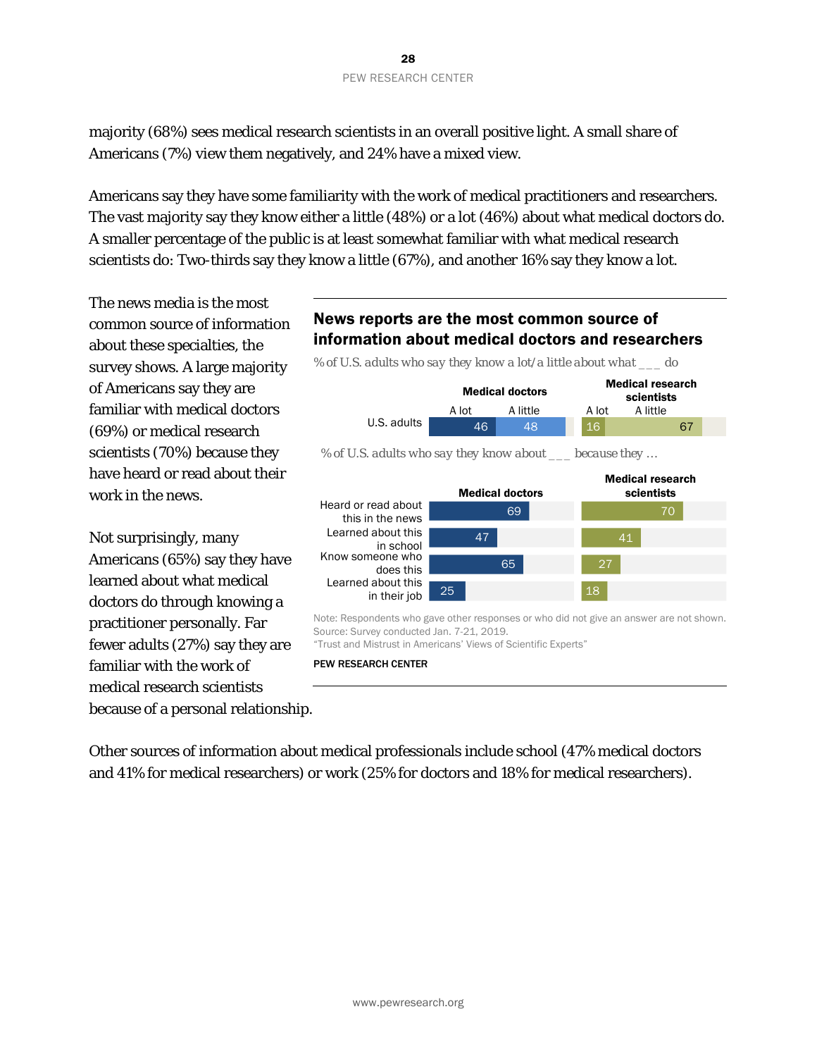majority (68%) sees medical research scientists in an overall positive light. A small share of Americans (7%) view them negatively, and 24% have a mixed view.

Americans say they have some familiarity with the work of medical practitioners and researchers. The vast majority say they know either a little (48%) or a lot (46%) about what medical doctors do. A smaller percentage of the public is at least somewhat familiar with what medical research scientists do: Two-thirds say they know a little (67%), and another 16% say they know a lot.

The news media is the most common source of information about these specialties, the survey shows. A large majority of Americans say they are familiar with medical doctors (69%) or medical research scientists (70%) because they have heard or read about their work in the news.

Not surprisingly, many Americans (65%) say they have learned about what medical doctors do through knowing a practitioner personally. Far fewer adults (27%) say they are familiar with the work of medical research scientists because of a personal relationship.

### News reports are the most common source of information about medical doctors and researchers



Note: Respondents who gave other responses or who did not give an answer are not shown. Source: Survey conducted Jan. 7-21, 2019.

"Trust and Mistrust in Americans' Views of Scientific Experts"

PEW RESEARCH CENTER

Other sources of information about medical professionals include school (47% medical doctors and 41% for medical researchers) or work (25% for doctors and 18% for medical researchers).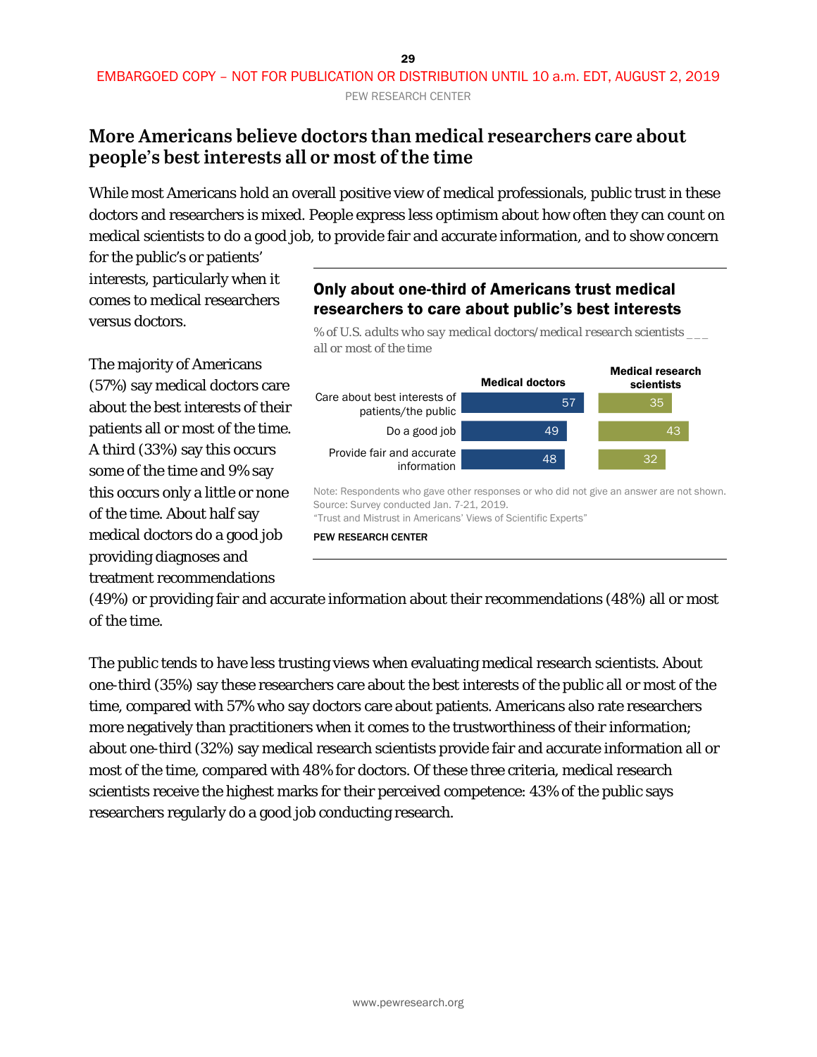### <span id="page-28-0"></span>**More Americans believe doctors than medical researchers care about people's best interests all or most of the time**

While most Americans hold an overall positive view of medical professionals, public trust in these doctors and researchers is mixed. People express less optimism about how often they can count on medical scientists to do a good job, to provide fair and accurate information, and to show concern

for the public's or patients' interests, particularly when it comes to medical researchers versus doctors.

The majority of Americans (57%) say medical doctors care about the best interests of their patients all or most of the time. A third (33%) say this occurs some of the time and 9% say this occurs only a little or none of the time. About half say medical doctors do a good job providing diagnoses and treatment recommendations

### Only about one-third of Americans trust medical researchers to care about public's best interests

*% of U.S. adults who say medical doctors/medical research scientists \_\_\_ all or most of the time*



Note: Respondents who gave other responses or who did not give an answer are not shown. Source: Survey conducted Jan. 7-21, 2019. "Trust and Mistrust in Americans' Views of Scientific Experts"

#### PEW RESEARCH CENTER

(49%) or providing fair and accurate information about their recommendations (48%) all or most of the time.

The public tends to have less trusting views when evaluating medical research scientists. About one-third (35%) say these researchers care about the best interests of the public all or most of the time, compared with 57% who say doctors care about patients. Americans also rate researchers more negatively than practitioners when it comes to the trustworthiness of their information; about one-third (32%) say medical research scientists provide fair and accurate information all or most of the time, compared with 48% for doctors. Of these three criteria, medical research scientists receive the highest marks for their perceived competence: 43% of the public says researchers regularly do a good job conducting research.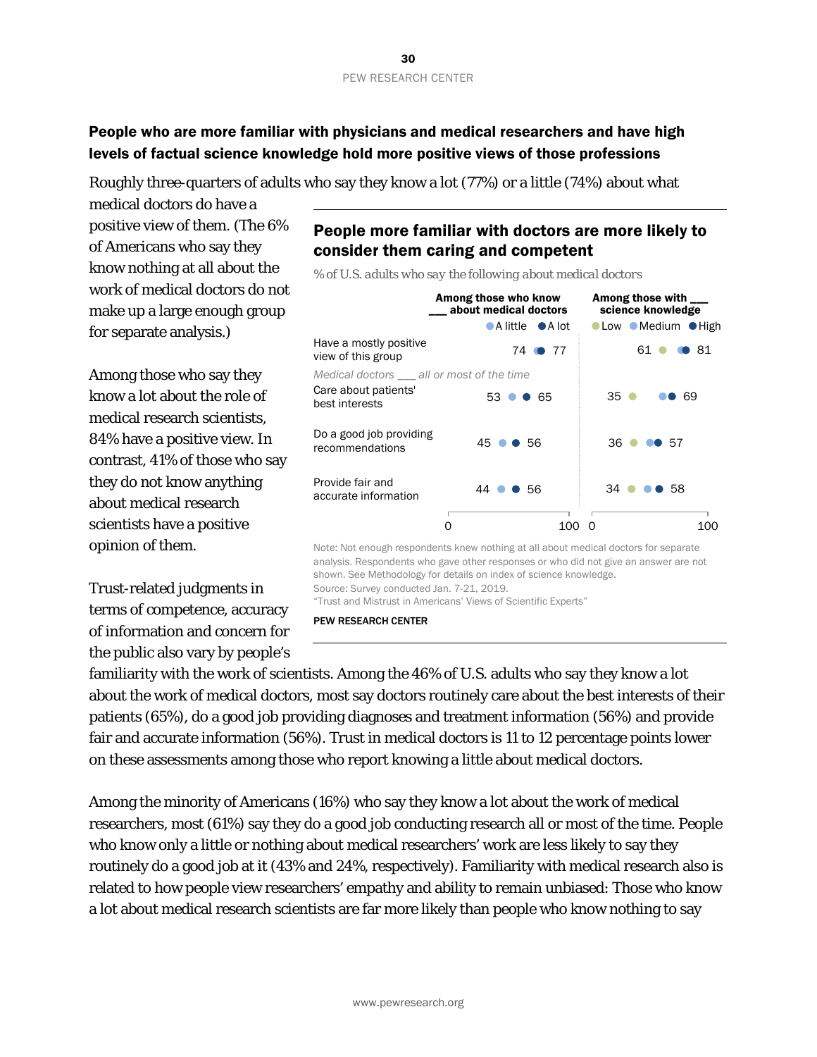#### People who are more familiar with physicians and medical researchers and have high levels of factual science knowledge hold more positive views of those professions

Roughly three-quarters of adults who say they know a lot (77%) or a little (74%) about what

medical doctors do have a positive view of them. (The 6% of Americans who say they know nothing at all about the work of medical doctors do not make up a large enough group for separate analysis.)

Among those who say they know a lot about the role of medical research scientists, 84% have a positive view. In contrast, 41% of those who say they do not know anything about medical research scientists have a positive opinion of them.

Trust-related judgments in terms of competence, accuracy of information and concern for the public also vary by people's

People more familiar with doctors are more likely to consider them caring and competent

*% of U.S. adults who say the following about medical doctors*

Among those who know \_\_\_ about medical doctors Among those with science knowledge Note: Not enough respondents knew nothing at all about medical doctors for separate analysis. Respondents who gave other responses or who did not give an answer are not shown. See Methodology for details on index of science knowledge. Source: Survey conducted Jan. 7-21, 2019. "Trust and Mistrust in Americans' Views of Scientific Experts" 61 **0 8**1  $35$   $\bullet$ 36 ● ●● 57 34 58 **68 69**  $100$ **OLow Medium OHigh** 74 77 53 65 45 56 44 56 0 100 0 ●A little ●A lot Care about patients' best interests Do a good job providing recommendations Provide fair and accurate information Have a mostly positive view of this group *Medical doctors \_\_\_ all or most of the time*

PEW RESEARCH CENTER

familiarity with the work of scientists. Among the 46% of U.S. adults who say they know a lot about the work of medical doctors, most say doctors routinely care about the best interests of their patients (65%), do a good job providing diagnoses and treatment information (56%) and provide fair and accurate information (56%). Trust in medical doctors is 11 to 12 percentage points lower on these assessments among those who report knowing a little about medical doctors.

Among the minority of Americans (16%) who say they know a lot about the work of medical researchers, most (61%) say they do a good job conducting research all or most of the time. People who know only a little or nothing about medical researchers' work are less likely to say they routinely do a good job at it (43% and 24%, respectively). Familiarity with medical research also is related to how people view researchers' empathy and ability to remain unbiased: Those who know a lot about medical research scientists are far more likely than people who know nothing to say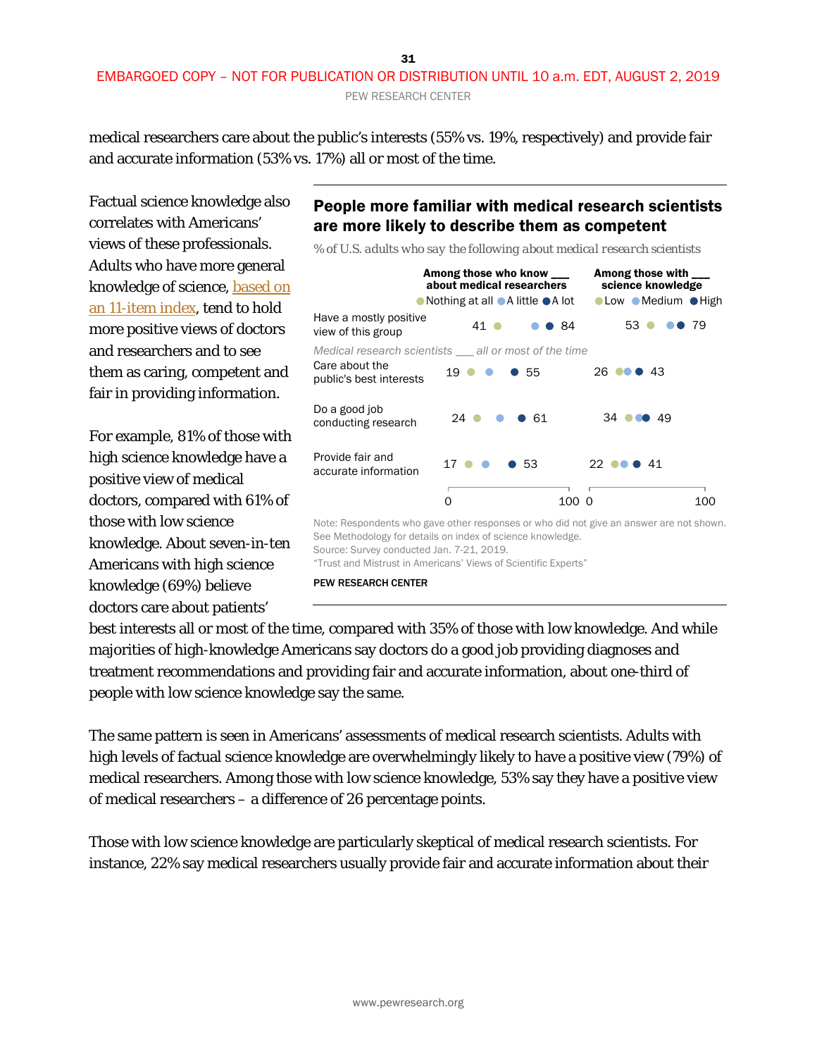#### 31 EMBARGOED COPY – NOT FOR PUBLICATION OR DISTRIBUTION UNTIL 10 a.m. EDT, AUGUST 2, 2019 PEW RESEARCH CENTER

medical researchers care about the public's interests (55% vs. 19%, respectively) and provide fair and accurate information (53% vs. 17%) all or most of the time.

Factual science knowledge also correlates with Americans' views of these professionals. Adults who have more general knowledge of science, [based on](https://www.pewresearch.org/science/2019/03/28/what-americans-know-about-science/)  [an 11-item index,](https://www.pewresearch.org/science/2019/03/28/what-americans-know-about-science/) tend to hold more positive views of doctors and researchers and to see them as caring, competent and fair in providing information.

For example, 81% of those with high science knowledge have a positive view of medical doctors, compared with 61% of those with low science knowledge. About seven-in-ten Americans with high science knowledge (69%) believe doctors care about patients'

### People more familiar with medical research scientists are more likely to describe them as competent

*% of U.S. adults who say the following about medical research scientists*



"Trust and Mistrust in Americans' Views of Scientific Experts"

PEW RESEARCH CENTER

best interests all or most of the time, compared with 35% of those with low knowledge. And while majorities of high-knowledge Americans say doctors do a good job providing diagnoses and treatment recommendations and providing fair and accurate information, about one-third of people with low science knowledge say the same.

The same pattern is seen in Americans' assessments of medical research scientists. Adults with high levels of factual science knowledge are overwhelmingly likely to have a positive view (79%) of medical researchers. Among those with low science knowledge, 53% say they have a positive view of medical researchers – a difference of 26 percentage points.

Those with low science knowledge are particularly skeptical of medical research scientists. For instance, 22% say medical researchers usually provide fair and accurate information about their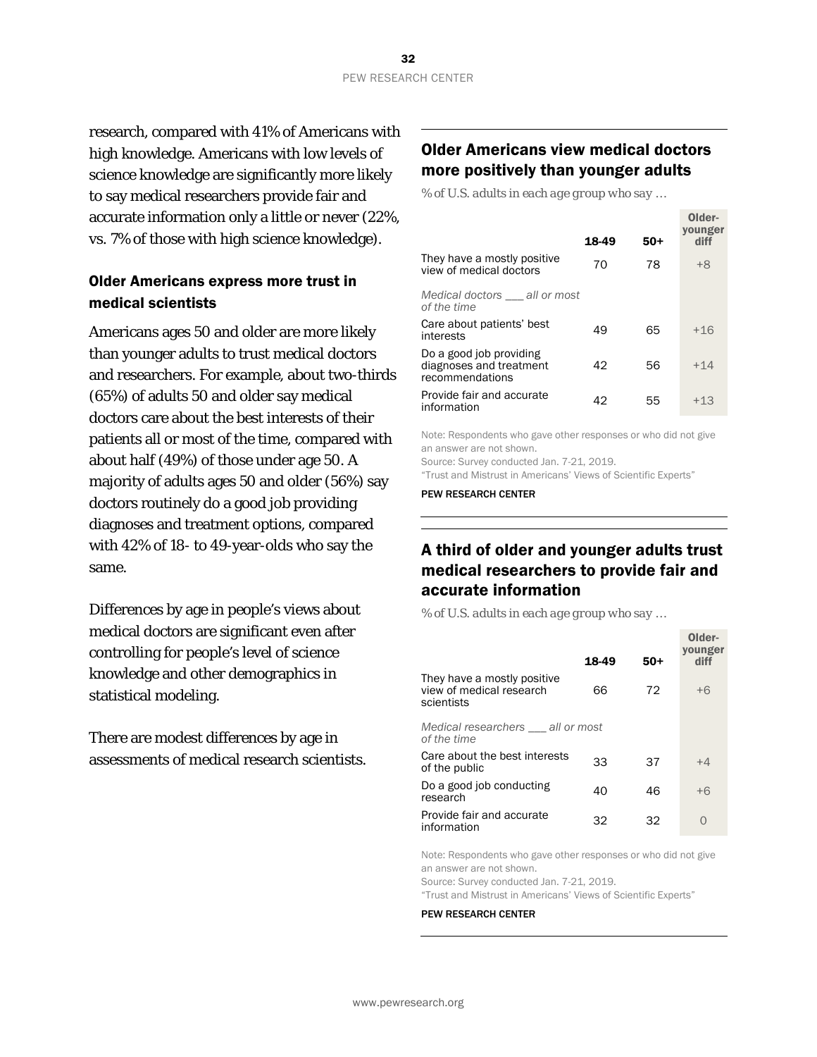research, compared with 41% of Americans with high knowledge. Americans with low levels of science knowledge are significantly more likely to say medical researchers provide fair and accurate information only a little or never (22%, vs. 7% of those with high science knowledge).

#### Older Americans express more trust in medical scientists

Americans ages 50 and older are more likely than younger adults to trust medical doctors and researchers. For example, about two-thirds (65%) of adults 50 and older say medical doctors care about the best interests of their patients all or most of the time, compared with about half (49%) of those under age 50. A majority of adults ages 50 and older (56%) say doctors routinely do a good job providing diagnoses and treatment options, compared with 42% of 18- to 49-year-olds who say the same.

Differences by age in people's views about medical doctors are significant even after controlling for people's level of science knowledge and other demographics in statistical modeling.

There are modest differences by age in assessments of medical research scientists.

#### Older Americans view medical doctors more positively than younger adults

Older-

*% of U.S. adults in each age group who say …*

|                                                                       | 18-49 | $50+$ | ulder-<br>vounger<br>diff |
|-----------------------------------------------------------------------|-------|-------|---------------------------|
| They have a mostly positive<br>view of medical doctors                | 70    | 78    | $+8$                      |
| Medical doctors all or most<br>of the time                            |       |       |                           |
| Care about patients' best<br>interests                                | 49    | 65    | $+16$                     |
| Do a good job providing<br>diagnoses and treatment<br>recommendations | 42    | 56    | $+14$                     |
| Provide fair and accurate<br>information                              | 42    | 55    | $+13$                     |

Note: Respondents who gave other responses or who did not give an answer are not shown.

Source: Survey conducted Jan. 7-21, 2019.

"Trust and Mistrust in Americans' Views of Scientific Experts"

PEW RESEARCH CENTER

### A third of older and younger adults trust medical researchers to provide fair and accurate information

*% of U.S. adults in each age group who say …*

|                                                                       | 18-49 | $50+$ | Older-<br>younger<br>diff |
|-----------------------------------------------------------------------|-------|-------|---------------------------|
| They have a mostly positive<br>view of medical research<br>scientists | 66    | 72    | $+6$                      |
| Medical researchers __ all or most<br>of the time                     |       |       |                           |
| Care about the best interests<br>of the public                        | 33    | 37    | $+4$                      |
| Do a good job conducting<br>research                                  | 40    | 46    | $+6$                      |
| Provide fair and accurate<br>information                              | 32    | 32    | $\Omega$                  |

Note: Respondents who gave other responses or who did not give an answer are not shown.

Source: Survey conducted Jan. 7-21, 2019.

"Trust and Mistrust in Americans' Views of Scientific Experts"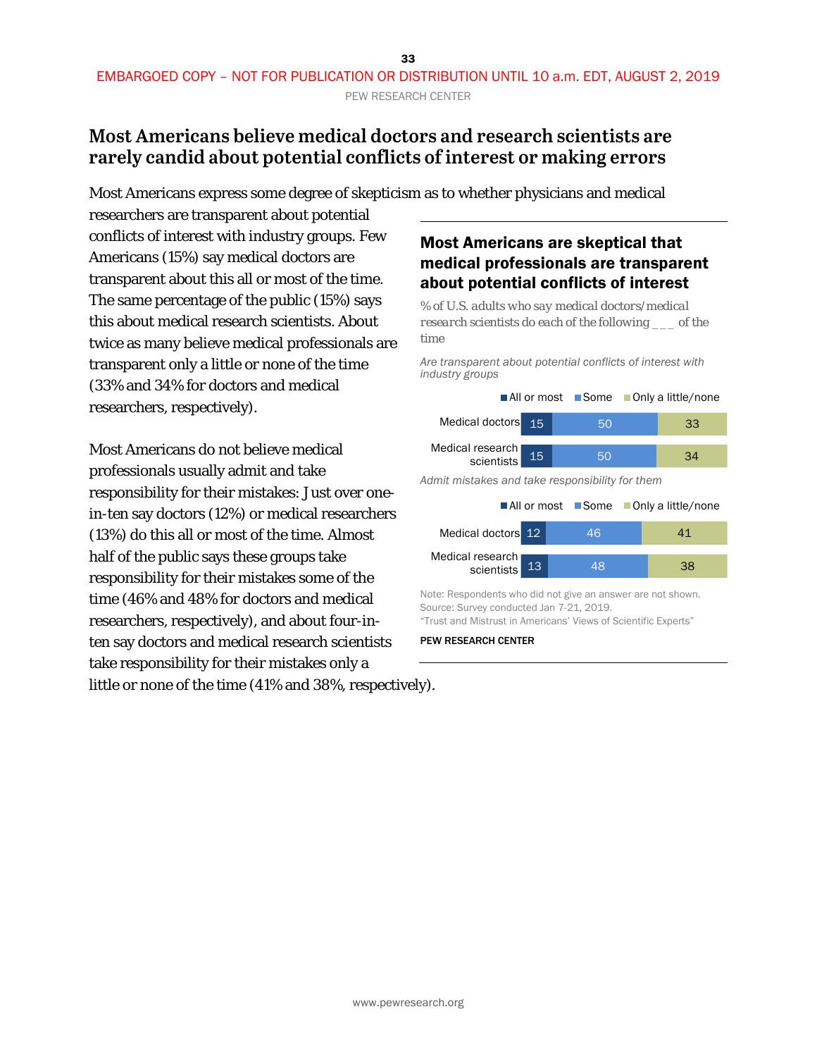### <span id="page-32-0"></span>**Most Americans believe medical doctors and research scientists are rarely candid about potential conflicts of interest or making errors**

Most Americans express some degree of skepticism as to whether physicians and medical

researchers are transparent about potential conflicts of interest with industry groups. Few Americans (15%) say medical doctors are transparent about this all or most of the time. The same percentage of the public (15%) says this about medical research scientists. About twice as many believe medical professionals are transparent only a little or none of the time (33% and 34% for doctors and medical researchers, respectively).

Most Americans do not believe medical professionals usually admit and take responsibility for their mistakes: Just over onein-ten say doctors (12%) or medical researchers (13%) do this all or most of the time. Almost half of the public says these groups take responsibility for their mistakes some of the time (46% and 48% for doctors and medical researchers, respectively), and about four-inten say doctors and medical research scientists take responsibility for their mistakes only a little or none of the time (41% and 38%, respectively).

### Most Americans are skeptical that medical professionals are transparent about potential conflicts of interest

*% of U.S. adults who say medical doctors/medical research scientists do each of the following \_\_\_ of the time*

*Are transparent about potential conflicts of interest with industry groups*

|                                                 |                 | ■ All or most ■ Some ■ Only a little/none |  |    |  |
|-------------------------------------------------|-----------------|-------------------------------------------|--|----|--|
| Medical doctors                                 | $\overline{15}$ | 50                                        |  | 33 |  |
| Medical research<br>scientists                  | 15              | 50                                        |  | 34 |  |
| Admit mistakes and take responsibility for them |                 |                                           |  |    |  |
|                                                 |                 | ■ All or most ■ Some ■ Only a little/none |  |    |  |
| Medical doctors 12                              |                 | 46                                        |  | 41 |  |
| Medical research<br>scientists                  | 13              | 48                                        |  |    |  |

Note: Respondents who did not give an answer are not shown. Source: Survey conducted Jan 7-21, 2019. "Trust and Mistrust in Americans' Views of Scientific Experts"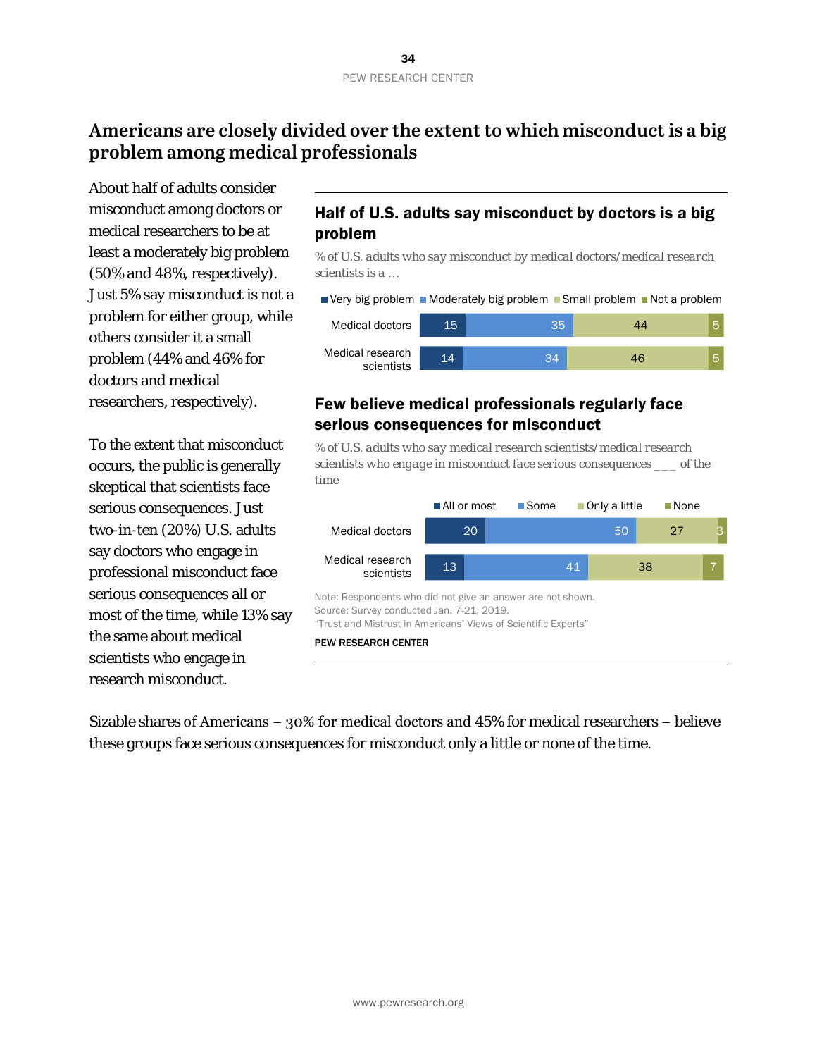### <span id="page-33-0"></span>**Americans are closely divided over the extent to which misconduct is a big problem among medical professionals**

About half of adults consider misconduct among doctors or medical researchers to be at least a moderately big problem (50% and 48%, respectively). Just 5% say misconduct is not a problem for either group, while others consider it a small problem (44% and 46% for doctors and medical researchers, respectively).

To the extent that misconduct occurs, the public is generally skeptical that scientists face serious consequences. Just two-in-ten (20%) U.S. adults say doctors who engage in professional misconduct face serious consequences all or most of the time, while 13% say the same about medical scientists who engage in research misconduct.

### Half of U.S. adults say misconduct by doctors is a big problem

*% of U.S. adults who say misconduct by medical doctors/medical research scientists is a …*



#### Few believe medical professionals regularly face serious consequences for misconduct

*% of U.S. adults who say medical research scientists/medical research scientists who engage in misconduct face serious consequences \_\_\_ of the time*



Sizable shares of Americans − 30% for medical doctors and 45% for medical researchers − believe these groups face serious consequences for misconduct only a little or none of the time.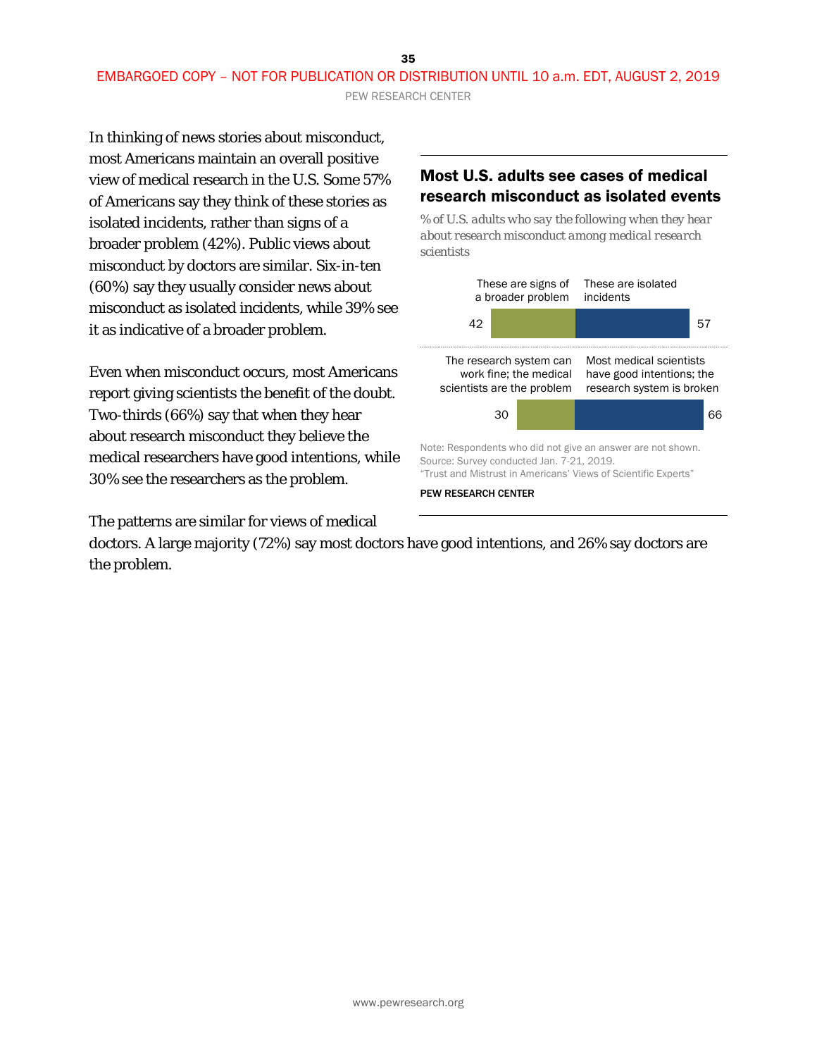EMBARGOED COPY – NOT FOR PUBLICATION OR DISTRIBUTION UNTIL 10 a.m. EDT, AUGUST 2, 2019

PEW RESEARCH CENTER

In thinking of news stories about misconduct, most Americans maintain an overall positive view of medical research in the U.S. Some 57% of Americans say they think of these stories as isolated incidents, rather than signs of a broader problem (42%). Public views about misconduct by doctors are similar. Six-in-ten (60%) say they usually consider news about misconduct as isolated incidents, while 39% see it as indicative of a broader problem.

Even when misconduct occurs, most Americans report giving scientists the benefit of the doubt. Two-thirds (66%) say that when they hear about research misconduct they believe the medical researchers have good intentions, while 30% see the researchers as the problem.

The patterns are similar for views of medical

#### Most U.S. adults see cases of medical research misconduct as isolated events

*% of U.S. adults who say the following when they hear about research misconduct among medical research scientists* 



doctors. A large majority (72%) say most doctors have good intentions, and 26% say doctors are the problem.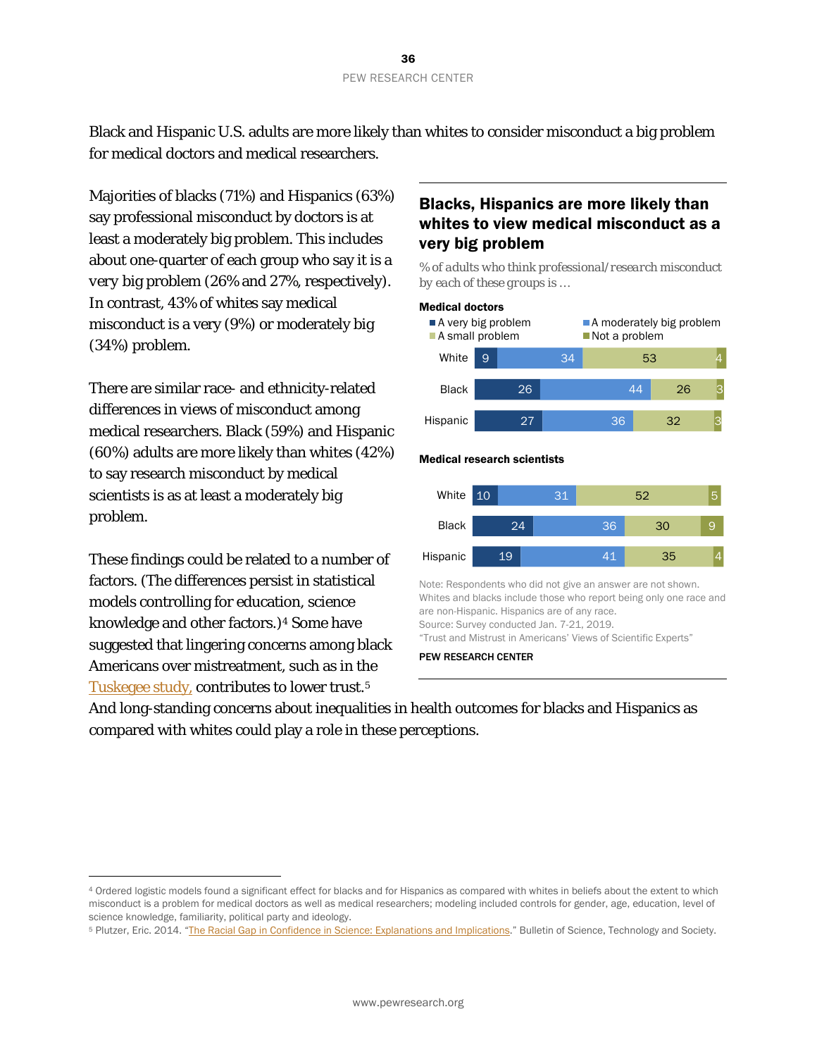Black and Hispanic U.S. adults are more likely than whites to consider misconduct a big problem for medical doctors and medical researchers.

Majorities of blacks (71%) and Hispanics (63%) say professional misconduct by doctors is at least a moderately big problem. This includes about one-quarter of each group who say it is a *very* big problem (26% and 27%, respectively). In contrast, 43% of whites say medical misconduct is a very (9%) or moderately big (34%) problem.

There are similar race- and ethnicity-related differences in views of misconduct among medical researchers. Black (59%) and Hispanic (60%) adults are more likely than whites (42%) to say research misconduct by medical scientists is as at least a moderately big problem.

These findings could be related to a number of factors. (The differences persist in statistical models controlling for education, science knowledge and other factors.)[4](#page-35-0) Some have suggested that lingering concerns among black Americans over mistreatment, such as in the [Tuskegee study,](https://www.cdc.gov/tuskegee/timeline.htm) contributes to lower trust[.5](#page-35-1)

 $\overline{a}$ 

#### Blacks, Hispanics are more likely than whites to view medical misconduct as a very big problem

*% of adults who think professional/research misconduct by each of these groups is …*



PEW RESEARCH CENTER

And long-standing concerns about inequalities in health outcomes for blacks and Hispanics as compared with whites could play a role in these perceptions.

<span id="page-35-0"></span><sup>4</sup> Ordered logistic models found a significant effect for blacks and for Hispanics as compared with whites in beliefs about the extent to which misconduct is a problem for medical doctors as well as medical researchers; modeling included controls for gender, age, education, level of science knowledge, familiarity, political party and ideology.

<span id="page-35-1"></span><sup>5</sup> Plutzer, Eric. 2014. ["The Racial Gap in Confidence in Science: Explanations and Implications.](https://journals.sagepub.com/doi/10.1177/0270467614528902)" Bulletin of Science, Technology and Society.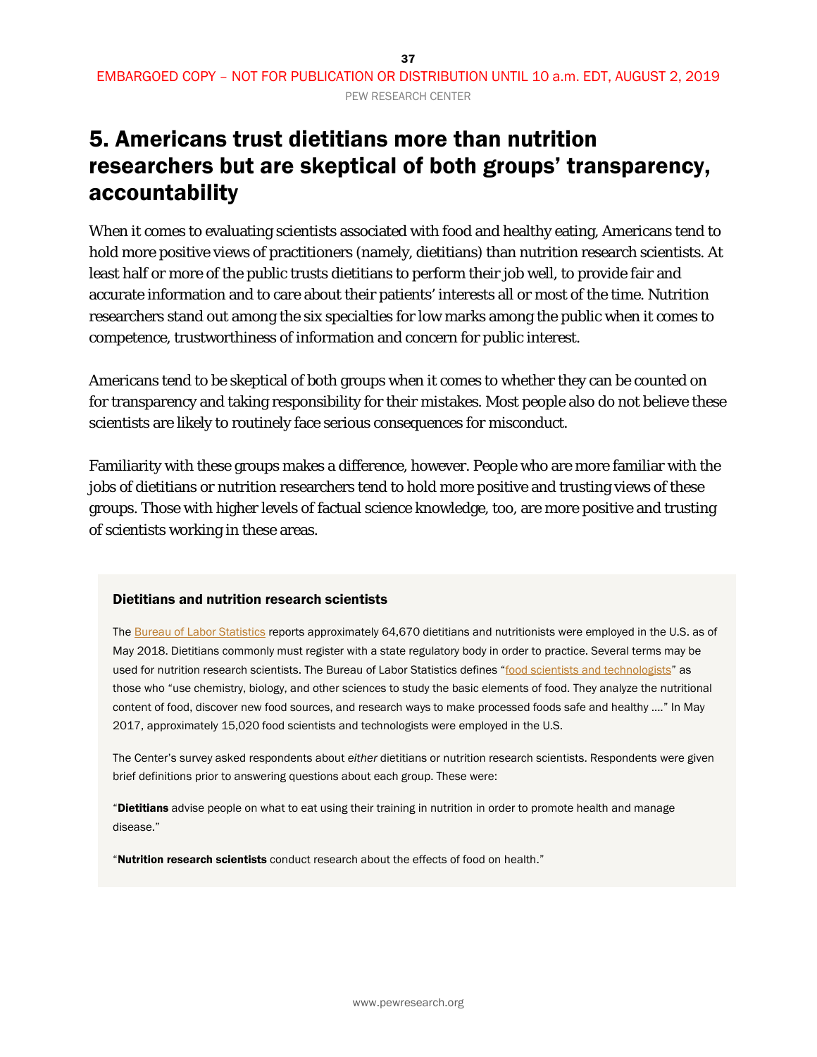# 5. Americans trust dietitians more than nutrition researchers but are skeptical of both groups' transparency, accountability

When it comes to evaluating scientists associated with food and healthy eating, Americans tend to hold more positive views of practitioners (namely, dietitians) than nutrition research scientists. At least half or more of the public trusts dietitians to perform their job well, to provide fair and accurate information and to care about their patients' interests all or most of the time. Nutrition researchers stand out among the six specialties for low marks among the public when it comes to competence, trustworthiness of information and concern for public interest.

Americans tend to be skeptical of both groups when it comes to whether they can be counted on for transparency and taking responsibility for their mistakes. Most people also do not believe these scientists are likely to routinely face serious consequences for misconduct.

Familiarity with these groups makes a difference, however. People who are more familiar with the jobs of dietitians or nutrition researchers tend to hold more positive and trusting views of these groups. Those with higher levels of factual science knowledge, too, are more positive and trusting of scientists working in these areas.

### Dietitians and nutrition research scientists

Th[e Bureau of Labor Statistics](https://www.bls.gov/oes/current/oes_nat.htm) reports approximately 64,670 dietitians and nutritionists were employed in the U.S. as of May 2018. Dietitians commonly must register with a state regulatory body in order to practice. Several terms may be used for nutrition research scientists. The Bureau of Labor Statistics defines ["food scientists and technologists"](https://www.bls.gov/oes/2017/may/oes191012.htm) as those who "use chemistry, biology, and other sciences to study the basic elements of food. They analyze the nutritional content of food, discover new food sources, and research ways to make processed foods safe and healthy …." In May 2017, approximately 15,020 food scientists and technologists were employed in the U.S.

The Center's survey asked respondents about *either* dietitians or nutrition research scientists. Respondents were given brief definitions prior to answering questions about each group. These were:

"Dietitians advise people on what to eat using their training in nutrition in order to promote health and manage disease."

"Nutrition research scientists conduct research about the effects of food on health."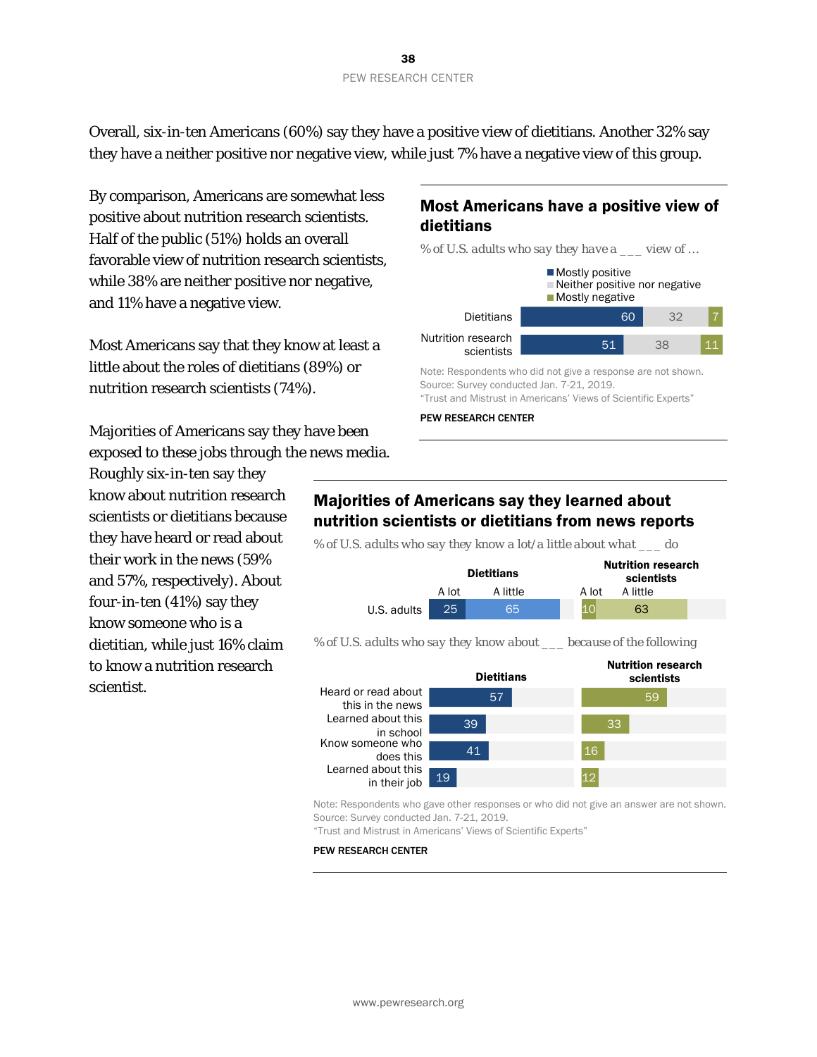Overall, six-in-ten Americans (60%) say they have a positive view of dietitians. Another 32% say they have a neither positive nor negative view, while just 7% have a negative view of this group.

By comparison, Americans are somewhat less positive about nutrition research scientists. Half of the public (51%) holds an overall favorable view of nutrition research scientists, while 38% are neither positive nor negative, and 11% have a negative view.

Most Americans say that they know at least a little about the roles of dietitians (89%) or nutrition research scientists (74%).

Majorities of Americans say they have been exposed to these jobs through the news media.

Roughly six-in-ten say they know about nutrition research scientists or dietitians because they have heard or read about their work in the news (59% and 57%, respectively). About four-in-ten (41%) say they know someone who is a dietitian, while just 16% claim to know a nutrition research scientist.

## Most Americans have a positive view of dietitians



Note: Respondents who did not give a response are not shown. Source: Survey conducted Jan. 7-21, 2019. "Trust and Mistrust in Americans' Views of Scientific Experts"

PEW RESEARCH CENTER

## Majorities of Americans say they learned about nutrition scientists or dietitians from news reports

*% of U.S. adults who say they know a lot/a little about what \_\_\_ do*



*% of U.S. adults who say they know about \_\_\_ because of the following*



Note: Respondents who gave other responses or who did not give an answer are not shown. Source: Survey conducted Jan. 7-21, 2019.

"Trust and Mistrust in Americans' Views of Scientific Experts"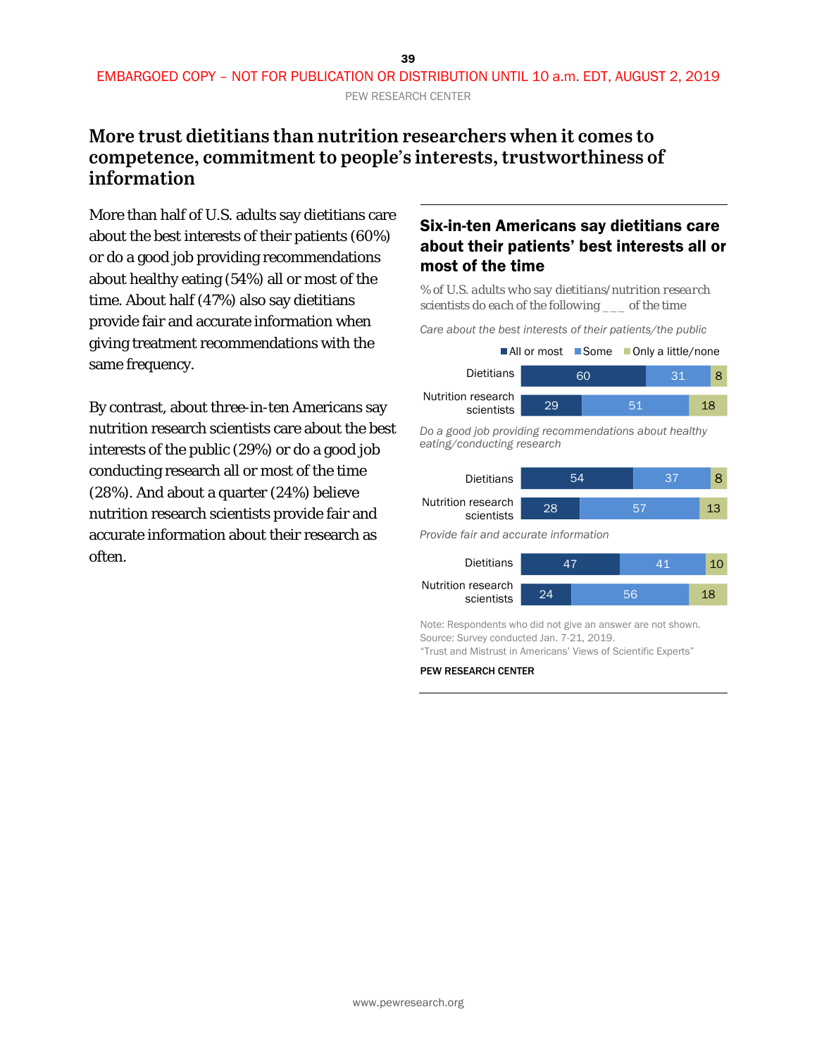## **More trust dietitians than nutrition researchers when it comes to competence, commitment to people's interests, trustworthiness of information**

More than half of U.S. adults say dietitians care about the best interests of their patients (60%) or do a good job providing recommendations about healthy eating (54%) all or most of the time. About half (47%) also say dietitians provide fair and accurate information when giving treatment recommendations with the same frequency.

By contrast, about three-in-ten Americans say nutrition research scientists care about the best interests of the public (29%) or do a good job conducting research all or most of the time (28%). And about a quarter (24%) believe nutrition research scientists provide fair and accurate information about their research as often.

## Six-in-ten Americans say dietitians care about their patients' best interests all or most of the time

*% of U.S. adults who say dietitians/nutrition research scientists do each of the following \_\_\_ of the time*

*Care about the best interests of their patients/the public*

|                                  |    | $\blacksquare$ All or most $\blacksquare$ Some $\blacksquare$ Only a little/none |    |     |    |  |
|----------------------------------|----|----------------------------------------------------------------------------------|----|-----|----|--|
| Dietitians                       |    | 60                                                                               |    | -31 |    |  |
| Nutrition research<br>scientists | 29 |                                                                                  | 51 |     | 18 |  |

*Do a good job providing recommendations about healthy eating/conducting research*

| <b>Dietitians</b>                     | 54 |  |    | 37 | 8  |
|---------------------------------------|----|--|----|----|----|
| Nutrition research<br>scientists      | 28 |  | 57 |    | 13 |
| Provide fair and accurate information |    |  |    |    |    |
| <b>Dietitians</b>                     |    |  |    | 41 |    |

| --------                         |  |    |  |
|----------------------------------|--|----|--|
| Nutrition research<br>scientists |  | EA |  |

Note: Respondents who did not give an answer are not shown. Source: Survey conducted Jan. 7-21, 2019. "Trust and Mistrust in Americans' Views of Scientific Experts"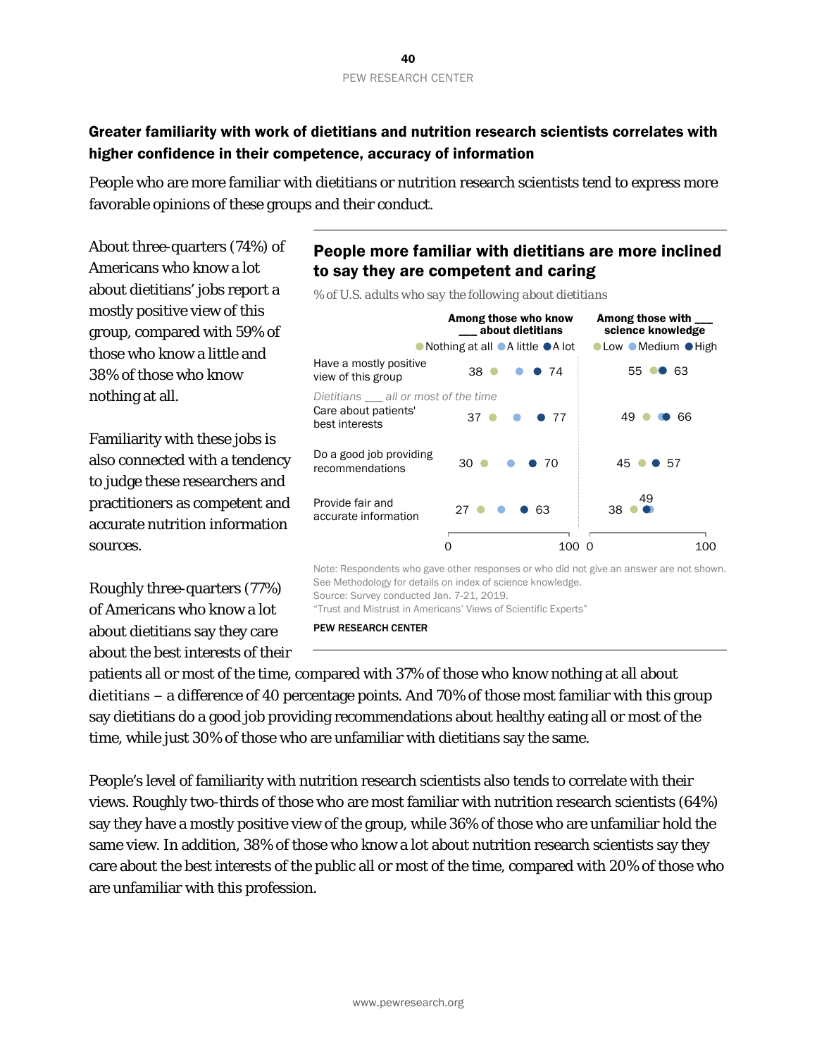### Greater familiarity with work of dietitians and nutrition research scientists correlates with higher confidence in their competence, accuracy of information

People who are more familiar with dietitians or nutrition research scientists tend to express more favorable opinions of these groups and their conduct.

About three-quarters (74%) of Americans who know a lot about dietitians' jobs report a mostly positive view of this group, compared with 59% of those who know a little and 38% of those who know nothing at all.

Familiarity with these jobs is also connected with a tendency to judge these researchers and practitioners as competent and accurate nutrition information sources.

Roughly three-quarters (77%) of Americans who know a lot about dietitians say they care about the best interests of their

### People more familiar with dietitians are more inclined to say they are competent and caring



*% of U.S. adults who say the following about dietitians*

See Methodology for details on index of science knowledge. Source: Survey conducted Jan. 7-21, 2019. "Trust and Mistrust in Americans' Views of Scientific Experts"

PEW RESEARCH CENTER

patients all or most of the time, compared with 37% of those who know nothing at all about dietitians − a difference of 40 percentage points. And 70% of those most familiar with this group say dietitians do a good job providing recommendations about healthy eating all or most of the time, while just 30% of those who are unfamiliar with dietitians say the same.

People's level of familiarity with nutrition research scientists also tends to correlate with their views. Roughly two-thirds of those who are most familiar with nutrition research scientists (64%) say they have a mostly positive view of the group, while 36% of those who are unfamiliar hold the same view. In addition, 38% of those who know a lot about nutrition research scientists say they care about the best interests of the public all or most of the time, compared with 20% of those who are unfamiliar with this profession.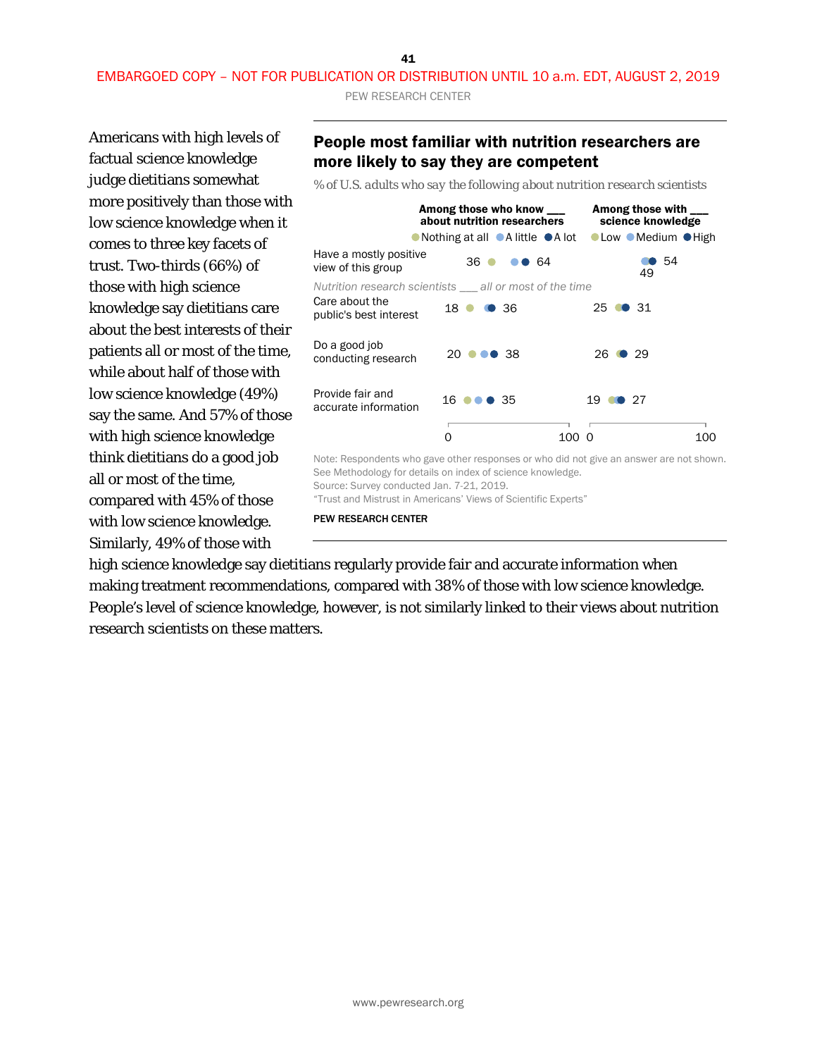41 EMBARGOED COPY – NOT FOR PUBLICATION OR DISTRIBUTION UNTIL 10 a.m. EDT, AUGUST 2, 2019 PEW RESEARCH CENTER

Americans with high levels of factual science knowledge judge dietitians somewhat more positively than those with low science knowledge when it comes to three key facets of trust. Two-thirds (66%) of those with high science knowledge say dietitians care about the best interests of their patients all or most of the time, while about half of those with low science knowledge (49%) say the same. And 57% of those with high science knowledge think dietitians do a good job all or most of the time, compared with 45% of those with low science knowledge. Similarly, 49% of those with

### People most familiar with nutrition researchers are more likely to say they are competent

*% of U.S. adults who say the following about nutrition research scientists*



Source: Survey conducted Jan. 7-21, 2019.

"Trust and Mistrust in Americans' Views of Scientific Experts"

PEW RESEARCH CENTER

high science knowledge say dietitians regularly provide fair and accurate information when making treatment recommendations, compared with 38% of those with low science knowledge. People's level of science knowledge, however, is not similarly linked to their views about nutrition research scientists on these matters.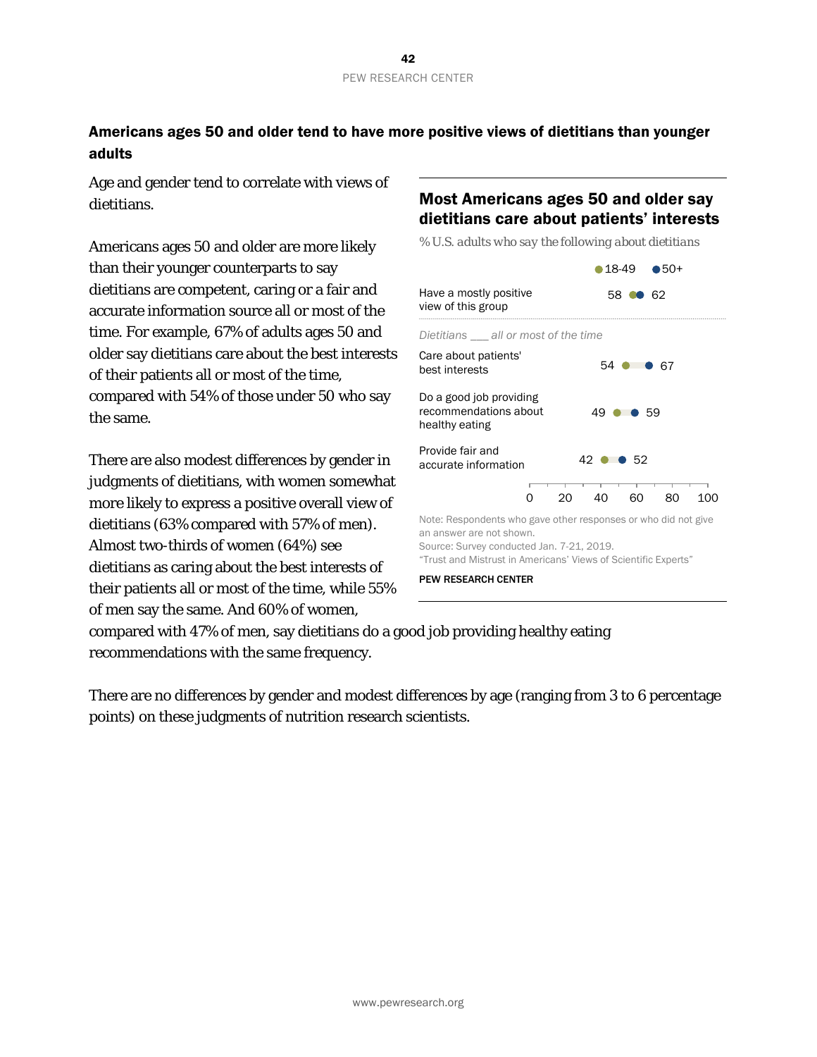### Americans ages 50 and older tend to have more positive views of dietitians than younger adults

Age and gender tend to correlate with views of dietitians.

Americans ages 50 and older are more likely than their younger counterparts to say dietitians are competent, caring or a fair and accurate information source all or most of the time. For example, 67% of adults ages 50 and older say dietitians care about the best interests of their patients all or most of the time, compared with 54% of those under 50 who say the same.

There are also modest differences by gender in judgments of dietitians, with women somewhat more likely to express a positive overall view of dietitians (63% compared with 57% of men). Almost two-thirds of women (64%) see dietitians as caring about the best interests of their patients all or most of the time, while 55% of men say the same. And 60% of women,

## Most Americans ages 50 and older say dietitians care about patients' interests

*% U.S. adults who say the following about dietitians*



compared with 47% of men, say dietitians do a good job providing healthy eating recommendations with the same frequency.

There are no differences by gender and modest differences by age (ranging from 3 to 6 percentage points) on these judgments of nutrition research scientists.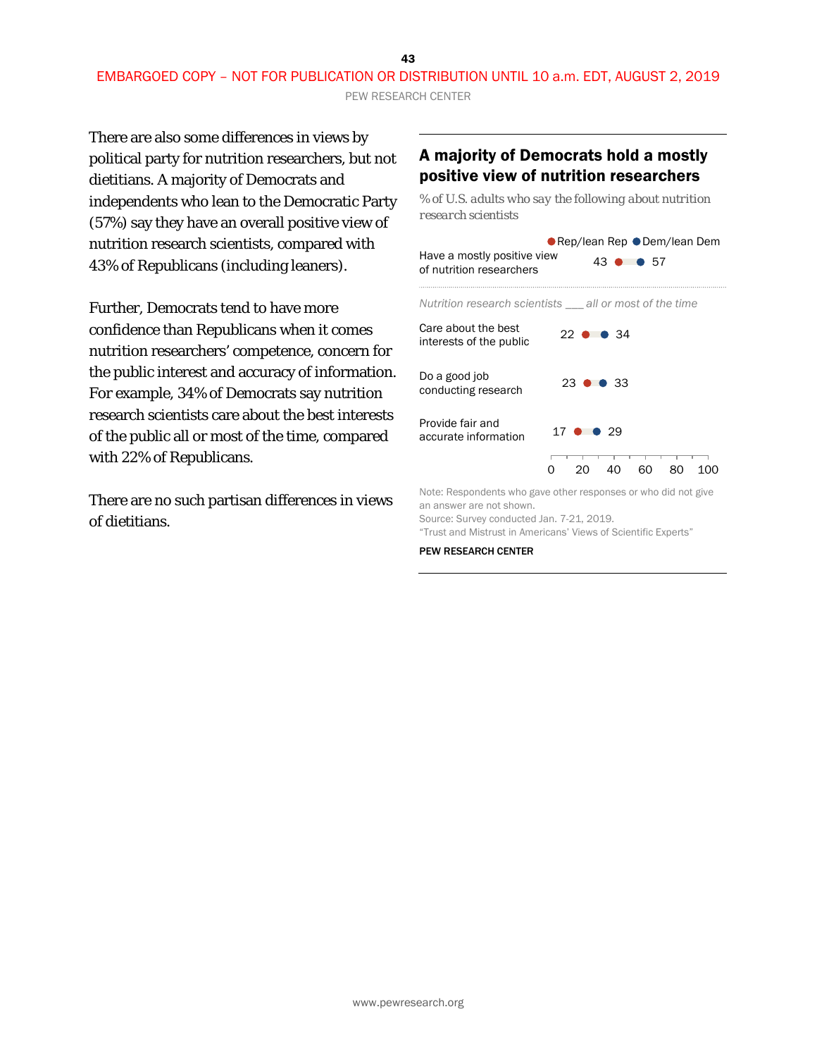PEW RESEARCH CENTER

There are also some differences in views by political party for nutrition researchers, but not dietitians. A majority of Democrats and independents who lean to the Democratic Party (57%) say they have an overall positive view of nutrition research scientists, compared with 43% of Republicans (including leaners).

Further, Democrats tend to have more confidence than Republicans when it comes nutrition researchers' competence, concern for the public interest and accuracy of information. For example, 34% of Democrats say nutrition research scientists care about the best interests of the public all or most of the time, compared with 22% of Republicans.

There are no such partisan differences in views of dietitians.

### A majority of Democrats hold a mostly positive view of nutrition researchers

*% of U.S. adults who say the following about nutrition research scientists*

Note: Respondents who gave other responses or who did not give an answer are not shown.

Source: Survey conducted Jan. 7-21, 2019.

"Trust and Mistrust in Americans' Views of Scientific Experts"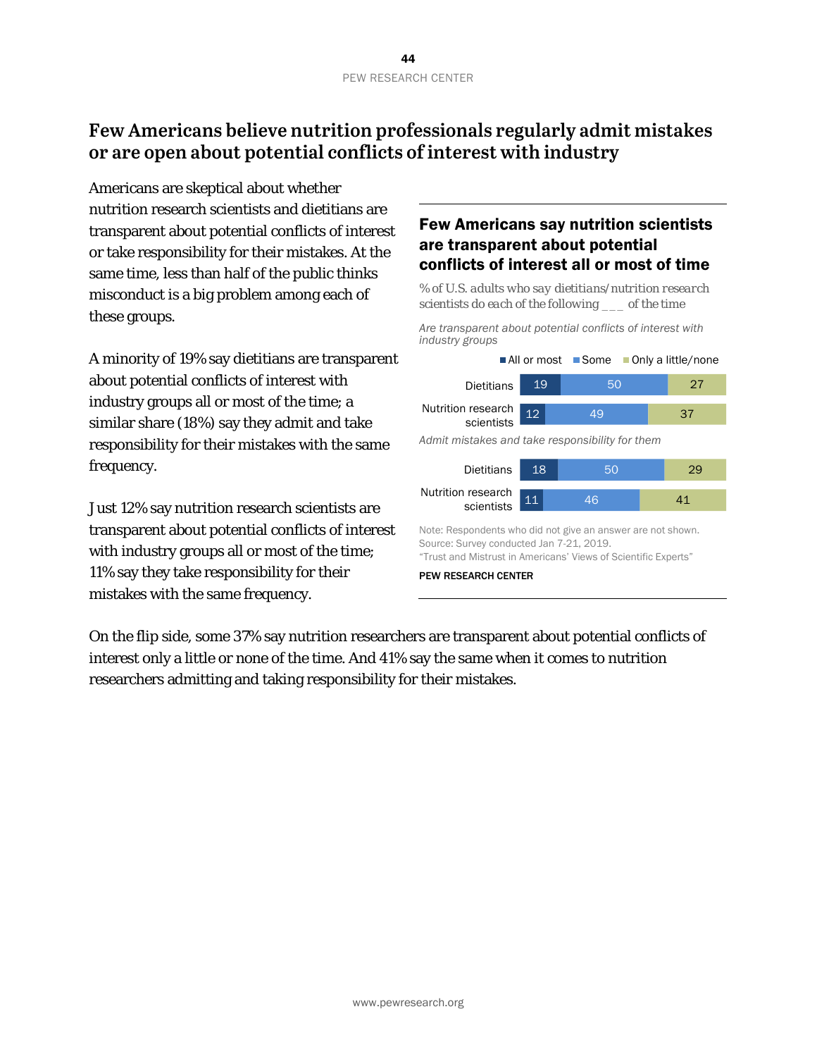## **Few Americans believe nutrition professionals regularly admit mistakes or are open about potential conflicts of interest with industry**

Americans are skeptical about whether nutrition research scientists and dietitians are transparent about potential conflicts of interest or take responsibility for their mistakes. At the same time, less than half of the public thinks misconduct is a big problem among each of these groups.

A minority of 19% say dietitians are transparent about potential conflicts of interest with industry groups all or most of the time; a similar share (18%) say they admit and take responsibility for their mistakes with the same frequency.

Just 12% say nutrition research scientists are transparent about potential conflicts of interest with industry groups all or most of the time; 11% say they take responsibility for their mistakes with the same frequency.

### Few Americans say nutrition scientists are transparent about potential conflicts of interest all or most of time

*% of U.S. adults who say dietitians/nutrition research scientists do each of the following \_\_\_ of the time*

*Are transparent about potential conflicts of interest with industry groups*



PEW RESEARCH CENTER

On the flip side, some 37% say nutrition researchers are transparent about potential conflicts of interest only a little or none of the time. And 41% say the same when it comes to nutrition researchers admitting and taking responsibility for their mistakes.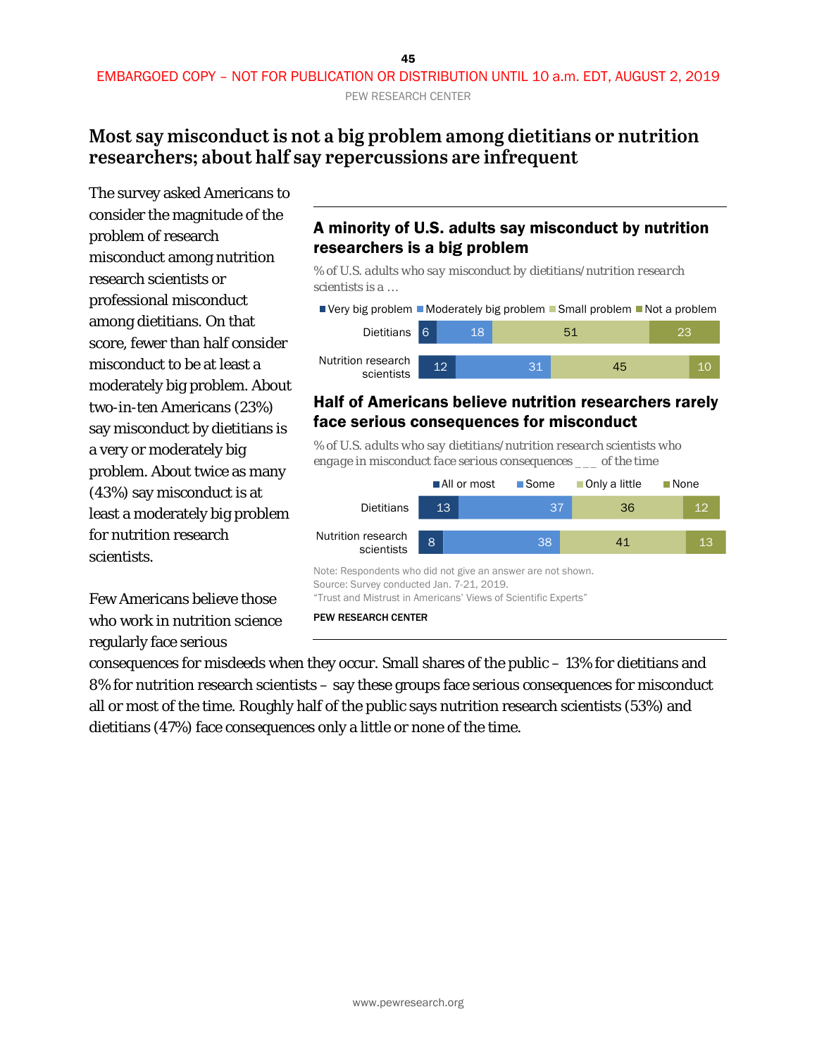## **Most say misconduct is not a big problem among dietitians or nutrition researchers; about half say repercussions are infrequent**

The survey asked Americans to consider the magnitude of the problem of research misconduct among nutrition research scientists or professional misconduct among dietitians. On that score, fewer than half consider misconduct to be at least a moderately big problem. About two-in-ten Americans (23%) say misconduct by dietitians is a very or moderately big problem. About twice as many (43%) say misconduct is at least a moderately big problem for nutrition research scientists.

Few Americans believe those who work in nutrition science regularly face serious

## A minority of U.S. adults say misconduct by nutrition researchers is a big problem

*% of U.S. adults who say misconduct by dietitians/nutrition research scientists is a …*

■ Very big problem ■ Moderately big problem ■ Small problem ■ Not a problem



### Half of Americans believe nutrition researchers rarely face serious consequences for misconduct

*% of U.S. adults who say dietitians/nutrition research scientists who engage in misconduct face serious consequences \_\_\_ of the time*



consequences for misdeeds when they occur. Small shares of the public – 13% for dietitians and 8% for nutrition research scientists – say these groups face serious consequences for misconduct all or most of the time. Roughly half of the public says nutrition research scientists (53%) and dietitians (47%) face consequences only a little or none of the time.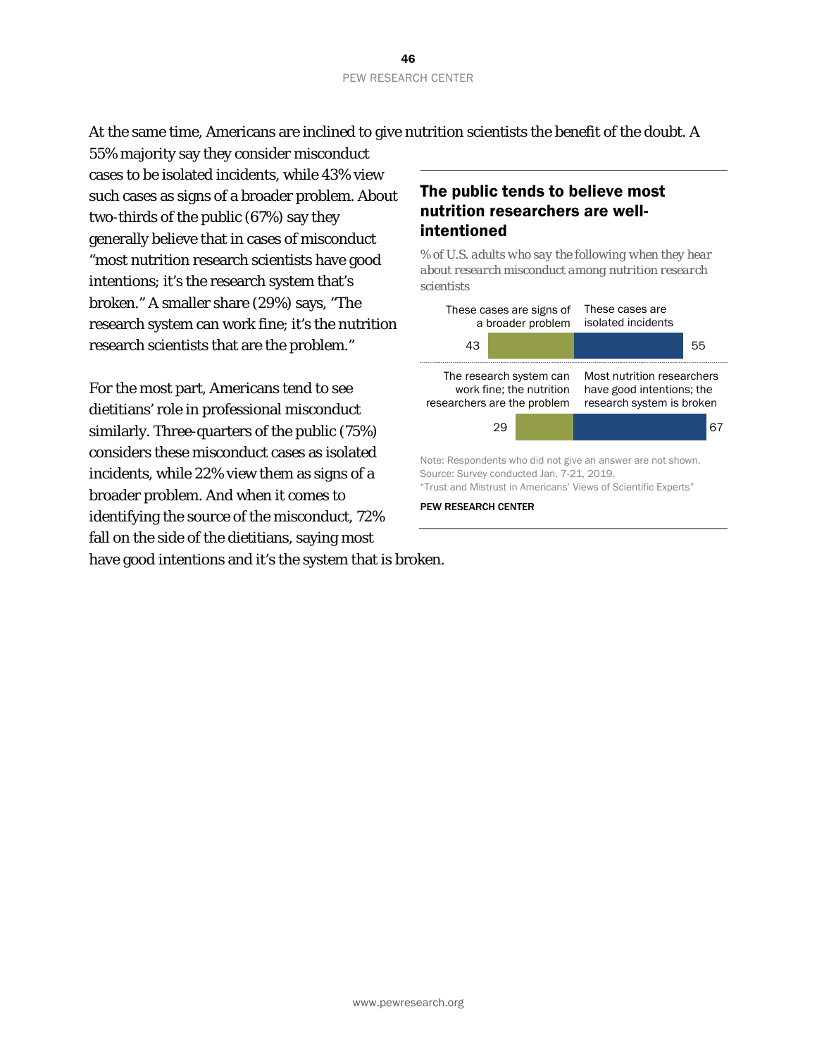At the same time, Americans are inclined to give nutrition scientists the benefit of the doubt. A

55% majority say they consider misconduct cases to be isolated incidents, while 43% view such cases as signs of a broader problem. About two-thirds of the public (67%) say they generally believe that in cases of misconduct "most nutrition research scientists have good intentions; it's the research system that's broken." A smaller share (29%) says, "The research system can work fine; it's the nutrition research scientists that are the problem."

For the most part, Americans tend to see dietitians' role in professional misconduct similarly. Three-quarters of the public (75%) considers these misconduct cases as isolated incidents, while 22% view them as signs of a broader problem. And when it comes to identifying the source of the misconduct, 72% fall on the side of the dietitians, saying most

## The public tends to believe most nutrition researchers are wellintentioned

*% of U.S. adults who say the following when they hear about research misconduct among nutrition research scientists*



have good intentions and it's the system that is broken.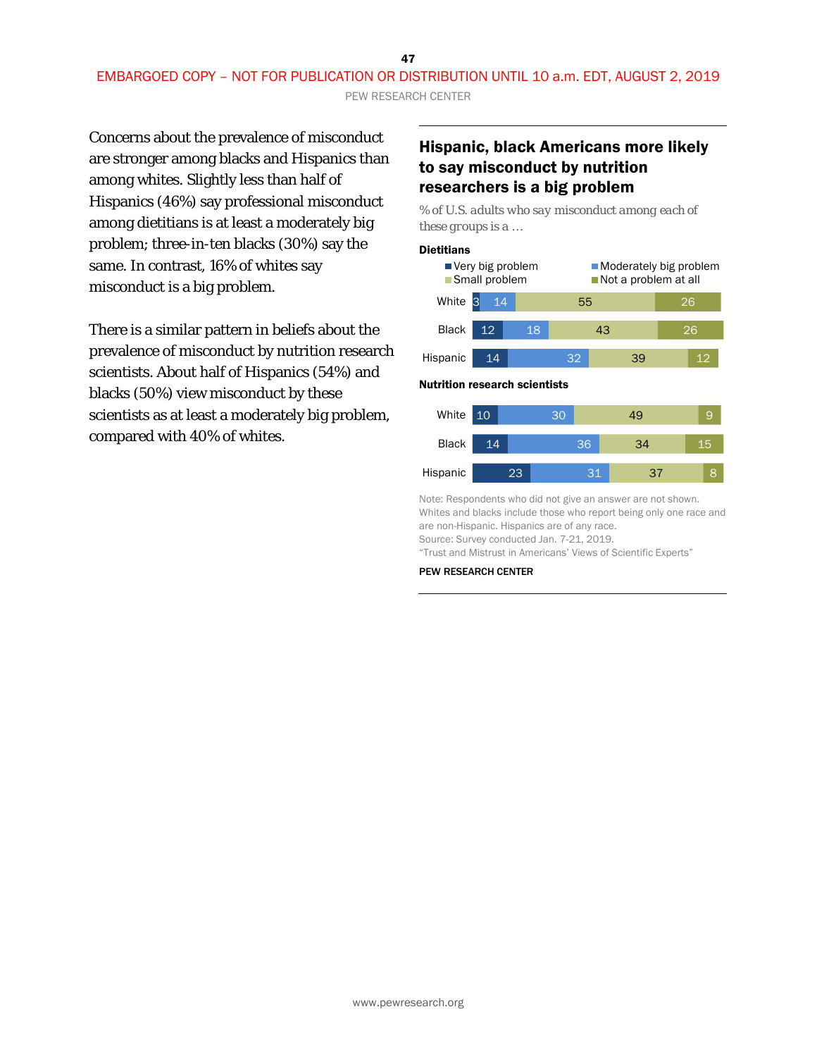Concerns about the prevalence of misconduct are stronger among blacks and Hispanics than among whites. Slightly less than half of Hispanics (46%) say professional misconduct among dietitians is at least a moderately big problem; three-in-ten blacks (30%) say the same. In contrast, 16% of whites say misconduct is a big problem.

There is a similar pattern in beliefs about the prevalence of misconduct by nutrition research scientists. About half of Hispanics (54%) and blacks (50%) view misconduct by these scientists as at least a moderately big problem, compared with 40% of whites.

### Hispanic, black Americans more likely to say misconduct by nutrition researchers is a big problem

*% of U.S. adults who say misconduct among each of these groups is a …*

#### **Dietitians**

Hispanic



Note: Respondents who did not give an answer are not shown. Whites and blacks include those who report being only one race and are non-Hispanic. Hispanics are of any race. Source: Survey conducted Jan. 7-21, 2019.

31

37

8

"Trust and Mistrust in Americans' Views of Scientific Experts"

23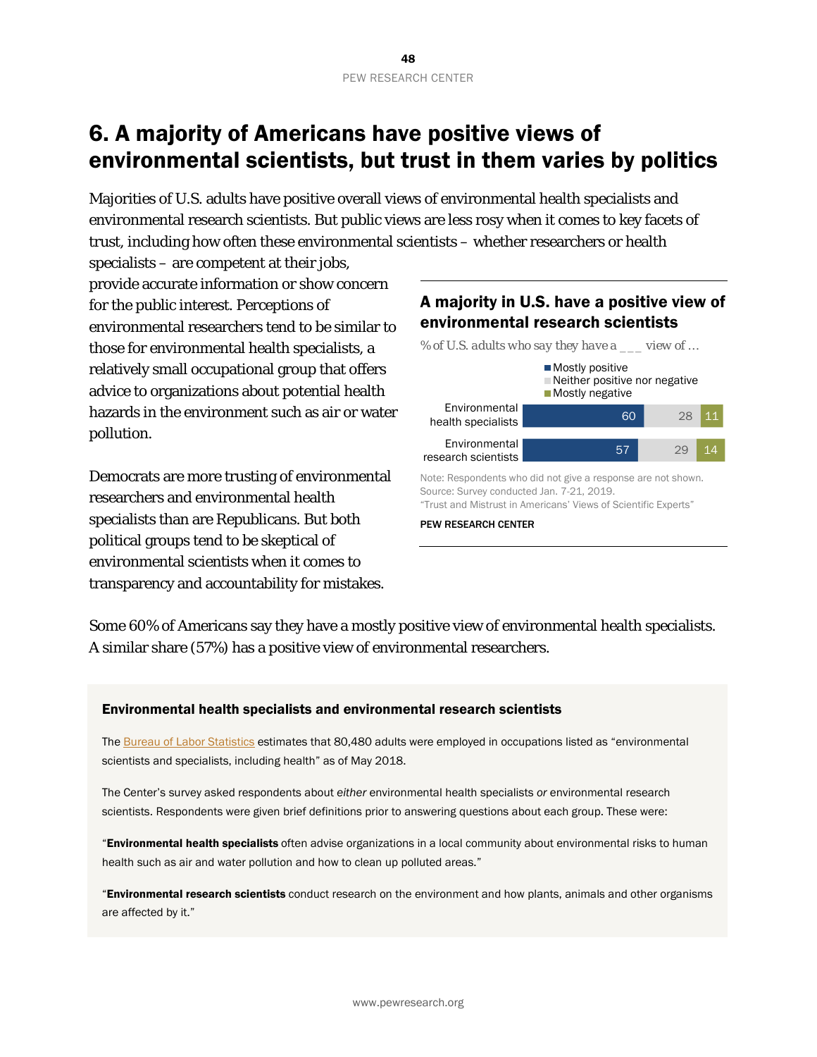# 6. A majority of Americans have positive views of environmental scientists, but trust in them varies by politics

Majorities of U.S. adults have positive overall views of environmental health specialists and environmental research scientists. But public views are less rosy when it comes to key facets of trust, including how often these environmental scientists – whether researchers or health

specialists – are competent at their jobs, provide accurate information or show concern for the public interest. Perceptions of environmental researchers tend to be similar to those for environmental health specialists, a relatively small occupational group that offers advice to organizations about potential health hazards in the environment such as air or water pollution.

Democrats are more trusting of environmental researchers and environmental health specialists than are Republicans. But both political groups tend to be skeptical of environmental scientists when it comes to transparency and accountability for mistakes.



Source: Survey conducted Jan. 7-21, 2019. "Trust and Mistrust in Americans' Views of Scientific Experts"

#### PEW RESEARCH CENTER

Some 60% of Americans say they have a mostly positive view of environmental health specialists. A similar share (57%) has a positive view of environmental researchers.

### Environmental health specialists and environmental research scientists

Th[e Bureau of Labor Statistics](https://www.bls.gov/oes/current/oes_nat.htm) estimates that 80,480 adults were employed in occupations listed as "environmental scientists and specialists, including health" as of May 2018.

The Center's survey asked respondents about *either* environmental health specialists *or* environmental research scientists. Respondents were given brief definitions prior to answering questions about each group. These were:

"Environmental health specialists often advise organizations in a local community about environmental risks to human health such as air and water pollution and how to clean up polluted areas."

"Environmental research scientists conduct research on the environment and how plants, animals and other organisms are affected by it."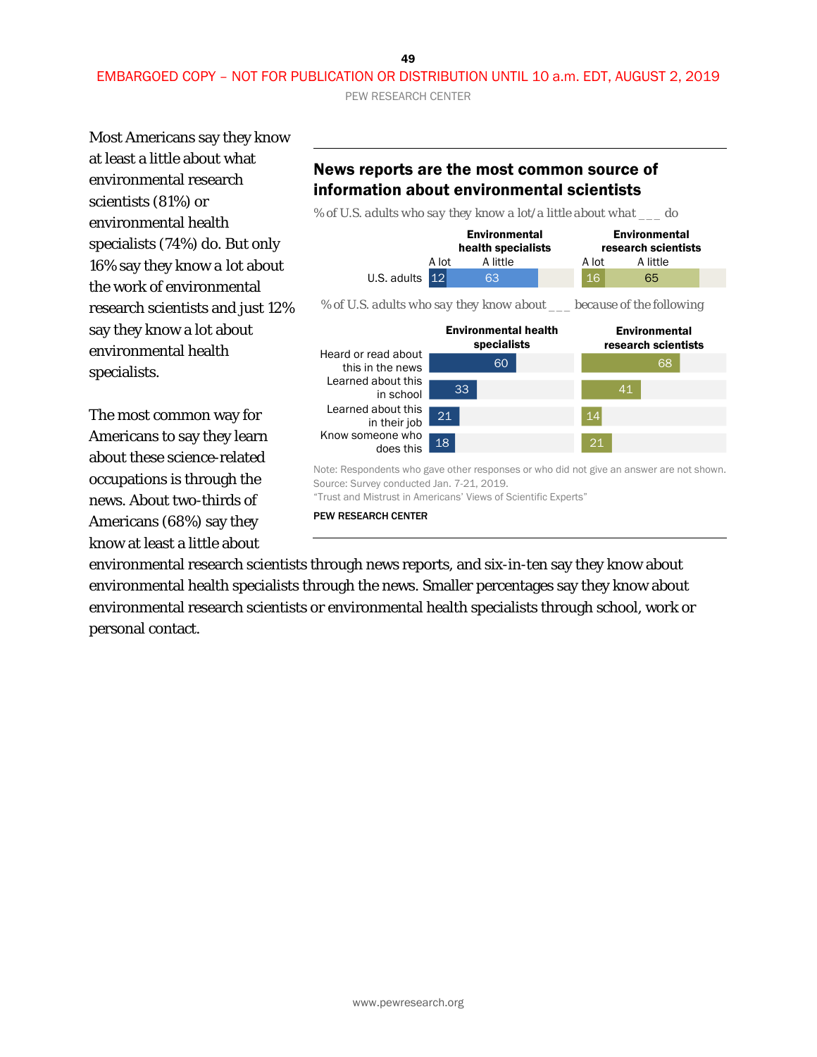49

## EMBARGOED COPY – NOT FOR PUBLICATION OR DISTRIBUTION UNTIL 10 a.m. EDT, AUGUST 2, 2019

PEW RESEARCH CENTER

Most Americans say they know at least a little about what environmental research scientists (81%) or environmental health specialists (74%) do. But only 16% say they know *a lot* about the work of environmental research scientists and just 12% say they know a lot about environmental health specialists.

The most common way for Americans to say they learn about these science-related occupations is through the news. About two-thirds of Americans (68%) say they know at least a little about

## News reports are the most common source of information about environmental scientists

*% of U.S. adults who say they know a lot/a little about what \_\_\_ do*



environmental research scientists through news reports, and six-in-ten say they know about environmental health specialists through the news. Smaller percentages say they know about environmental research scientists or environmental health specialists through school, work or personal contact.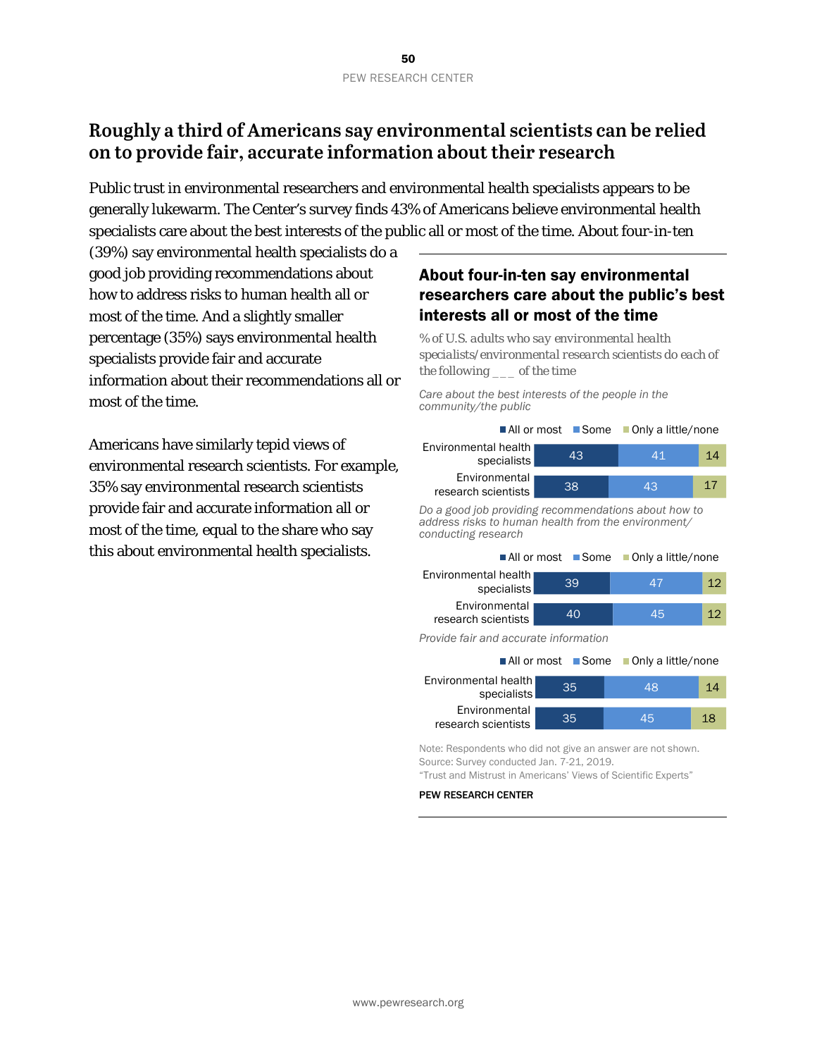## **Roughly a third of Americans say environmental scientists can be relied on to provide fair, accurate information about their research**

Public trust in environmental researchers and environmental health specialists appears to be generally lukewarm. The Center's survey finds 43% of Americans believe environmental health specialists care about the best interests of the public all or most of the time. About four-in-ten

(39%) say environmental health specialists do a good job providing recommendations about how to address risks to human health all or most of the time. And a slightly smaller percentage (35%) says environmental health specialists provide fair and accurate information about their recommendations all or most of the time.

Americans have similarly tepid views of environmental research scientists. For example, 35% say environmental research scientists provide fair and accurate information all or most of the time, equal to the share who say this about environmental health specialists.

## About four-in-ten say environmental researchers care about the public's best interests all or most of the time

*% of U.S. adults who say environmental health specialists/environmental research scientists do each of the following \_\_\_ of the time*

*Care about the best interests of the people in the community/the public*

|                                       |    | ■All or most ■ Some ■ Only a little/none |    |
|---------------------------------------|----|------------------------------------------|----|
| Environmental health I<br>specialists | 43 | 41                                       | 14 |
| Environmental<br>research scientists  | 38 | 43                                       | 17 |

*Do a good job providing recommendations about how to address risks to human health from the environment/ conducting research*

|                                      |    | $\blacksquare$ All or most $\blacksquare$ Some $\blacksquare$ Only a little/none |                 |
|--------------------------------------|----|----------------------------------------------------------------------------------|-----------------|
| Environmental health<br>specialists  | 39 | 47                                                                               | 12              |
| Environmental<br>research scientists | 40 | 45                                                                               | 12 <sub>1</sub> |
|                                      |    |                                                                                  |                 |

*Provide fair and accurate information*

|                                      |    | $\blacksquare$ All or most $\blacksquare$ Some $\blacksquare$ Only a little/none |    |
|--------------------------------------|----|----------------------------------------------------------------------------------|----|
| Environmental health<br>specialists  | 35 | 48                                                                               | 14 |
| Environmental<br>research scientists | 35 | 45                                                                               | 18 |

Note: Respondents who did not give an answer are not shown. Source: Survey conducted Jan. 7-21, 2019. "Trust and Mistrust in Americans' Views of Scientific Experts"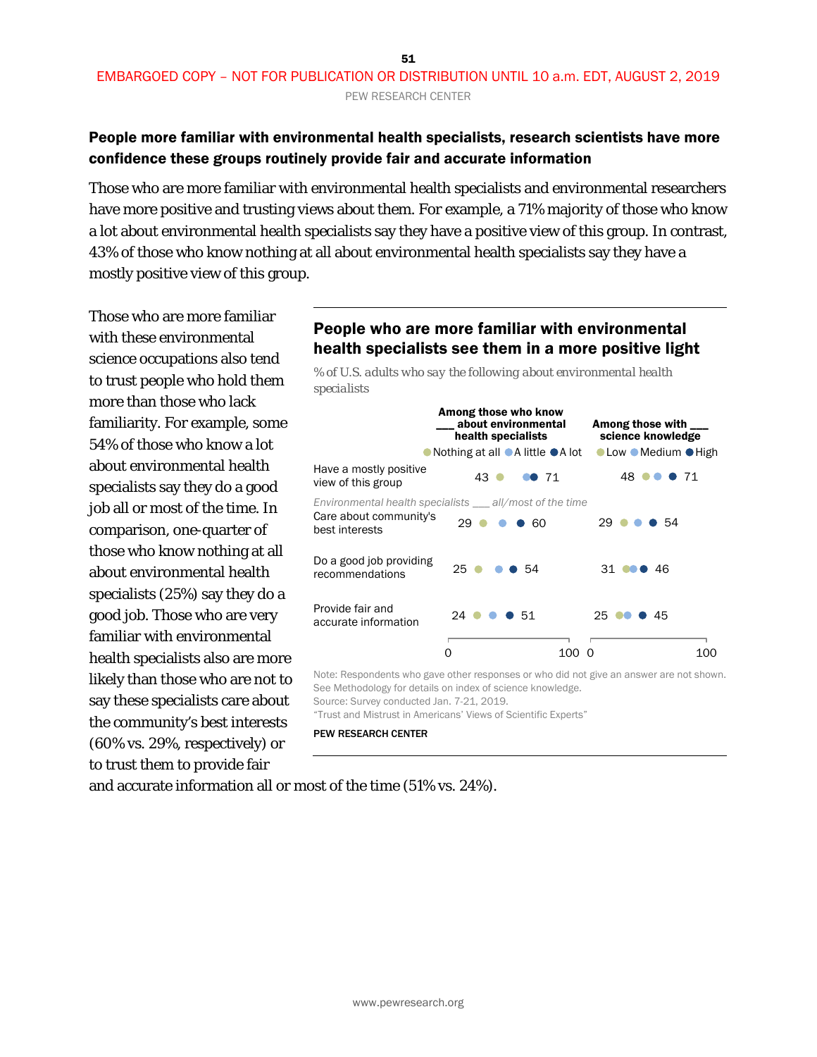### People more familiar with environmental health specialists, research scientists have more confidence these groups routinely provide fair and accurate information

Those who are more familiar with environmental health specialists and environmental researchers have more positive and trusting views about them. For example, a 71% majority of those who know a lot about environmental health specialists say they have a positive view of this group. In contrast, 43% of those who know nothing at all about environmental health specialists say they have a mostly positive view of this group.

Those who are more familiar with these environmental science occupations also tend to trust people who hold them more than those who lack familiarity. For example, some 54% of those who know a lot about environmental health specialists say they do a good job all or most of the time. In comparison, one-quarter of those who know nothing at all about environmental health specialists (25%) say they do a good job. Those who are very familiar with environmental health specialists also are more likely than those who are not to say these specialists care about the community's best interests (60% vs. 29%, respectively) or to trust them to provide fair

### People who are more familiar with environmental health specialists see them in a more positive light

*% of U.S. adults who say the following about environmental health specialists*



Note: Respondents who gave other responses or who did not give an answer are not shown. See Methodology for details on index of science knowledge. Source: Survey conducted Jan. 7-21, 2019.

"Trust and Mistrust in Americans' Views of Scientific Experts"

#### PEW RESEARCH CENTER

and accurate information all or most of the time (51% vs. 24%).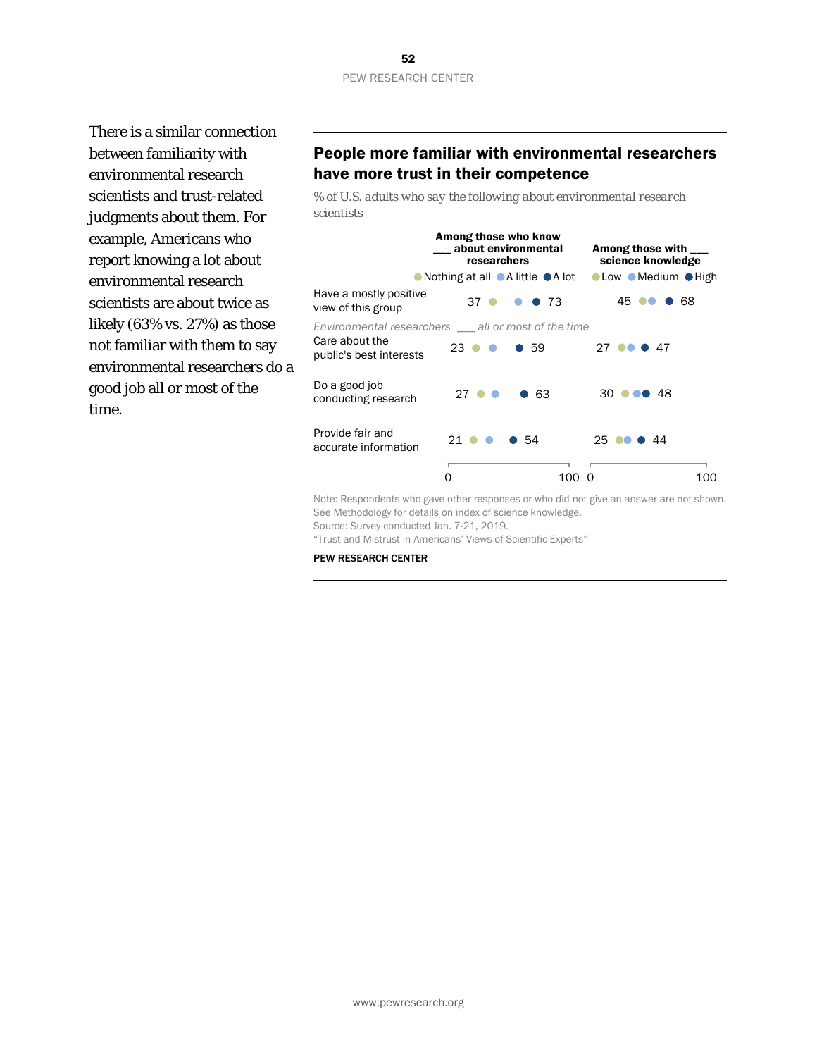There is a similar connection between familiarity with environmental research scientists and trust-related judgments about them. For example, Americans who report knowing a lot about environmental research scientists are about twice as likely (63% vs. 27%) as those not familiar with them to say environmental researchers do a good job all or most of the time.

### People more familiar with environmental researchers have more trust in their competence

*% of U.S. adults who say the following about environmental research scientists*



Note: Respondents who gave other responses or who did not give an answer are not shown. See Methodology for details on index of science knowledge.

Source: Survey conducted Jan. 7-21, 2019.

"Trust and Mistrust in Americans' Views of Scientific Experts"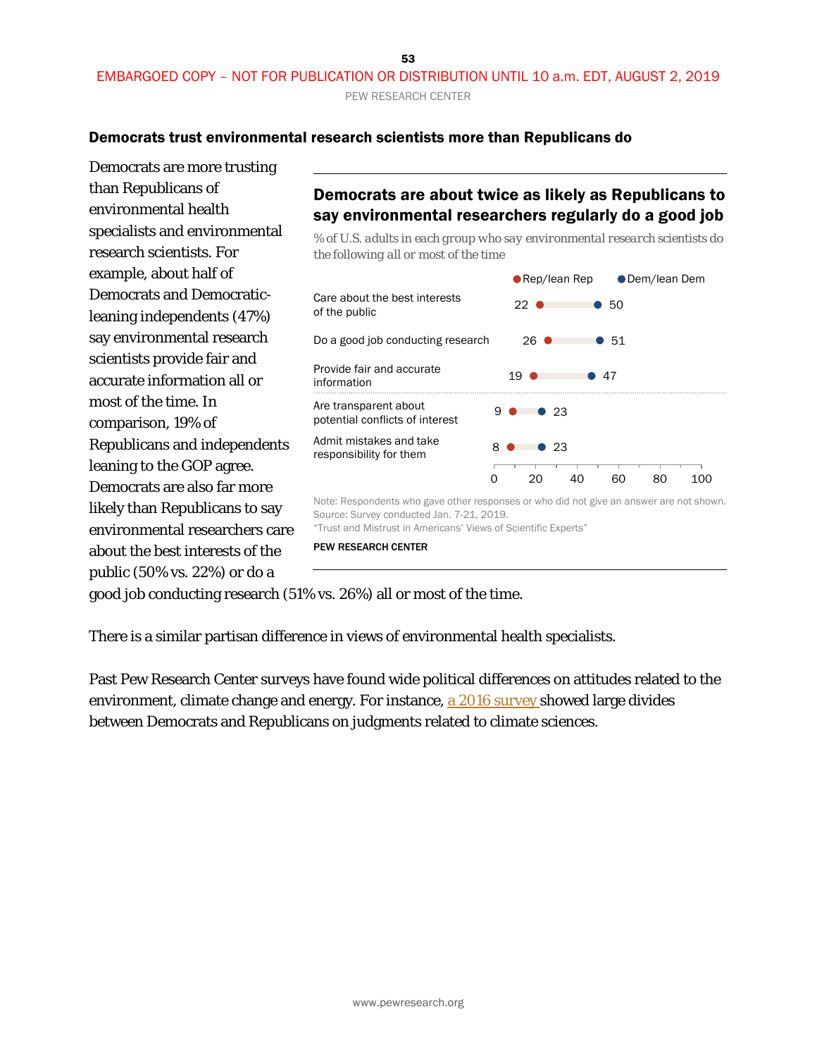53

### EMBARGOED COPY – NOT FOR PUBLICATION OR DISTRIBUTION UNTIL 10 a.m. EDT, AUGUST 2, 2019 PEW RESEARCH CENTER

### Democrats trust environmental research scientists more than Republicans do

Democrats are more trusting than Republicans of environmental health specialists and environmental research scientists. For example, about half of Democrats and Democraticleaning independents (47%) say environmental research scientists provide fair and accurate information all or most of the time. In comparison, 19% of Republicans and independents leaning to the GOP agree. Democrats are also far more likely than Republicans to say environmental researchers care about the best interests of the public (50% vs. 22%) or do a

## Democrats are about twice as likely as Republicans to say environmental researchers regularly do a good job

*% of U.S. adults in each group who say environmental research scientists do the following all or most of the time*



PEW RESEARCH CENTER

good job conducting research (51% vs. 26%) all or most of the time.

There is a similar partisan difference in views of environmental health specialists.

Past Pew Research Center surveys have found wide political differences on attitudes related to the environment, climate change and energy. For instance, a [2016 survey](https://www.pewresearch.org/science/2016/10/04/public-views-on-climate-change-and-climate-scientists/) showed large divides between Democrats and Republicans on judgments related to climate sciences.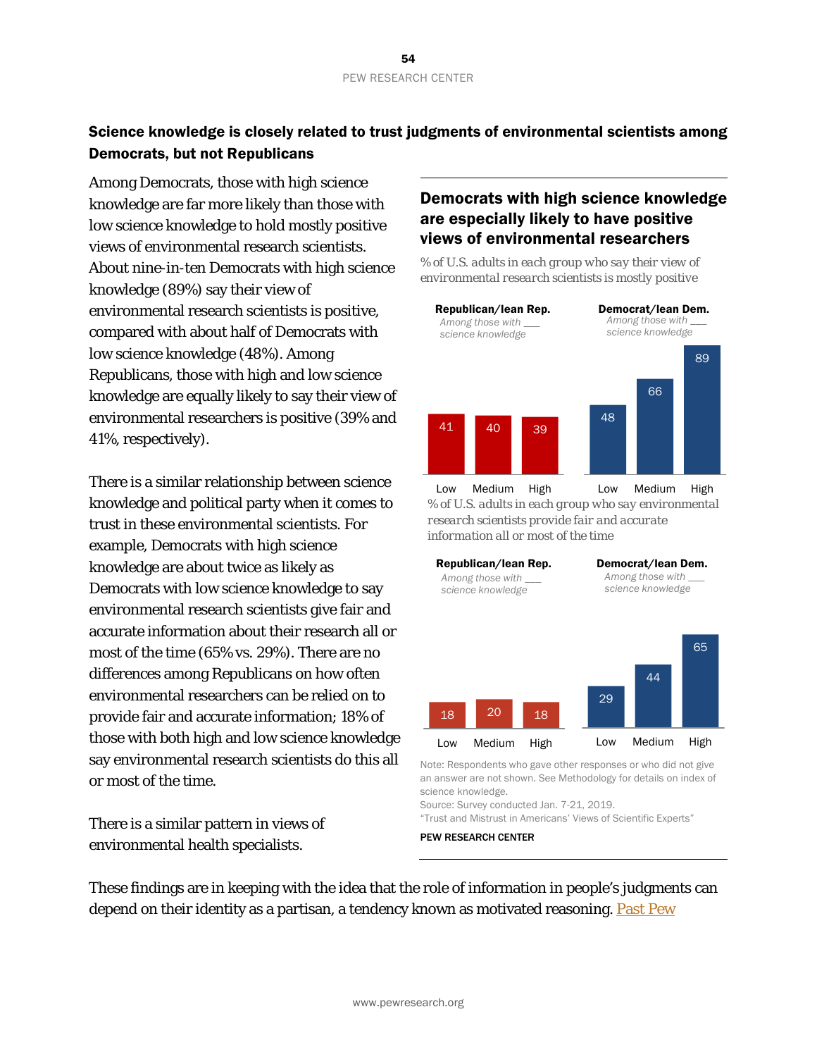## Science knowledge is closely related to trust judgments of environmental scientists among Democrats, but not Republicans

Among Democrats, those with high science knowledge are far more likely than those with low science knowledge to hold mostly positive views of environmental research scientists. About nine-in-ten Democrats with high science knowledge (89%) say their view of environmental research scientists is positive, compared with about half of Democrats with low science knowledge (48%). Among Republicans, those with high and low science knowledge are equally likely to say their view of environmental researchers is positive (39% and 41%, respectively).

There is a similar relationship between science knowledge and political party when it comes to trust in these environmental scientists. For example, Democrats with high science knowledge are about twice as likely as Democrats with low science knowledge to say environmental research scientists give fair and accurate information about their research all or most of the time (65% vs. 29%). There are no differences among Republicans on how often environmental researchers can be relied on to provide fair and accurate information; 18% of those with both high and low science knowledge say environmental research scientists do this all or most of the time.

There is a similar pattern in views of environmental health specialists.

## Democrats with high science knowledge are especially likely to have positive views of environmental researchers

*% of U.S. adults in each group who say their view of environmental research scientists is mostly positive*



*% of U.S. adults in each group who say environmental research scientists provide fair and accurate information all or most of the time*



Note: Respondents who gave other responses or who did not give an answer are not shown. See Methodology for details on index of science knowledge.

Source: Survey conducted Jan. 7-21, 2019.

"Trust and Mistrust in Americans' Views of Scientific Experts"

PEW RESEARCH CENTER

These findings are in keeping with the idea that the role of information in people's judgments can depend on their identity as a partisan, a tendency known as motivated reasoning. Past Pew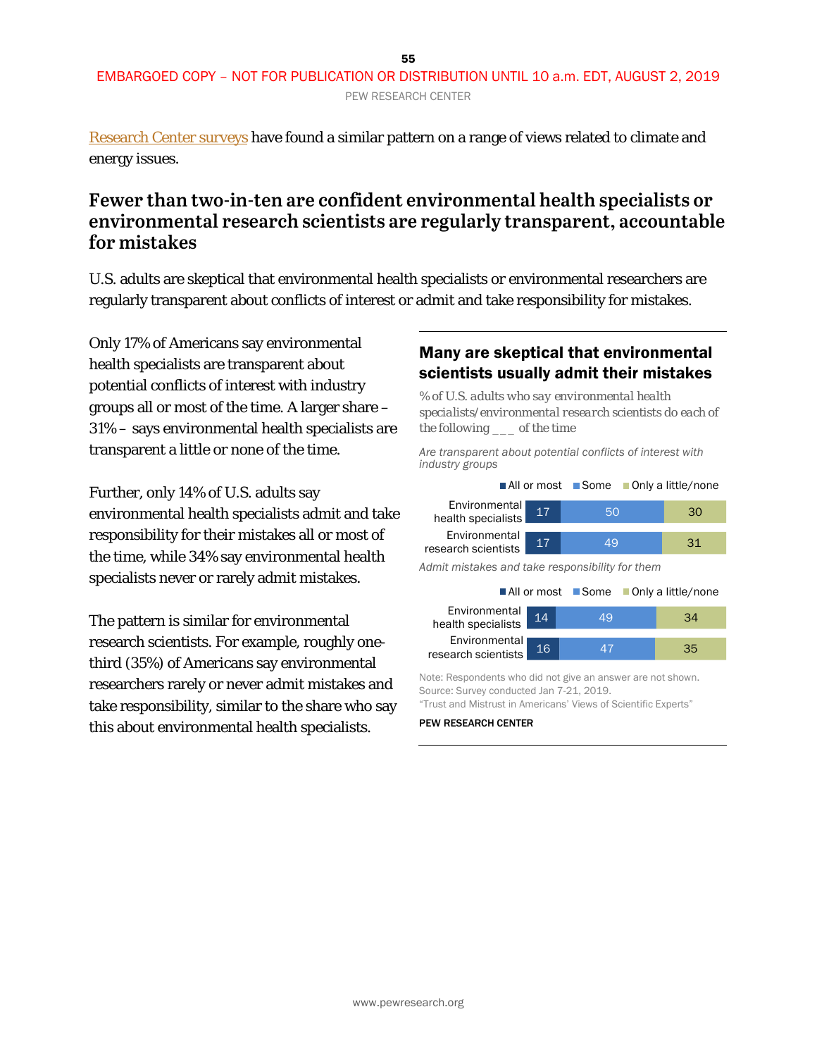[Research Center surveys](https://www.pewresearch.org/science/2016/10/04/public-knowledge-about-science-has-a-limited-tie-to-peoples-beliefs-about-climate-change-and-climate-scientists/) have found a similar pattern on a range of views related to climate and energy issues.

## **Fewer than two-in-ten are confident environmental health specialists or environmental research scientists are regularly transparent, accountable for mistakes**

U.S. adults are skeptical that environmental health specialists or environmental researchers are regularly transparent about conflicts of interest or admit and take responsibility for mistakes.

Only 17% of Americans say environmental health specialists are transparent about potential conflicts of interest with industry groups all or most of the time. A larger share – 31% – says environmental health specialists are transparent a little or none of the time.

Further, only 14% of U.S. adults say environmental health specialists admit and take responsibility for their mistakes all or most of the time, while 34% say environmental health specialists never or rarely admit mistakes.

The pattern is similar for environmental research scientists. For example, roughly onethird (35%) of Americans say environmental researchers rarely or never admit mistakes and take responsibility, similar to the share who say this about environmental health specialists.

### Many are skeptical that environmental scientists usually admit their mistakes

*% of U.S. adults who say environmental health specialists/environmental research scientists do each of the following \_\_\_ of the time*

*Are transparent about potential conflicts of interest with industry groups*

| ■All or most                                    | ■Some | ■ Only a little/none |  |  |  |
|-------------------------------------------------|-------|----------------------|--|--|--|
| Environmental<br>17                             | 50    | 30                   |  |  |  |
| 17                                              | 49    | 31                   |  |  |  |
| Admit mistakes and take responsibility for them |       |                      |  |  |  |
| ■All or most                                    | ■Some | ■ Only a little/none |  |  |  |
| 14                                              | 49    | 34                   |  |  |  |
| 16                                              | 47    | 35                   |  |  |  |
|                                                 |       |                      |  |  |  |

Note: Respondents who did not give an answer are not shown. Source: Survey conducted Jan 7-21, 2019. "Trust and Mistrust in Americans' Views of Scientific Experts"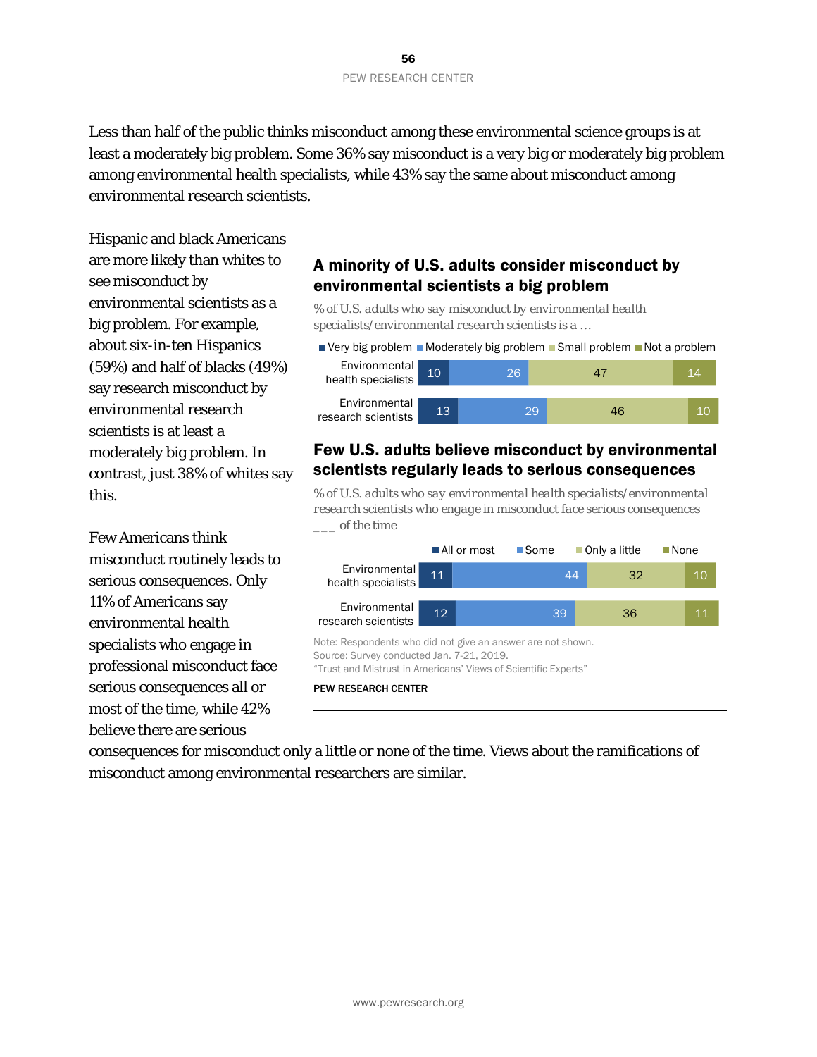Less than half of the public thinks misconduct among these environmental science groups is at least a moderately big problem. Some 36% say misconduct is a very big or moderately big problem among environmental health specialists, while 43% say the same about misconduct among environmental research scientists.

Hispanic and black Americans are more likely than whites to see misconduct by environmental scientists as a big problem. For example, about six-in-ten Hispanics (59%) and half of blacks (49%) say research misconduct by environmental research scientists is at least a moderately big problem. In contrast, just 38% of whites say this.

Few Americans think misconduct routinely leads to serious consequences. Only 11% of Americans say environmental health specialists who engage in professional misconduct face serious consequences all or most of the time, while 42% believe there are serious

## A minority of U.S. adults consider misconduct by environmental scientists a big problem

*% of U.S. adults who say misconduct by environmental health specialists/environmental research scientists is a …*

|                                       |      |     | $\blacksquare$ Very big problem $\blacksquare$ Moderately big problem $\blacksquare$ Small problem $\blacksquare$ Not a problem |    |
|---------------------------------------|------|-----|---------------------------------------------------------------------------------------------------------------------------------|----|
| Environmental<br>  health specialists | $10$ | 261 | 47                                                                                                                              | 14 |
| Environmental<br>research scientists  | 13.  |     | 29<br>46                                                                                                                        | 10 |

### Few U.S. adults believe misconduct by environmental scientists regularly leads to serious consequences

*% of U.S. adults who say environmental health specialists/environmental research scientists who engage in misconduct face serious consequences \_\_\_ of the time*

|                                                                                                                                                                            |                 | All or most | ■Some |    | ■Only a little | $\blacksquare$ None |    |
|----------------------------------------------------------------------------------------------------------------------------------------------------------------------------|-----------------|-------------|-------|----|----------------|---------------------|----|
| <b>Environmental</b><br>health specialists                                                                                                                                 | 11              |             |       | 44 | 32             |                     | 10 |
| Environmental<br>research scientists                                                                                                                                       | 12 <sup>°</sup> |             | 39    |    | 36             |                     | 11 |
| Note: Respondents who did not give an answer are not shown.<br>Source: Survey conducted Jan. 7-21, 2019.<br>"Trust and Mistrust in Americans' Views of Scientific Experts" |                 |             |       |    |                |                     |    |
| <b>PEW RESEARCH CENTER</b>                                                                                                                                                 |                 |             |       |    |                |                     |    |

consequences for misconduct only a little or none of the time. Views about the ramifications of misconduct among environmental researchers are similar.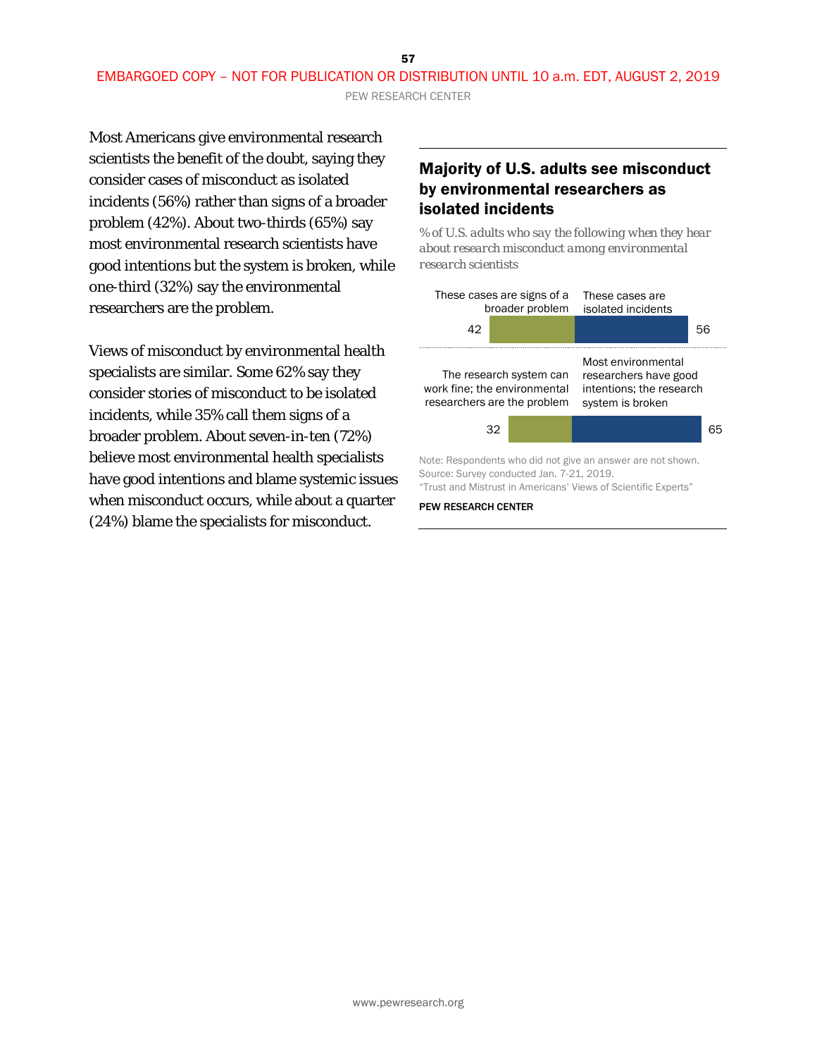PEW RESEARCH CENTER

Most Americans give environmental research scientists the benefit of the doubt, saying they consider cases of misconduct as isolated incidents (56%) rather than signs of a broader problem (42%). About two-thirds (65%) say most environmental research scientists have good intentions but the system is broken, while one-third (32%) say the environmental researchers are the problem.

Views of misconduct by environmental health specialists are similar. Some 62% say they consider stories of misconduct to be isolated incidents, while 35% call them signs of a broader problem. About seven-in-ten (72%) believe most environmental health specialists have good intentions and blame systemic issues when misconduct occurs, while about a quarter (24%) blame the specialists for misconduct.

### Majority of U.S. adults see misconduct by environmental researchers as isolated incidents

*% of U.S. adults who say the following when they hear about research misconduct among environmental research scientists* 

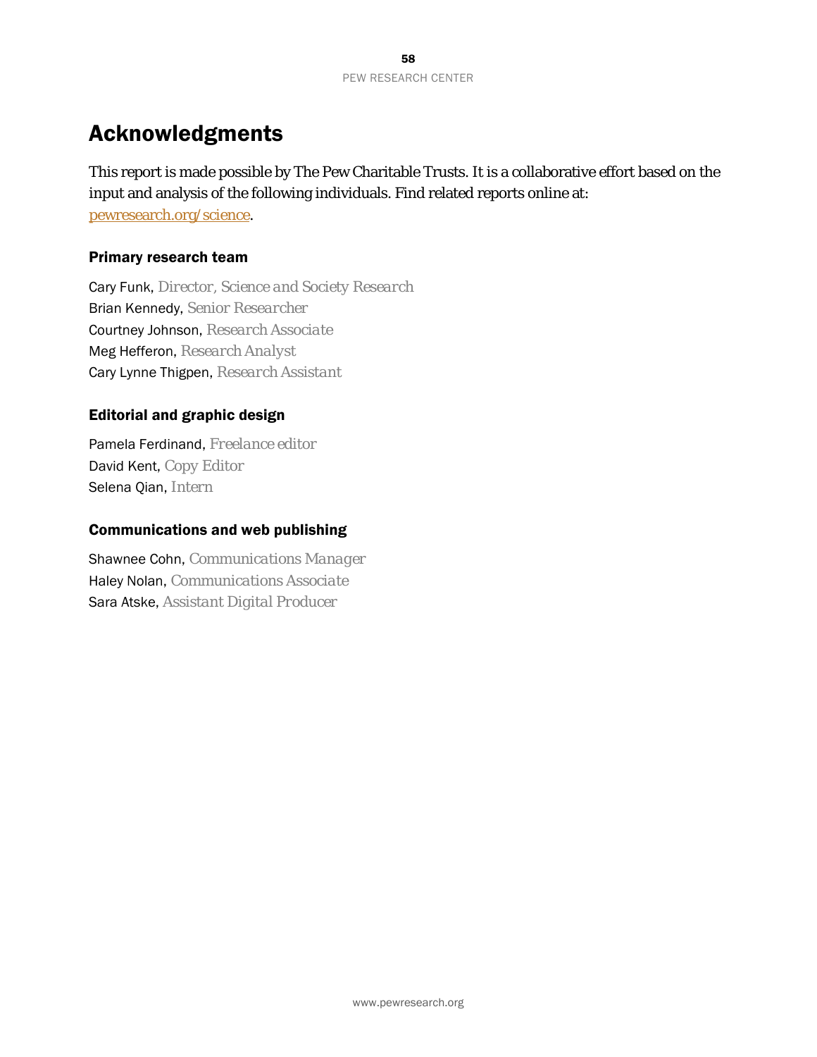# Acknowledgments

This report is made possible by The Pew Charitable Trusts. It is a collaborative effort based on the input and analysis of the following individuals. Find related reports online at: [pewresearch.org/science.](http://www.pewresearch.org/science/)

### Primary research team

Cary Funk, *Director, Science and Society Research* Brian Kennedy, *Senior Researcher* Courtney Johnson, *Research Associate* Meg Hefferon, *Research Analyst* Cary Lynne Thigpen, *Research Assistant*

### Editorial and graphic design

Pamela Ferdinand, *Freelance editor* David Kent, *Copy Editor* Selena Qian, *Intern*

### Communications and web publishing

Shawnee Cohn, *Communications Manager* Haley Nolan, *Communications Associate* Sara Atske, *Assistant Digital Producer*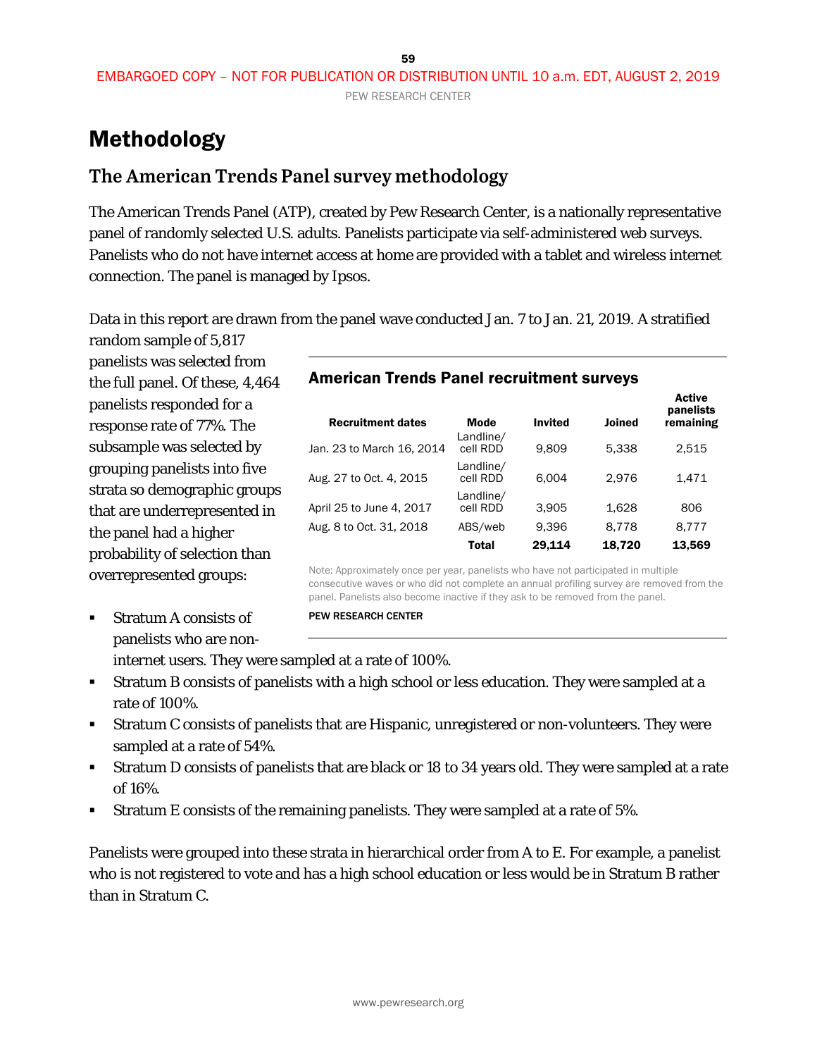# Methodology

## **The American Trends Panel survey methodology**

The American Trends Panel (ATP), created by Pew Research Center, is a nationally representative panel of randomly selected U.S. adults. Panelists participate via self-administered web surveys. Panelists who do not have internet access at home are provided with a tablet and wireless internet connection. The panel is managed by Ipsos.

Data in this report are drawn from the panel wave conducted Jan. 7 to Jan. 21, 2019. A stratified random sample of 5,817

panelists was selected from the full panel. Of these, 4,464 panelists responded for a response rate of 77%. The subsample was selected by grouping panelists into five strata so demographic groups that are underrepresented in the panel had a higher probability of selection than overrepresented groups:

 Stratum A consists of panelists who are non-

internet users. They were sampled at a rate of 100%.

- Stratum B consists of panelists with a high school or less education. They were sampled at a rate of 100%.
- Stratum C consists of panelists that are Hispanic, unregistered or non-volunteers. They were sampled at a rate of 54%.
- Stratum D consists of panelists that are black or 18 to 34 years old. They were sampled at a rate of 16%.
- Stratum E consists of the remaining panelists. They were sampled at a rate of 5%.

Panelists were grouped into these strata in hierarchical order from A to E. For example, a panelist who is not registered to vote and has a high school education or less would be in Stratum B rather than in Stratum C.

### American Trends Panel recruitment surveys

| Mode                  | <b>Invited</b> | <b>Joined</b> | <b>Active</b><br>panelists<br>remaining |
|-----------------------|----------------|---------------|-----------------------------------------|
| cell RDD              | 9.809          | 5.338         | 2.515                                   |
| Landline/<br>cell RDD | 6.004          | 2.976         | 1.471                                   |
| Landline/<br>cell RDD | 3.905          | 1.628         | 806                                     |
| ABS/web               | 9.396          | 8.778         | 8.777                                   |
| Total                 | 29.114         | 18,720        | 13.569                                  |
|                       | Landline/      |               |                                         |

Note: Approximately once per year, panelists who have not participated in multiple consecutive waves or who did not complete an annual profiling survey are removed from the panel. Panelists also become inactive if they ask to be removed from the panel.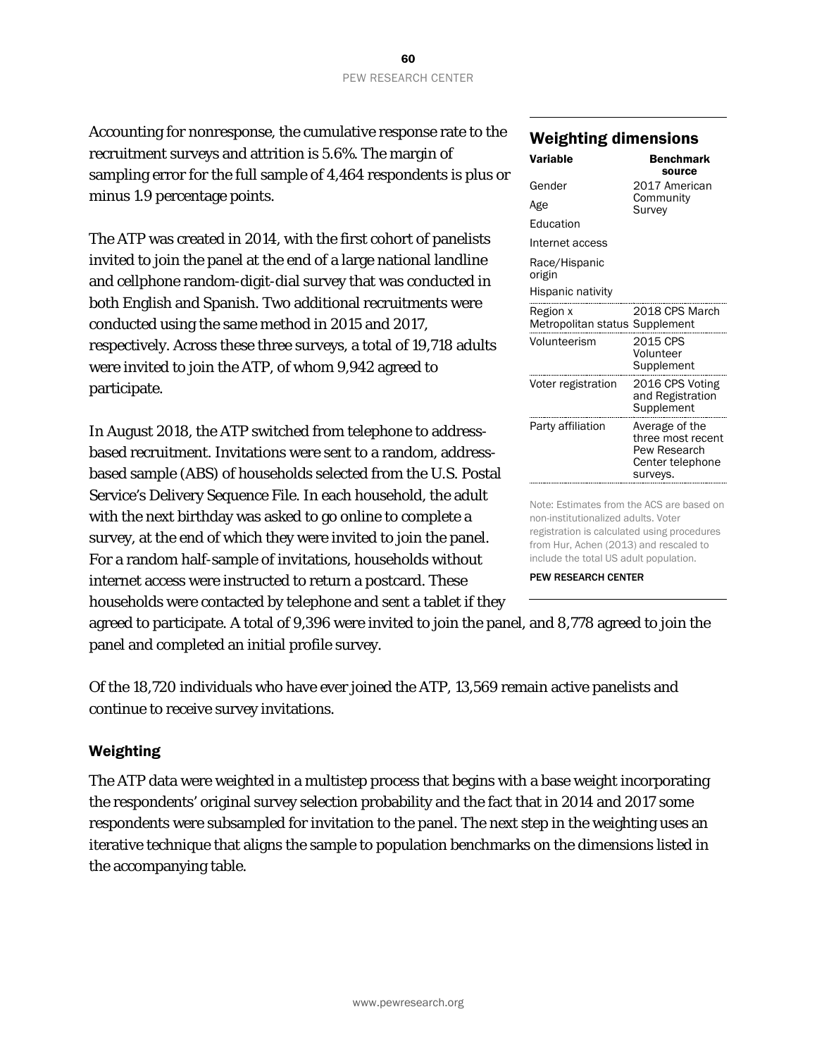Accounting for nonresponse, the cumulative response rate to the recruitment surveys and attrition is 5.6%. The margin of sampling error for the full sample of 4,464 respondents is plus or minus 1.9 percentage points.

The ATP was created in 2014, with the first cohort of panelists invited to join the panel at the end of a large national landline and cellphone random-digit-dial survey that was conducted in both English and Spanish. Two additional recruitments were conducted using the same method in 2015 and 2017, respectively. Across these three surveys, a total of 19,718 adults were invited to join the ATP, of whom 9,942 agreed to participate.

In August 2018, the ATP switched from telephone to addressbased recruitment. Invitations were sent to a random, addressbased sample (ABS) of households selected from the U.S. Postal Service's Delivery Sequence File. In each household, the adult with the next birthday was asked to go online to complete a survey, at the end of which they were invited to join the panel. For a random half-sample of invitations, households without internet access were instructed to return a postcard. These households were contacted by telephone and sent a tablet if they

### Weighting dimensions

| Variable                                   | <b>Benchmark</b><br>source                                                          |
|--------------------------------------------|-------------------------------------------------------------------------------------|
| Gender                                     | 2017 American                                                                       |
| Age                                        | Community<br>Survey                                                                 |
| Education                                  |                                                                                     |
| Internet access                            |                                                                                     |
| Race/Hispanic<br>origin                    |                                                                                     |
| Hispanic nativity                          |                                                                                     |
| Region x<br>Metropolitan status Supplement | 2018 CPS March                                                                      |
| Volunteerism                               | 2015 CPS<br>Volunteer<br>Supplement                                                 |
| Voter registration                         | 2016 CPS Voting<br>and Registration<br>Supplement                                   |
| Party affiliation                          | Average of the<br>three most recent<br>Pew Research<br>Center telephone<br>surveys. |

Note: Estimates from the ACS are based on non-institutionalized adults. Voter registration is calculated using procedures from Hur, Achen (2013) and rescaled to include the total US adult population.

PEW RESEARCH CENTER

agreed to participate. A total of 9,396 were invited to join the panel, and 8,778 agreed to join the panel and completed an initial profile survey.

Of the 18,720 individuals who have ever joined the ATP, 13,569 remain active panelists and continue to receive survey invitations.

### Weighting

The ATP data were weighted in a multistep process that begins with a base weight incorporating the respondents' original survey selection probability and the fact that in 2014 and 2017 some respondents were subsampled for invitation to the panel. The next step in the weighting uses an iterative technique that aligns the sample to population benchmarks on the dimensions listed in the accompanying table.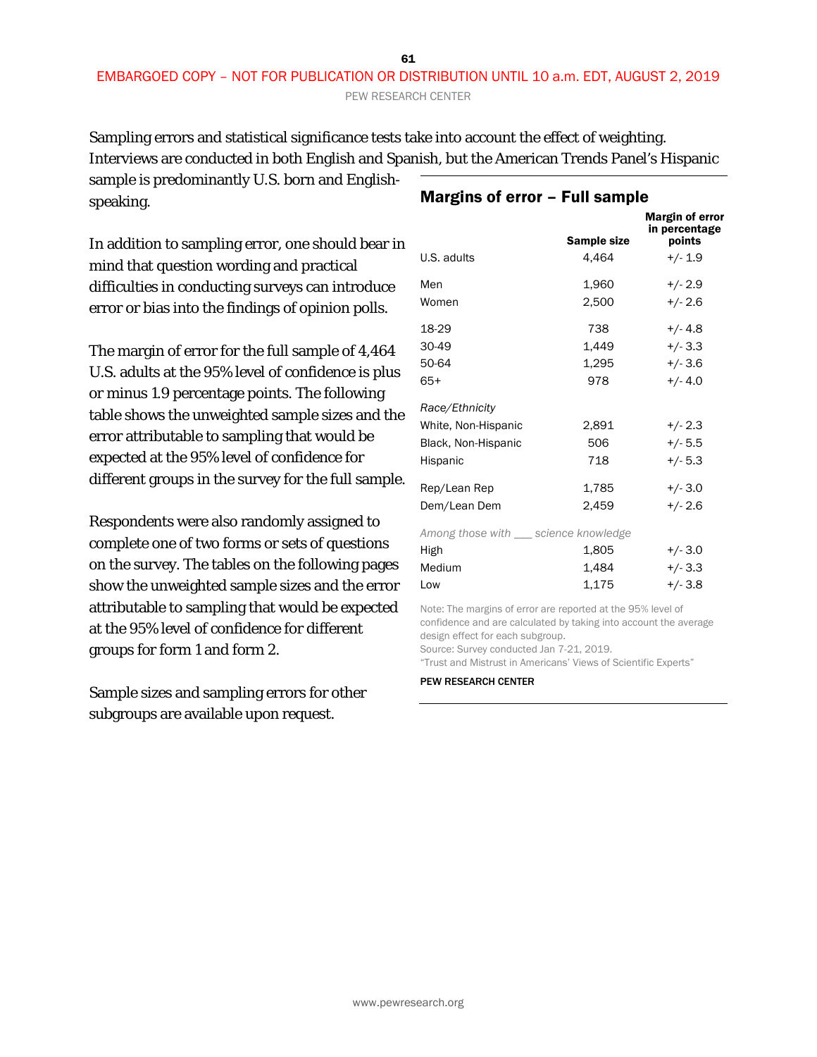#### 61 EMBARGOED COPY – NOT FOR PUBLICATION OR DISTRIBUTION UNTIL 10 a.m. EDT, AUGUST 2, 2019 PEW RESEARCH CENTER

Sampling errors and statistical significance tests take into account the effect of weighting. Interviews are conducted in both English and Spanish, but the American Trends Panel's Hispanic

sample is predominantly U.S. born and Englishspeaking.

In addition to sampling error, one should bear in mind that question wording and practical difficulties in conducting surveys can introduce error or bias into the findings of opinion polls.

The margin of error for the full sample of 4,464 U.S. adults at the 95% level of confidence is plus or minus 1.9 percentage points. The following table shows the unweighted sample sizes and the error attributable to sampling that would be expected at the 95% level of confidence for different groups in the survey for the full sample.

Respondents were also randomly assigned to complete one of two forms or sets of questions on the survey. The tables on the following pages show the unweighted sample sizes and the error attributable to sampling that would be expected at the 95% level of confidence for different groups for form 1 and form 2.

Sample sizes and sampling errors for other subgroups are available upon request.

| U.S. adults                           | Sample size<br>4,464 | <b>Margin of error</b><br>in percentage<br>points<br>$+/- 1.9$ |
|---------------------------------------|----------------------|----------------------------------------------------------------|
| Men                                   | 1,960                | $+/- 2.9$                                                      |
| Women                                 | 2,500                | $+/- 2.6$                                                      |
| 18-29                                 | 738                  | $+/- 4.8$                                                      |
| 30-49                                 | 1.449                | $+/- 3.3$                                                      |
| 50-64                                 | 1,295                | $+/- 3.6$                                                      |
| 65+                                   | 978                  | $+/- 4.0$                                                      |
| Race/Ethnicity                        |                      |                                                                |
| White, Non-Hispanic                   | 2,891                | $+/- 2.3$                                                      |
| Black, Non-Hispanic                   | 506                  | $+/- 5.5$                                                      |
| Hispanic                              | 718                  | $+/- 5.3$                                                      |
| Rep/Lean Rep                          | 1.785                | $+/- 3.0$                                                      |
| Dem/Lean Dem                          | 2.459                | $+/- 2.6$                                                      |
| Among those with __ science knowledge |                      |                                                                |
| High                                  | 1,805                | $+/- 3.0$                                                      |
| Medium                                | 1,484                | $+/- 3.3$                                                      |
| Low                                   | 1,175                | $+/-3.8$                                                       |

#### Note: The margins of error are reported at the 95% level of confidence and are calculated by taking into account the average design effect for each subgroup.

Source: Survey conducted Jan 7-21, 2019.

"Trust and Mistrust in Americans' Views of Scientific Experts"

#### PEW RESEARCH CENTER

www.pewresearch.org

## Margins of error – Full sample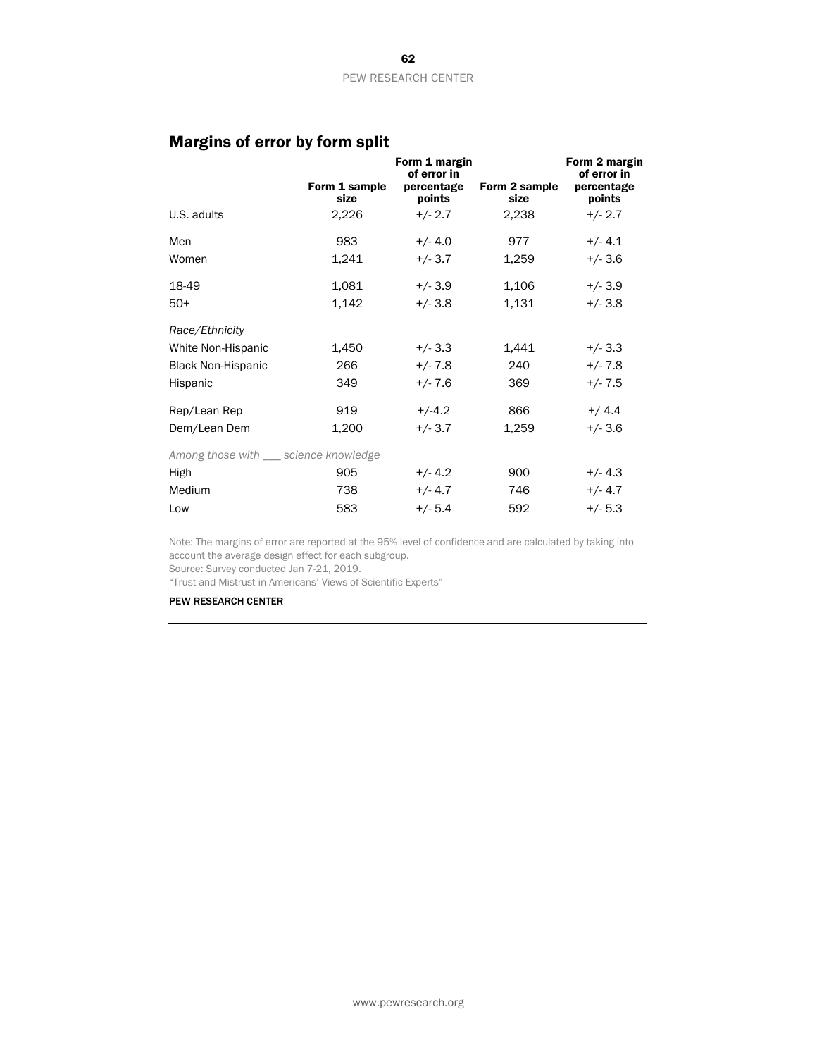## Margins of error by form split

|                                         | Form 1 sample<br>size | Form 1 margin<br>of error in<br>percentage<br>points | Form 2 sample<br>size | Form 2 margin<br>of error in<br>percentage<br>points |
|-----------------------------------------|-----------------------|------------------------------------------------------|-----------------------|------------------------------------------------------|
| U.S. adults                             | 2,226                 | $+/- 2.7$                                            | 2,238                 | $+/- 2.7$                                            |
| Men                                     | 983                   | $+/- 4.0$                                            | 977                   | $+/- 4.1$                                            |
| Women                                   | 1,241                 | $+/- 3.7$                                            | 1,259                 | $+/- 3.6$                                            |
| 18-49                                   | 1,081                 | $+/- 3.9$                                            | 1,106                 | $+/- 3.9$                                            |
| $50+$                                   | 1,142                 | $+/- 3.8$                                            | 1,131                 | $+/- 3.8$                                            |
| Race/Ethnicity                          |                       |                                                      |                       |                                                      |
| White Non-Hispanic                      | 1,450                 | $+/- 3.3$                                            | 1,441                 | $+/- 3.3$                                            |
| <b>Black Non-Hispanic</b>               | 266                   | $+/- 7.8$                                            | 240                   | $+/- 7.8$                                            |
| Hispanic                                | 349                   | $+/- 7.6$                                            | 369                   | $+/- 7.5$                                            |
| Rep/Lean Rep                            | 919                   | $+/-4.2$                                             | 866                   | $+/4.4$                                              |
| Dem/Lean Dem                            | 1,200                 | $+/- 3.7$                                            | 1,259                 | $+/- 3.6$                                            |
| Among those with ____ science knowledge |                       |                                                      |                       |                                                      |
| High                                    | 905                   | $+/- 4.2$                                            | 900                   | $+/- 4.3$                                            |
| Medium                                  | 738                   | $+/- 4.7$                                            | 746                   | $+/- 4.7$                                            |
| Low                                     | 583                   | $+/- 5.4$                                            | 592                   | $+/- 5.3$                                            |

Note: The margins of error are reported at the 95% level of confidence and are calculated by taking into account the average design effect for each subgroup.

Source: Survey conducted Jan 7-21, 2019.

"Trust and Mistrust in Americans' Views of Scientific Experts"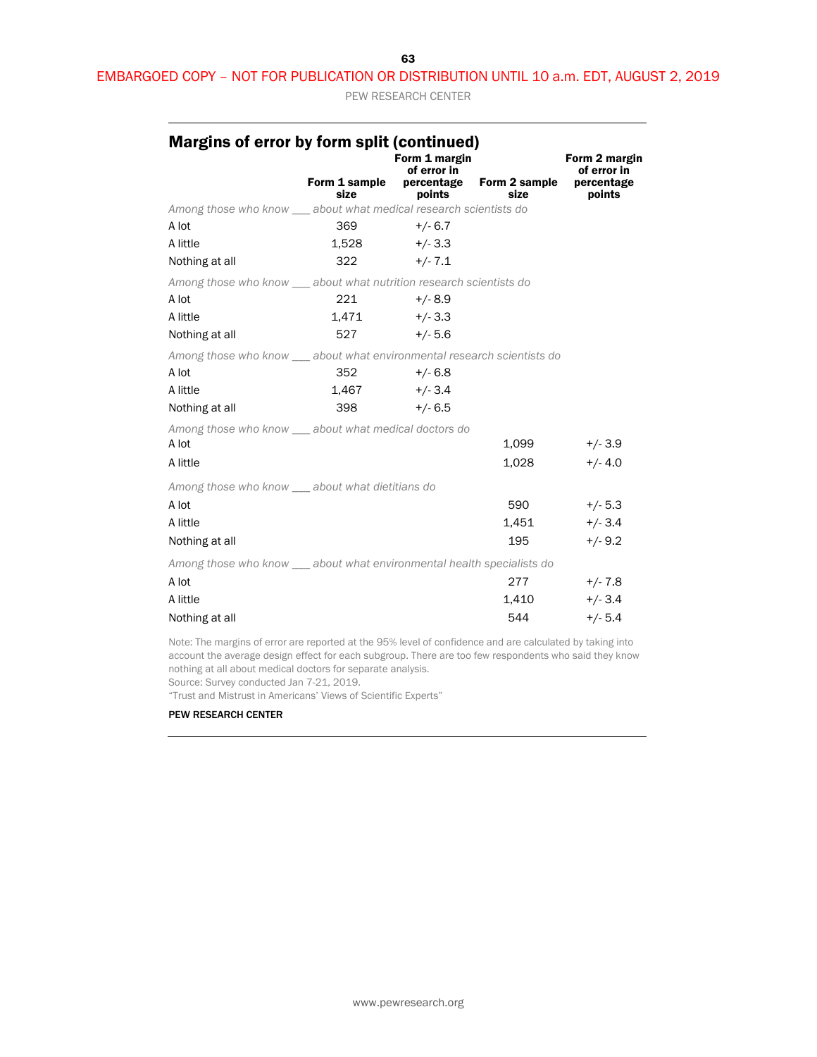#### 63

#### EMBARGOED COPY – NOT FOR PUBLICATION OR DISTRIBUTION UNTIL 10 a.m. EDT, AUGUST 2, 2019

PEW RESEARCH CENTER

| Margins of error by form split (continued)                              |                       | Form 1 margin<br>of error in |                                  | Form 2 margin<br>of error in |
|-------------------------------------------------------------------------|-----------------------|------------------------------|----------------------------------|------------------------------|
|                                                                         | Form 1 sample<br>size | points                       | percentage Form 2 sample<br>size | percentage<br>points         |
| Among those who know __ about what medical research scientists do       |                       |                              |                                  |                              |
| A lot                                                                   | 369                   | $+/- 6.7$                    |                                  |                              |
| A little                                                                | $1,528$ $+/-3.3$      |                              |                                  |                              |
| Nothing at all                                                          | $322 +/-7.1$          |                              |                                  |                              |
| Among those who know ___ about what nutrition research scientists do    |                       |                              |                                  |                              |
| A lot                                                                   | 221                   | $+/-8.9$                     |                                  |                              |
| A little                                                                | $1,471$ $+/-3.3$      |                              |                                  |                              |
| Nothing at all                                                          | 527 — 10              | $+/- 5.6$                    |                                  |                              |
| Among those who know __ about what environmental research scientists do |                       |                              |                                  |                              |
| A lot                                                                   | 352                   | $+/- 6.8$                    |                                  |                              |
| A little                                                                | $1,467$ $+/-3.4$      |                              |                                  |                              |
| Nothing at all                                                          | 398                   | $+/6.5$                      |                                  |                              |
| Among those who know __ about what medical doctors do                   |                       |                              |                                  |                              |
| A lot                                                                   |                       |                              | 1,099                            | $+/-3.9$                     |
| A little                                                                |                       |                              | 1,028                            | $+/- 4.0$                    |
| Among those who know __ about what dietitians do                        |                       |                              |                                  |                              |
| A lot                                                                   |                       |                              | 590                              | $+/- 5.3$                    |
| A little                                                                |                       |                              | 1,451                            | $+/- 3.4$                    |
| Nothing at all                                                          |                       |                              | 195                              | $+/-9.2$                     |
| Among those who know __ about what environmental health specialists do  |                       |                              |                                  |                              |
| A lot                                                                   |                       |                              | 277                              | $+/- 7.8$                    |
| A little                                                                |                       |                              | 1,410                            | $+/- 3.4$                    |
| Nothing at all                                                          |                       |                              | 544                              | $+/- 5.4$                    |
|                                                                         |                       |                              |                                  |                              |

Note: The margins of error are reported at the 95% level of confidence and are calculated by taking into account the average design effect for each subgroup. There are too few respondents who said they know nothing at all about medical doctors for separate analysis.

Source: Survey conducted Jan 7-21, 2019.

"Trust and Mistrust in Americans' Views of Scientific Experts"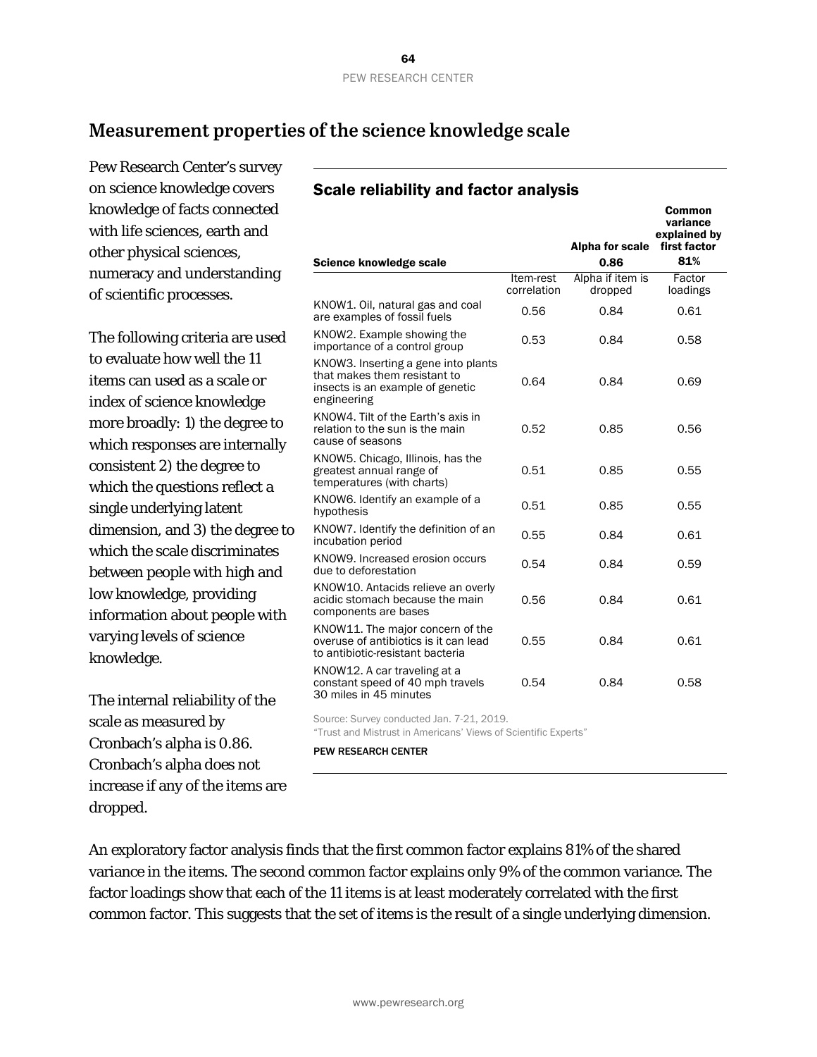## **Measurement properties of the science knowledge scale**

Pew Research Center's survey on science knowledge covers knowledge of facts connected with life sciences, earth and other physical sciences, numeracy and understanding of scientific processes.

The following criteria are used to evaluate how well the 11 items can used as a scale or index of science knowledge more broadly: 1) the degree to which responses are internally consistent 2) the degree to which the questions reflect a single underlying latent dimension, and 3) the degree to which the scale discriminates between people with high and low knowledge, providing information about people with varying levels of science knowledge.

The internal reliability of the scale as measured by Cronbach's alpha is 0.86. Cronbach's alpha does not increase if any of the items are dropped.

## Scale reliability and factor analysis

|                                                                                                                        |                          | Alpha for scale             | Common<br>variance<br>explained by<br>first factor |
|------------------------------------------------------------------------------------------------------------------------|--------------------------|-----------------------------|----------------------------------------------------|
| <b>Science knowledge scale</b>                                                                                         |                          | 0.86                        | 81%                                                |
|                                                                                                                        | Item-rest<br>correlation | Alpha if item is<br>dropped | Factor<br>loadings                                 |
| KNOW1. Oil, natural gas and coal<br>are examples of fossil fuels                                                       | 0.56                     | 0.84                        | 0.61                                               |
| KNOW2. Example showing the<br>importance of a control group                                                            | 0.53                     | 0.84                        | 0.58                                               |
| KNOW3. Inserting a gene into plants<br>that makes them resistant to<br>insects is an example of genetic<br>engineering | 0.64                     | 0.84                        | 0.69                                               |
| KNOW4. Tilt of the Earth's axis in<br>relation to the sun is the main<br>cause of seasons                              | 0.52                     | 0.85                        | 0.56                                               |
| KNOW5. Chicago, Illinois, has the<br>greatest annual range of<br>temperatures (with charts)                            | 0.51                     | 0.85                        | 0.55                                               |
| KNOW6. Identify an example of a<br>hypothesis                                                                          | 0.51                     | 0.85                        | 0.55                                               |
| KNOW7. Identify the definition of an<br>incubation period                                                              | 0.55                     | 0.84                        | 0.61                                               |
| KNOW9. Increased erosion occurs<br>due to deforestation                                                                | 0.54                     | 0.84                        | 0.59                                               |
| KNOW10. Antacids relieve an overly<br>acidic stomach because the main<br>components are bases                          | 0.56                     | 0.84                        | 0.61                                               |
| KNOW11. The major concern of the<br>overuse of antibiotics is it can lead<br>to antibiotic-resistant bacteria          | 0.55                     | 0.84                        | 0.61                                               |
| KNOW12. A car traveling at a<br>constant speed of 40 mph travels<br>30 miles in 45 minutes                             | 0.54                     | 0.84                        | 0.58                                               |
| Source: Survey conducted Jan. 7-21, 2019.                                                                              |                          |                             |                                                    |

"Trust and Mistrust in Americans' Views of Scientific Experts"

PEW RESEARCH CENTER

An exploratory factor analysis finds that the first common factor explains 81% of the shared variance in the items. The second common factor explains only 9% of the common variance. The factor loadings show that each of the 11 items is at least moderately correlated with the first common factor. This suggests that the set of items is the result of a single underlying dimension.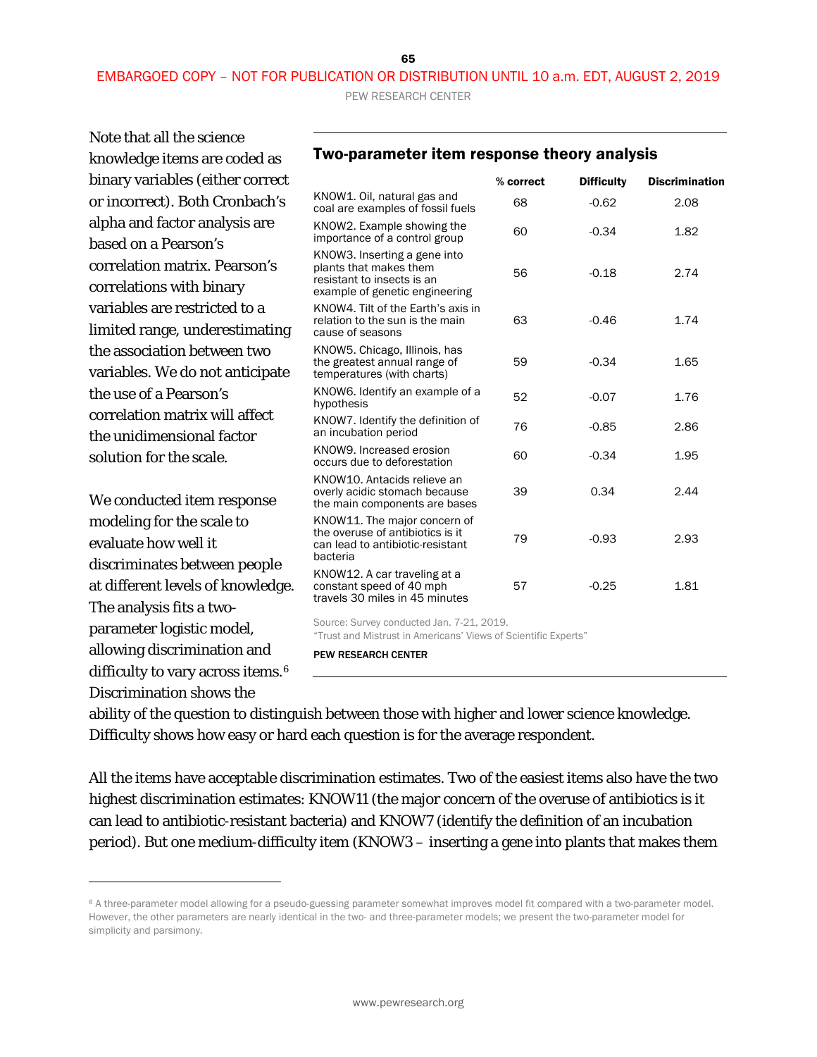65

PEW RESEARCH CENTER

Note that all the science knowledge items are coded as binary variables (either correct or incorrect). Both Cronbach's alpha and factor analysis are based on a Pearson's correlation matrix. Pearson's correlations with binary variables are restricted to a limited range, underestimating the association between two variables. We do not anticipate the use of a Pearson's correlation matrix will affect the unidimensional factor solution for the scale.

We conducted item response modeling for the scale to evaluate how well it discriminates between people at different levels of knowledge. The analysis fits a twoparameter logistic model, allowing discrimination and difficulty to vary across items.<sup>[6](#page-64-0)</sup> Discrimination shows the

1

| <u>TWO-DATAMICLE ILEMI ICSDOMSC LIICUIV AMAIVSIS</u> |           |                   |                       |
|------------------------------------------------------|-----------|-------------------|-----------------------|
|                                                      | % correct | <b>Difficulty</b> | <b>Discrimination</b> |
| KNOW1. Oil, natural gas and                          | 6R        | -N 62             | າ ດຂ                  |

Two-parameter item response theory analysis

| KNOW'L. OII, natural gas and<br>coal are examples of fossil fuels                                                      | 68 | $-0.62$ | 2.08 |
|------------------------------------------------------------------------------------------------------------------------|----|---------|------|
| KNOW2. Example showing the<br>importance of a control group                                                            | 60 | $-0.34$ | 1.82 |
| KNOW3. Inserting a gene into<br>plants that makes them<br>resistant to insects is an<br>example of genetic engineering | 56 | $-0.18$ | 2.74 |
| KNOW4. Tilt of the Earth's axis in<br>relation to the sun is the main<br>cause of seasons                              | 63 | $-0.46$ | 1.74 |
| KNOW5. Chicago, Illinois, has<br>the greatest annual range of<br>temperatures (with charts)                            | 59 | $-0.34$ | 1.65 |
| KNOW6. Identify an example of a<br>hypothesis                                                                          | 52 | $-0.07$ | 1.76 |
| KNOW7. Identify the definition of<br>an incubation period                                                              | 76 | $-0.85$ | 2.86 |
| KNOW9. Increased erosion<br>occurs due to deforestation                                                                | 60 | $-0.34$ | 1.95 |
| KNOW10. Antacids relieve an<br>overly acidic stomach because<br>the main components are bases                          | 39 | 0.34    | 2.44 |
| KNOW11. The major concern of<br>the overuse of antibiotics is it<br>can lead to antibiotic-resistant<br>bacteria       | 79 | $-0.93$ | 2.93 |
| KNOW12. A car traveling at a<br>constant speed of 40 mph<br>travels 30 miles in 45 minutes                             | 57 | $-0.25$ | 1.81 |
| Source: Survey conducted Jan. 7-21, 2019.<br>"Trust and Mistrust in Americans' Views of Scientific Experts"            |    |         |      |

PEW RESEARCH CENTER

ability of the question to distinguish between those with higher and lower science knowledge. Difficulty shows how easy or hard each question is for the average respondent.

All the items have acceptable discrimination estimates. Two of the easiest items also have the two highest discrimination estimates: KNOW11 (the major concern of the overuse of antibiotics is it can lead to antibiotic-resistant bacteria) and KNOW7 (identify the definition of an incubation period). But one medium-difficulty item (KNOW3 – inserting a gene into plants that makes them

<span id="page-64-0"></span><sup>6</sup> A three-parameter model allowing for a pseudo-guessing parameter somewhat improves model fit compared with a two-parameter model. However, the other parameters are nearly identical in the two- and three-parameter models; we present the two-parameter model for simplicity and parsimony.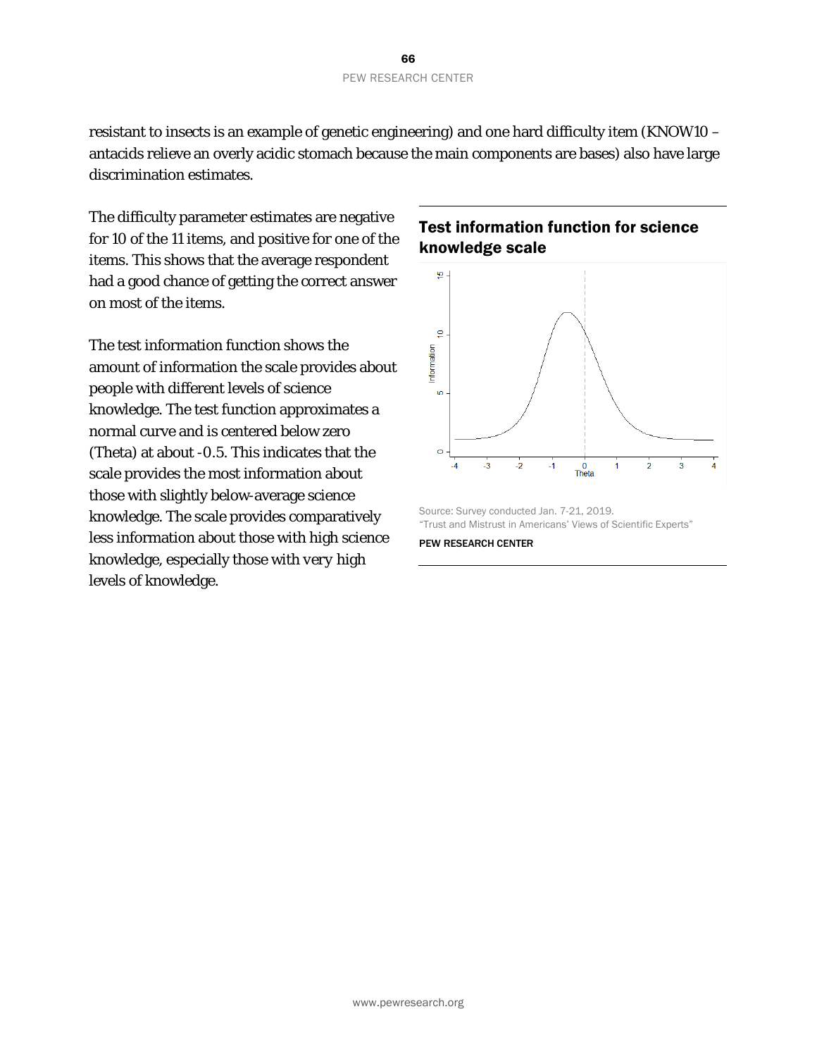resistant to insects is an example of genetic engineering) and one hard difficulty item (KNOW10 – antacids relieve an overly acidic stomach because the main components are bases) also have large discrimination estimates.

The difficulty parameter estimates are negative for 10 of the 11 items, and positive for one of the items. This shows that the average respondent had a good chance of getting the correct answer on most of the items.

The test information function shows the amount of information the scale provides about people with different levels of science knowledge. The test function approximates a normal curve and is centered below zero (Theta) at about -0.5. This indicates that the scale provides the most information about those with slightly below-average science knowledge. The scale provides comparatively less information about those with high science knowledge, especially those with *very* high levels of knowledge.

### Test information function for science knowledge scale



Source: Survey conducted Jan. 7-21, 2019. "Trust and Mistrust in Americans' Views of Scientific Experts"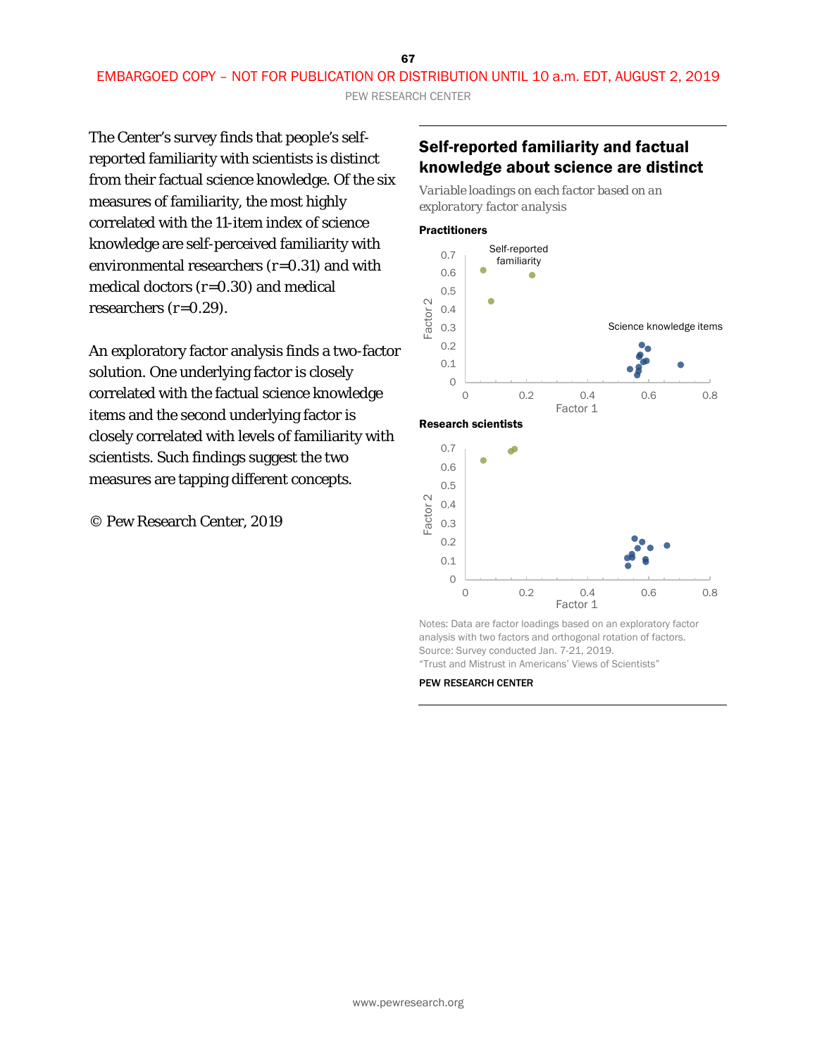PEW RESEARCH CENTER

The Center's survey finds that people's selfreported familiarity with scientists is distinct from their factual science knowledge. Of the six measures of familiarity, the most highly correlated with the 11-item index of science knowledge are self-perceived familiarity with environmental researchers (*r*=0.31) and with medical doctors (*r*=0.30) and medical researchers (*r=*0.29).

An exploratory factor analysis finds a two-factor solution. One underlying factor is closely correlated with the factual science knowledge items and the second underlying factor is closely correlated with levels of familiarity with scientists. Such findings suggest the two measures are tapping different concepts.

© Pew Research Center, 2019

### Self-reported familiarity and factual knowledge about science are distinct

*Variable loadings on each factor based on an exploratory factor analysis* 

#### **Practitioners**

Research scientists





Notes: Data are factor loadings based on an exploratory factor analysis with two factors and orthogonal rotation of factors. Source: Survey conducted Jan. 7-21, 2019. "Trust and Mistrust in Americans' Views of Scientists"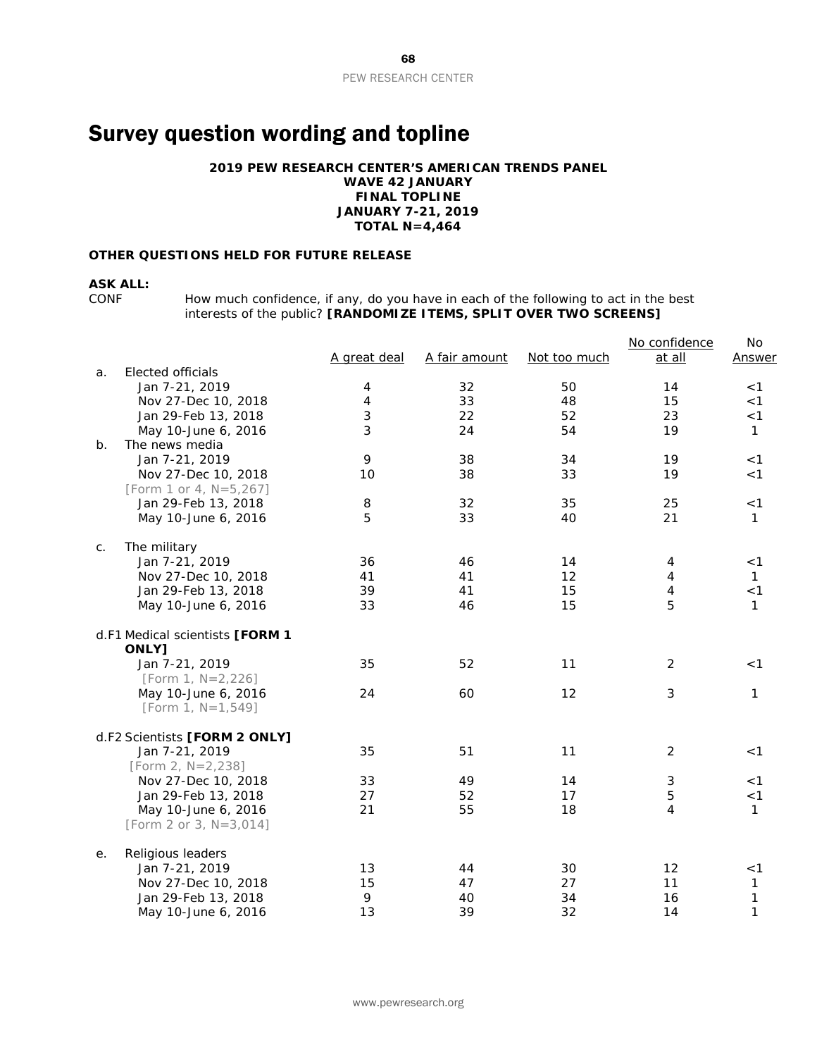# Survey question wording and topline

#### **2019 PEW RESEARCH CENTER'S AMERICAN TRENDS PANEL**

**WAVE 42 JANUARY FINAL TOPLINE JANUARY 7-21, 2019 TOTAL N=4,464**

#### **OTHER QUESTIONS HELD FOR FUTURE RELEASE**

#### **ASK ALL:**

CONF How much confidence, if any, do you have in each of the following to act in the best interests of the public? **[RANDOMIZE ITEMS, SPLIT OVER TWO SCREENS]**

|    |                                             | A great deal | A fair amount | Not too much | No confidence<br>at all | No<br>Answer |
|----|---------------------------------------------|--------------|---------------|--------------|-------------------------|--------------|
| a. | Elected officials                           |              |               |              |                         |              |
|    | Jan 7-21, 2019                              | 4            | 32            | 50           | 14                      | < 1          |
|    | Nov 27-Dec 10, 2018                         | 4            | 33            | 48           | 15                      | < 1          |
|    | Jan 29-Feb 13, 2018                         | 3            | 22            | 52           | 23                      | < 1          |
|    | May 10-June 6, 2016                         | 3            | 24            | 54           | 19                      | $\mathbf{1}$ |
| b. | The news media                              |              |               |              |                         |              |
|    | Jan 7-21, 2019                              | 9            | 38            | 34           | 19                      | < 1          |
|    | Nov 27-Dec 10, 2018                         | 10           | 38            | 33           | 19                      | < 1          |
|    | [Form 1 or 4, N=5,267]                      |              |               |              |                         |              |
|    | Jan 29-Feb 13, 2018                         | 8            | 32            | 35           | 25                      | < 1          |
|    | May 10-June 6, 2016                         | 5            | 33            | 40           | 21                      | 1            |
| С. | The military                                |              |               |              |                         |              |
|    | Jan 7-21, 2019                              | 36           | 46            | 14           | 4                       | $<$ 1        |
|    | Nov 27-Dec 10, 2018                         | 41           | 41            | 12           | 4                       | 1            |
|    | Jan 29-Feb 13, 2018                         | 39           | 41            | 15           | $\overline{4}$          | < 1          |
|    | May 10-June 6, 2016                         | 33           | 46            | 15           | 5                       | $\mathbf{1}$ |
|    | d.F1 Medical scientists [FORM 1<br>ONLY]    |              |               |              |                         |              |
|    | Jan 7-21, 2019                              | 35           | 52            | 11           | 2                       | $<$ 1        |
|    | [Form 1, $N=2,226$ ]                        |              |               |              |                         |              |
|    | May 10-June 6, 2016<br>[Form 1, $N=1,549$ ] | 24           | 60            | 12           | 3                       | 1            |
|    | d.F2 Scientists [FORM 2 ONLY]               |              |               |              |                         |              |
|    | Jan 7-21, 2019                              | 35           | 51            | 11           | $\overline{2}$          | < 1          |
|    | [Form 2, $N=2,238$ ]                        |              |               |              |                         |              |
|    | Nov 27-Dec 10, 2018                         | 33           | 49            | 14           | 3                       | < 1          |
|    | Jan 29-Feb 13, 2018                         | 27           | 52            | 17           | 5                       | < 1          |
|    | May 10-June 6, 2016                         | 21           | 55            | 18           | 4                       | 1            |
|    | [Form 2 or 3, N=3,014]                      |              |               |              |                         |              |
| е. | Religious leaders                           |              |               |              |                         |              |
|    | Jan 7-21, 2019                              | 13           | 44            | 30           | 12                      | < 1          |
|    | Nov 27-Dec 10, 2018                         | 15           | 47            | 27           | 11                      | 1            |
|    | Jan 29-Feb 13, 2018                         | 9            | 40            | 34           | 16                      | $\mathbf 1$  |
|    | May 10-June 6, 2016                         | 13           | 39            | 32           | 14                      | $\mathbf{1}$ |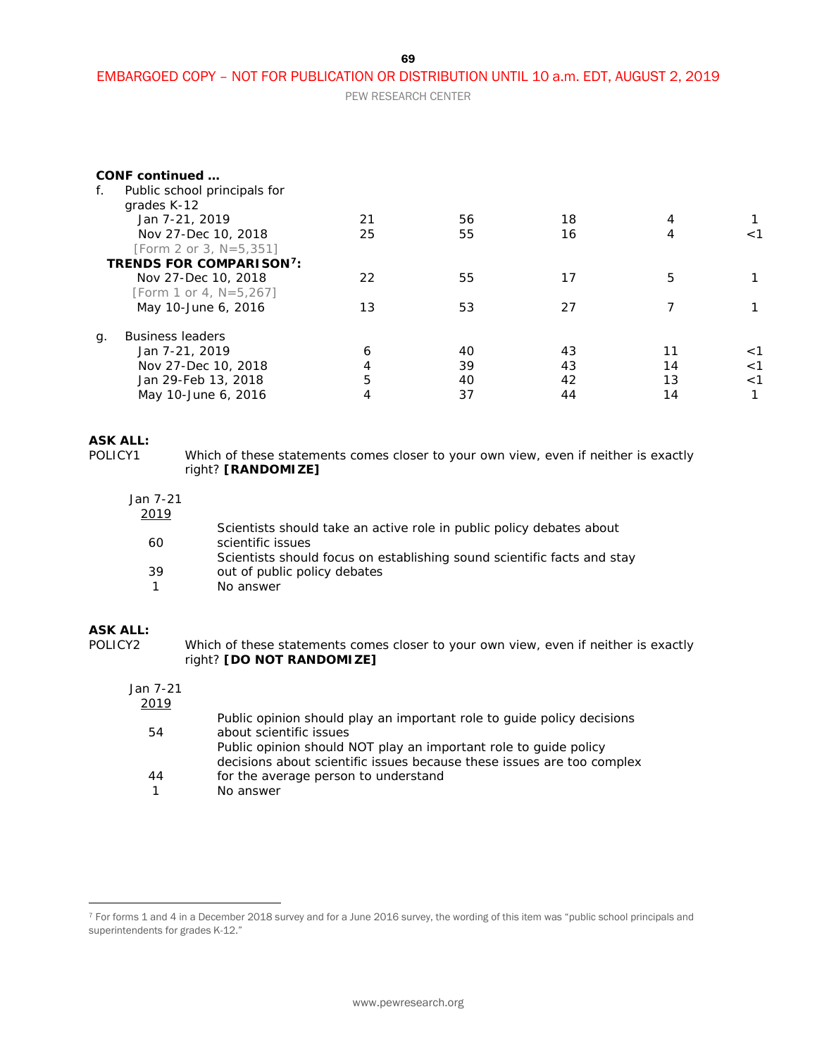69

### EMBARGOED COPY – NOT FOR PUBLICATION OR DISTRIBUTION UNTIL 10 a.m. EDT, AUGUST 2, 2019

PEW RESEARCH CENTER

| f. | CONF continued<br>Public school principals for<br>grades K-12 |    |    |    |    |       |
|----|---------------------------------------------------------------|----|----|----|----|-------|
|    | Jan 7-21, 2019                                                | 21 | 56 | 18 | 4  |       |
|    | Nov 27-Dec 10, 2018                                           | 25 | 55 | 16 | 4  | 1 >   |
|    | [Form 2 or 3, N=5,351]                                        |    |    |    |    |       |
|    | <b>TRENDS FOR COMPARISON<sup>7</sup>:</b>                     |    |    |    |    |       |
|    | Nov 27-Dec 10, 2018                                           | 22 | 55 | 17 | 5  |       |
|    | [Form 1 or 4, N=5,267]                                        |    |    |    |    |       |
|    | May 10-June 6, 2016                                           | 13 | 53 | 27 |    |       |
| q. | <b>Business leaders</b>                                       |    |    |    |    |       |
|    | Jan 7-21, 2019                                                | 6  | 40 | 43 | 11 | $<$ 1 |
|    | Nov 27-Dec 10, 2018                                           | 4  | 39 | 43 | 14 | $<$ 1 |
|    | Jan 29-Feb 13, 2018                                           | 5  | 40 | 42 | 13 | $<$ 1 |
|    | May 10-June 6, 2016                                           | 4  | 37 | 44 | 14 |       |

# **ASK ALL:**<br>POLICY1

Which of these statements comes closer to your own view, even if neither is exactly right? **[RANDOMIZE]**

#### Jan 7-21

| 2019 |                                                                         |
|------|-------------------------------------------------------------------------|
|      | Scientists should take an active role in public policy debates about    |
| 60   | scientific issues                                                       |
|      | Scientists should focus on establishing sound scientific facts and stay |
| 39   | out of public policy debates                                            |
|      | No answer                                                               |
|      |                                                                         |

#### **ASK ALL:**

 $\overline{a}$ 

POLICY2 Which of these statements comes closer to your own view, even if neither is exactly right? **[DO NOT RANDOMIZE]**

#### Jan 7-21 2019

| <u>UIZ</u> |                                                                        |
|------------|------------------------------------------------------------------------|
|            | Public opinion should play an important role to quide policy decisions |
| 54         | about scientific issues                                                |
|            | Public opinion should NOT play an important role to guide policy       |
|            | decisions about scientific issues because these issues are too complex |
| 44         | for the average person to understand                                   |
|            | No answer                                                              |
|            |                                                                        |

<span id="page-68-0"></span><sup>7</sup> For forms 1 and 4 in a December 2018 survey and for a June 2016 survey, the wording of this item was "public school principals and superintendents for grades K-12."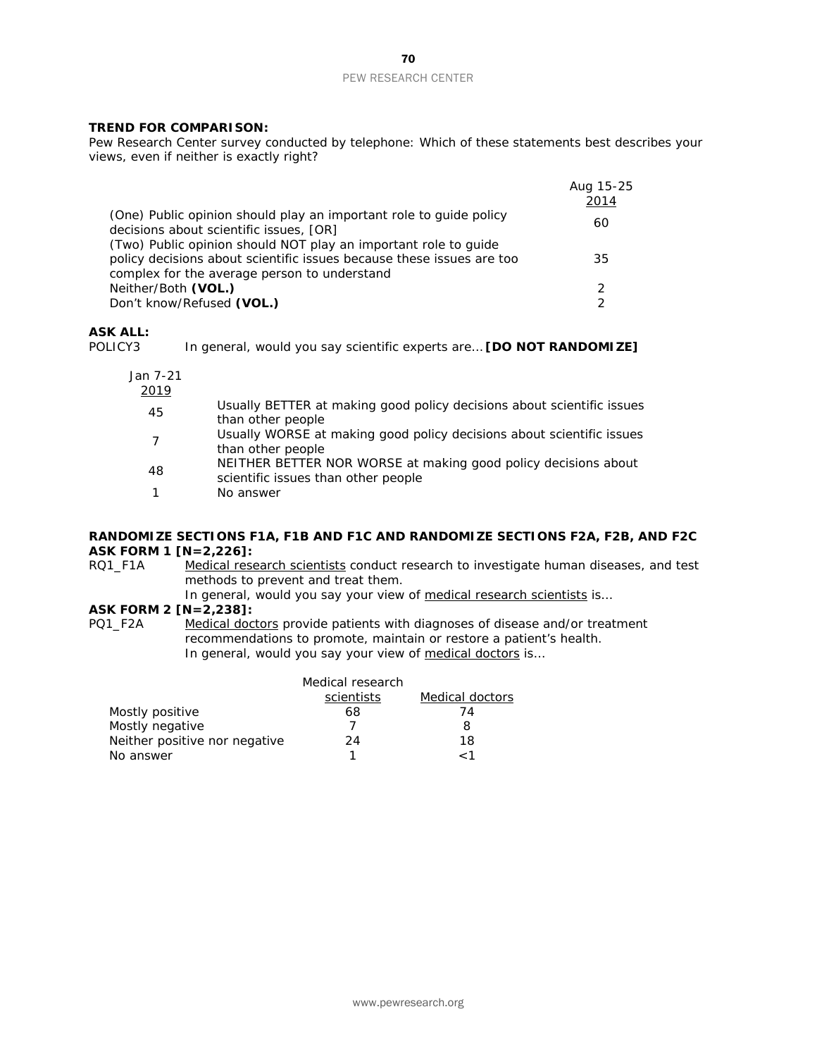# PEW RESEARCH CENTER

#### *TREND FOR COMPARISON:*

*Pew Research Center survey conducted by telephone: Which of these statements best describes your views, even if neither is exactly right?*

|                                                                                                                                          | Aug 15-25<br>2014 |
|------------------------------------------------------------------------------------------------------------------------------------------|-------------------|
| (One) Public opinion should play an important role to guide policy<br>decisions about scientific issues, [OR]                            | 60                |
| (Two) Public opinion should NOT play an important role to guide<br>policy decisions about scientific issues because these issues are too | 35                |
| complex for the average person to understand                                                                                             |                   |
| Neither/Both (VOL.)                                                                                                                      | 2                 |
| Don't know/Refused (VOL.)                                                                                                                |                   |

# **ASK ALL:**

In general, would you say scientific experts are... **[DO NOT RANDOMIZE]** 

| Jan 7-21<br>2019 |                                                                                                       |
|------------------|-------------------------------------------------------------------------------------------------------|
| 45               | Usually BETTER at making good policy decisions about scientific issues<br>than other people           |
|                  | Usually WORSE at making good policy decisions about scientific issues<br>than other people            |
| 48               | NEITHER BETTER NOR WORSE at making good policy decisions about<br>scientific issues than other people |
|                  | No answer                                                                                             |

## **RANDOMIZE SECTIONS F1A, F1B AND F1C AND RANDOMIZE SECTIONS F2A, F2B, AND F2C ASK FORM 1 [N=2,226]:**<br>RQ1\_F1A Medical rese

Medical research scientists conduct research to investigate human diseases, and test methods to prevent and treat them.

In general, would you say your view of medical research scientists is...

#### **ASK FORM 2 [N=2,238]:**

PQ1\_F2A Medical doctors provide patients with diagnoses of disease and/or treatment recommendations to promote, maintain or restore a patient's health. In general, would you say your view of medical doctors is...

|                               | Medical research |                 |
|-------------------------------|------------------|-----------------|
|                               | scientists       | Medical doctors |
| Mostly positive               | 68               | 74              |
| Mostly negative               |                  |                 |
| Neither positive nor negative | 24               | 18              |
| No answer                     |                  |                 |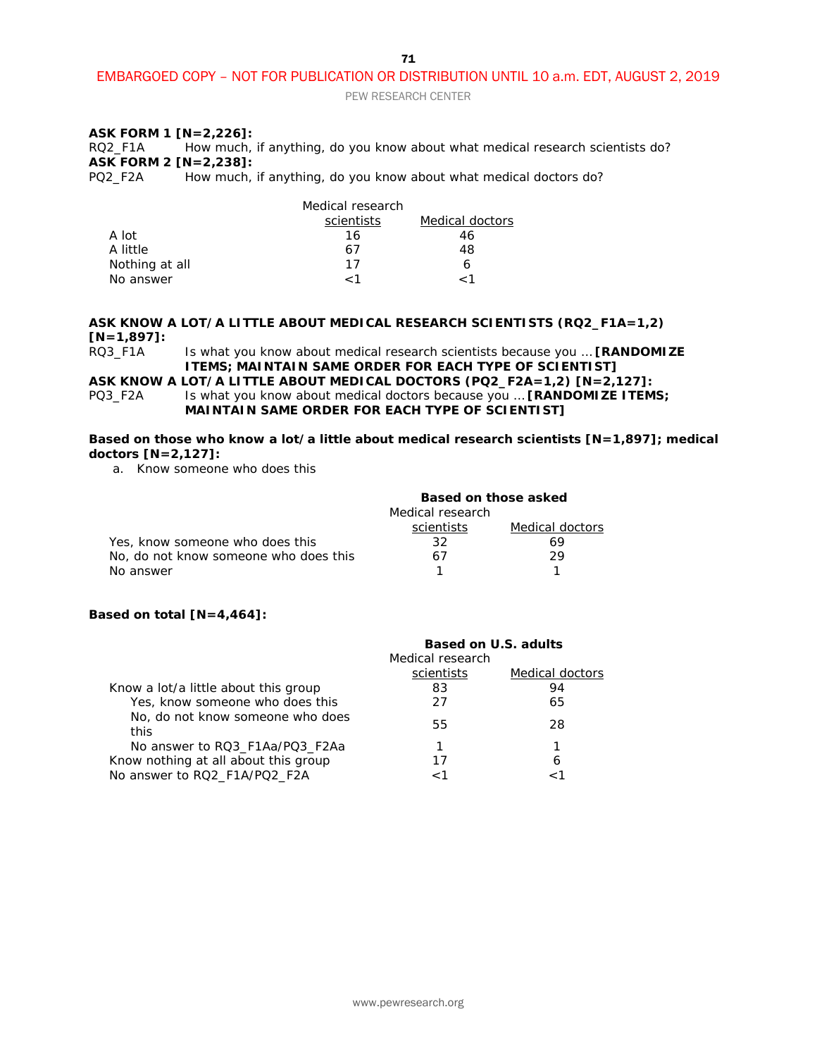#### EMBARGOED COPY – NOT FOR PUBLICATION OR DISTRIBUTION UNTIL 10 a.m. EDT, AUGUST 2, 2019

PEW RESEARCH CENTER

### **ASK FORM 1 [N=2,226]:**

RQ2\_F1A How much, if anything, do you know about what medical research scientists do? **ASK FORM 2 [N=2,238]:**

How much, if anything, do you know about what medical doctors do?

|                | Medical research |                 |
|----------------|------------------|-----------------|
|                | scientists       | Medical doctors |
| A lot          | 16               | 46              |
| A little       | 67               | 48              |
| Nothing at all | 17               |                 |
| No answer      | 1 ؍              |                 |

## **ASK KNOW A LOT/A LITTLE ABOUT MEDICAL RESEARCH SCIENTISTS (RQ2\_F1A=1,2) [N=1,897]:**

Is what you know about medical research scientists because you ... [RANDOMIZE **ITEMS; MAINTAIN SAME ORDER FOR EACH TYPE OF SCIENTIST]**

**ASK KNOW A LOT/A LITTLE ABOUT MEDICAL DOCTORS (PQ2\_F2A=1,2) [N=2,127]:** PQ3\_F2A Is what you know about medical doctors because you … **[RANDOMIZE ITEMS;** 

**MAINTAIN SAME ORDER FOR EACH TYPE OF SCIENTIST]**

**Based on those who know a lot/a little about medical research scientists [N=1,897]; medical doctors [N=2,127]:**

a. Know someone who does this

|                                       | Based on those asked |                 |
|---------------------------------------|----------------------|-----------------|
|                                       | Medical research     |                 |
|                                       | scientists           | Medical doctors |
| Yes, know someone who does this       | 32                   | 69              |
| No, do not know someone who does this | 67                   | 29              |
| No answer                             |                      |                 |

#### **Based on total [N=4,464]:**

| <b>Based on U.S. adults</b> |                 |
|-----------------------------|-----------------|
| Medical research            |                 |
| scientists                  | Medical doctors |
| 83                          | 94              |
| 27                          | 65              |
| 55                          | 28              |
|                             |                 |
| 17                          | 6               |
|                             |                 |
|                             |                 |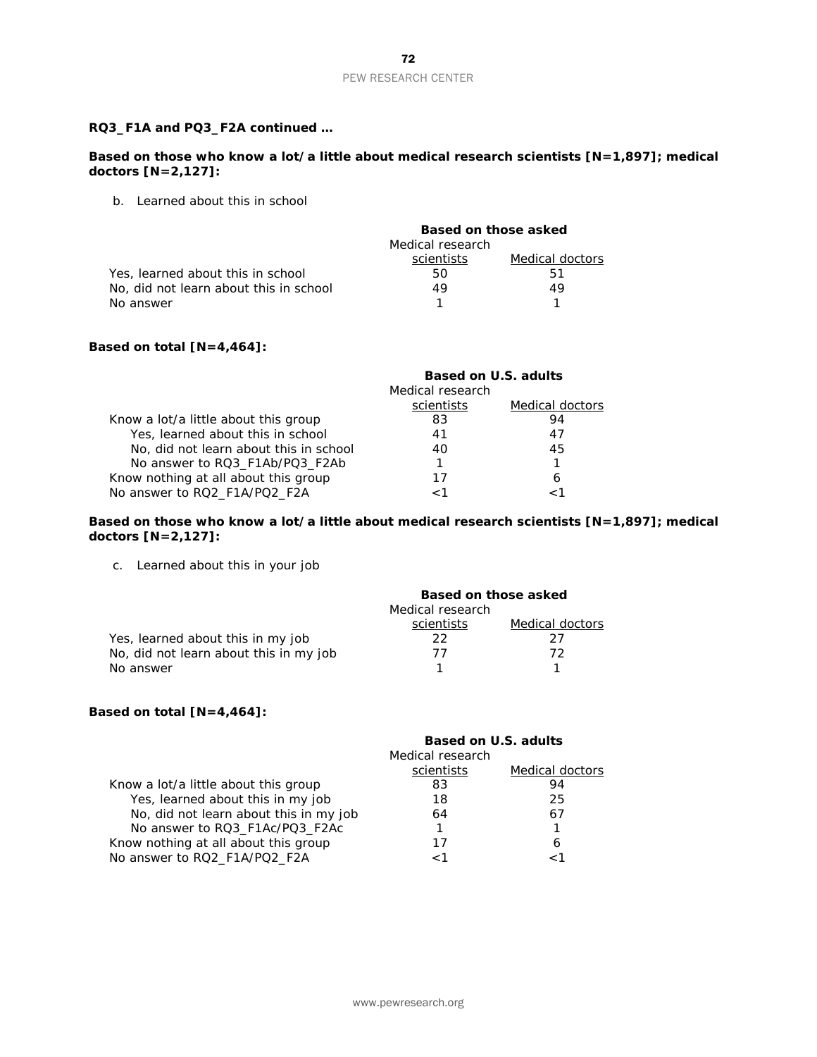#### **RQ3\_F1A and PQ3\_F2A continued …**

#### **Based on those who know a lot/a little about medical research scientists [N=1,897]; medical doctors [N=2,127]:**

b. Learned about this in school

|                                        | Based on those asked<br>Medical research |                 |
|----------------------------------------|------------------------------------------|-----------------|
|                                        |                                          |                 |
|                                        | scientists                               | Medical doctors |
| Yes, learned about this in school      | 50                                       | 51              |
| No, did not learn about this in school | 49                                       | 49              |
| No answer                              |                                          |                 |

#### **Based on total [N=4,464]:**

|                                        | <b>Based on U.S. adults</b> |                 |
|----------------------------------------|-----------------------------|-----------------|
|                                        | Medical research            |                 |
|                                        | scientists                  | Medical doctors |
| Know a lot/a little about this group   | 83                          | 94              |
| Yes, learned about this in school      | 41                          | 47              |
| No, did not learn about this in school | 40                          | 45              |
| No answer to RQ3_F1Ab/PQ3_F2Ab         |                             |                 |
| Know nothing at all about this group   | 17                          | 6               |
| No answer to RQ2_F1A/PQ2_F2A           |                             |                 |

#### **Based on those who know a lot/a little about medical research scientists [N=1,897]; medical doctors [N=2,127]:**

c. Learned about this in your job

|                                        | Based on those asked |                 |
|----------------------------------------|----------------------|-----------------|
|                                        | Medical research     |                 |
|                                        | scientists           | Medical doctors |
| Yes, learned about this in my job      | 22.                  | つフ              |
| No, did not learn about this in my job | 77                   | 72.             |
| No answer                              |                      |                 |

#### **Based on total [N=4,464]:**

|                                        | Based on U.S. adults<br>Medical research |                 |
|----------------------------------------|------------------------------------------|-----------------|
|                                        | scientists                               | Medical doctors |
| Know a lot/a little about this group   | 83                                       | 94              |
| Yes, learned about this in my job      | 18                                       | 25              |
| No, did not learn about this in my job | 64                                       | 67              |
| No answer to RQ3_F1Ac/PQ3_F2Ac         |                                          | 1               |
| Know nothing at all about this group   | 17                                       | 6               |
| No answer to RQ2_F1A/PQ2_F2A           |                                          |                 |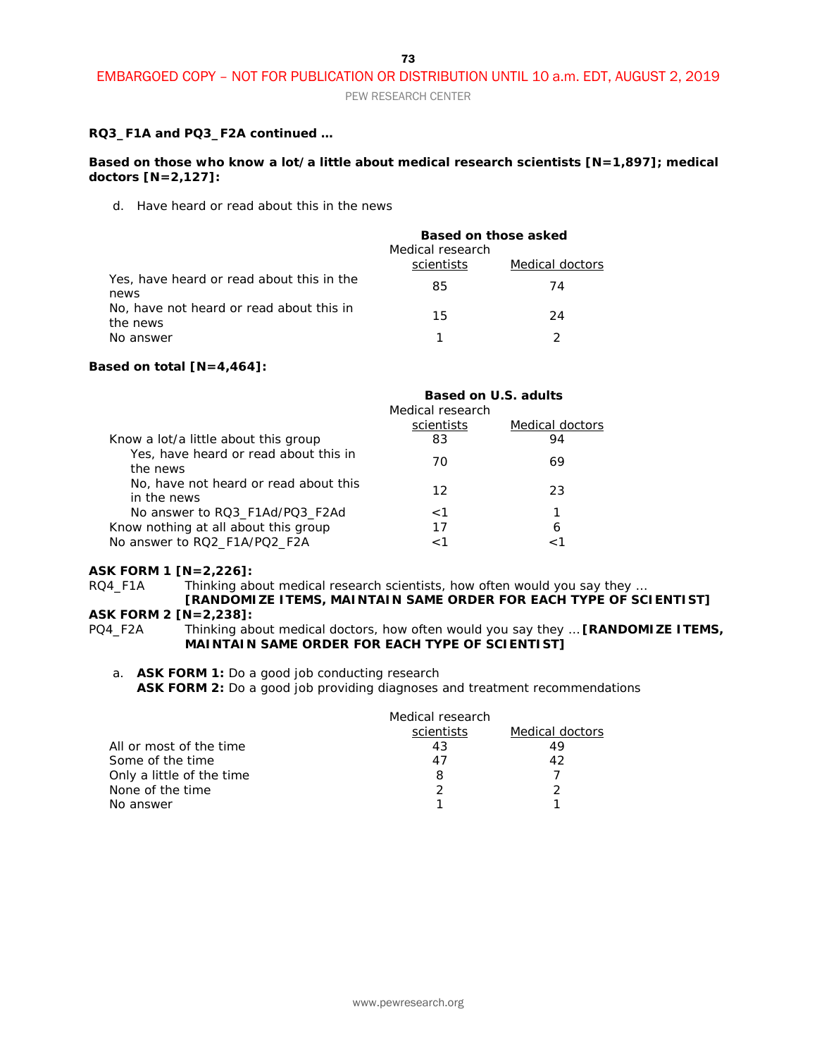PEW RESEARCH CENTER

#### **RQ3\_F1A and PQ3\_F2A continued …**

#### **Based on those who know a lot/a little about medical research scientists [N=1,897]; medical doctors [N=2,127]:**

d. Have heard or read about this in the news

|                                                      | Based on those asked<br>Medical research |                 |
|------------------------------------------------------|------------------------------------------|-----------------|
|                                                      | scientists                               | Medical doctors |
| Yes, have heard or read about this in the<br>news    | 85                                       | 74              |
| No, have not heard or read about this in<br>the news | 15                                       | 24              |
| No answer                                            |                                          |                 |

#### **Based on total [N=4,464]:**

|                                                      | <b>Based on U.S. adults</b> |                 |
|------------------------------------------------------|-----------------------------|-----------------|
|                                                      | Medical research            |                 |
|                                                      | scientists                  | Medical doctors |
| Know a lot/a little about this group                 | 83                          | 94              |
| Yes, have heard or read about this in<br>the news    | 70                          | 69              |
| No, have not heard or read about this<br>in the news | 12                          | 23              |
| No answer to RQ3 F1Ad/PQ3 F2Ad                       | $\leq 1$                    |                 |
| Know nothing at all about this group                 | 17                          | 6               |
| No answer to RQ2 F1A/PQ2 F2A                         | 1>                          |                 |

#### **ASK FORM 1 [N=2,226]:**

RQ4\_F1A Thinking about medical research scientists, how often would you say they ...

#### **[RANDOMIZE ITEMS, MAINTAIN SAME ORDER FOR EACH TYPE OF SCIENTIST] ASK FORM 2 [N=2,238]:**

PQ4\_F2A Thinking about medical doctors, how often would you say they … **[RANDOMIZE ITEMS, MAINTAIN SAME ORDER FOR EACH TYPE OF SCIENTIST]**

a. **ASK FORM 1:** Do a good job conducting research **ASK FORM 2:** Do a good job providing diagnoses and treatment recommendations

| Medical research |                 |
|------------------|-----------------|
| scientists       | Medical doctors |
| 43               | 49              |
| 41               | 42              |
| 8                |                 |
|                  |                 |
|                  |                 |
|                  |                 |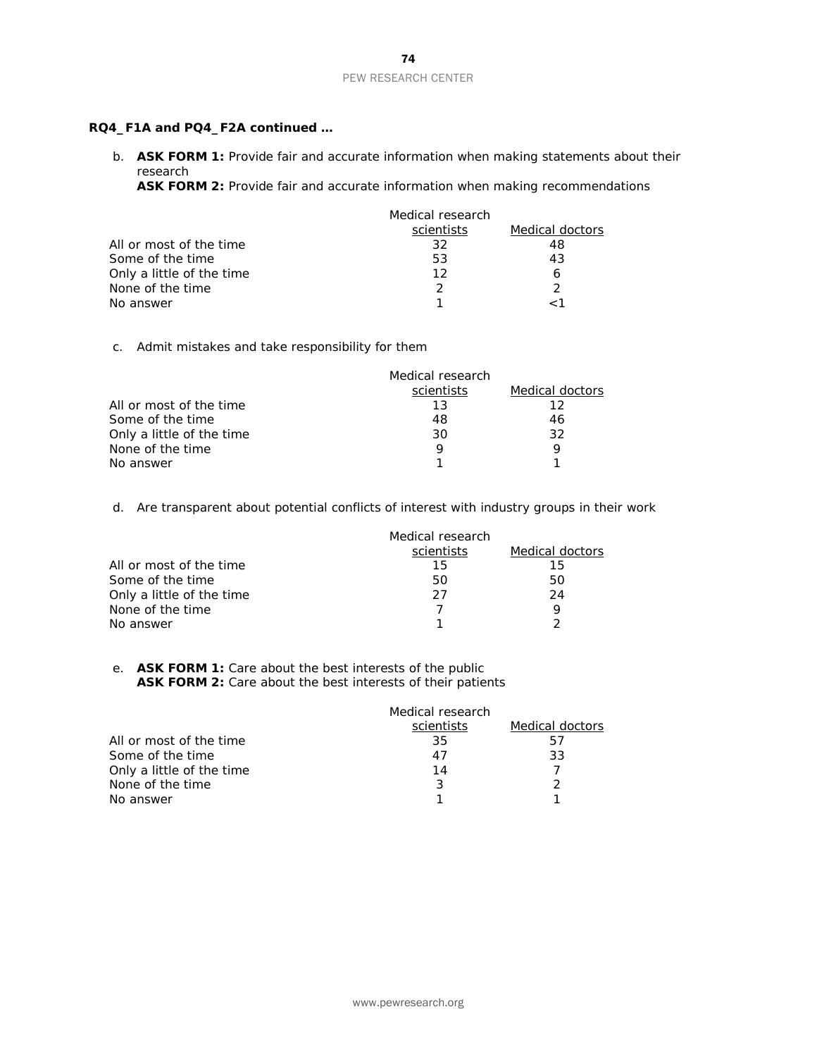#### **RQ4\_F1A and PQ4\_F2A continued …**

b. **ASK FORM 1:** Provide fair and accurate information when making statements about their research

**ASK FORM 2:** Provide fair and accurate information when making recommendations

|                           | Medical research |                 |
|---------------------------|------------------|-----------------|
|                           | scientists       | Medical doctors |
| All or most of the time   | 32               | 48              |
| Some of the time          | 53               | 43              |
| Only a little of the time | 12               |                 |
| None of the time          |                  |                 |
| No answer                 |                  |                 |

#### c. Admit mistakes and take responsibility for them

|                           | Medical research |                 |
|---------------------------|------------------|-----------------|
|                           | scientists       | Medical doctors |
| All or most of the time   | 13               | 12              |
| Some of the time          | 48               | 46              |
| Only a little of the time | 30               | 32              |
| None of the time          |                  |                 |
| No answer                 |                  |                 |

d. Are transparent about potential conflicts of interest with industry groups in their work

|                           | Medical research |                 |
|---------------------------|------------------|-----------------|
|                           | scientists       | Medical doctors |
| All or most of the time   | 15               | 15              |
| Some of the time          | 50               | 50              |
| Only a little of the time | 27               | 24              |
| None of the time          |                  | Q               |
| No answer                 |                  |                 |

#### e. **ASK FORM 1:** Care about the best interests of the public ASK FORM 2: Care about the best interests of their patients

|                           | Medical research |                 |
|---------------------------|------------------|-----------------|
|                           | scientists       | Medical doctors |
| All or most of the time   | 35               | 57              |
| Some of the time          | 47               | 33              |
| Only a little of the time | 14               |                 |
| None of the time          |                  |                 |
| No answer                 |                  |                 |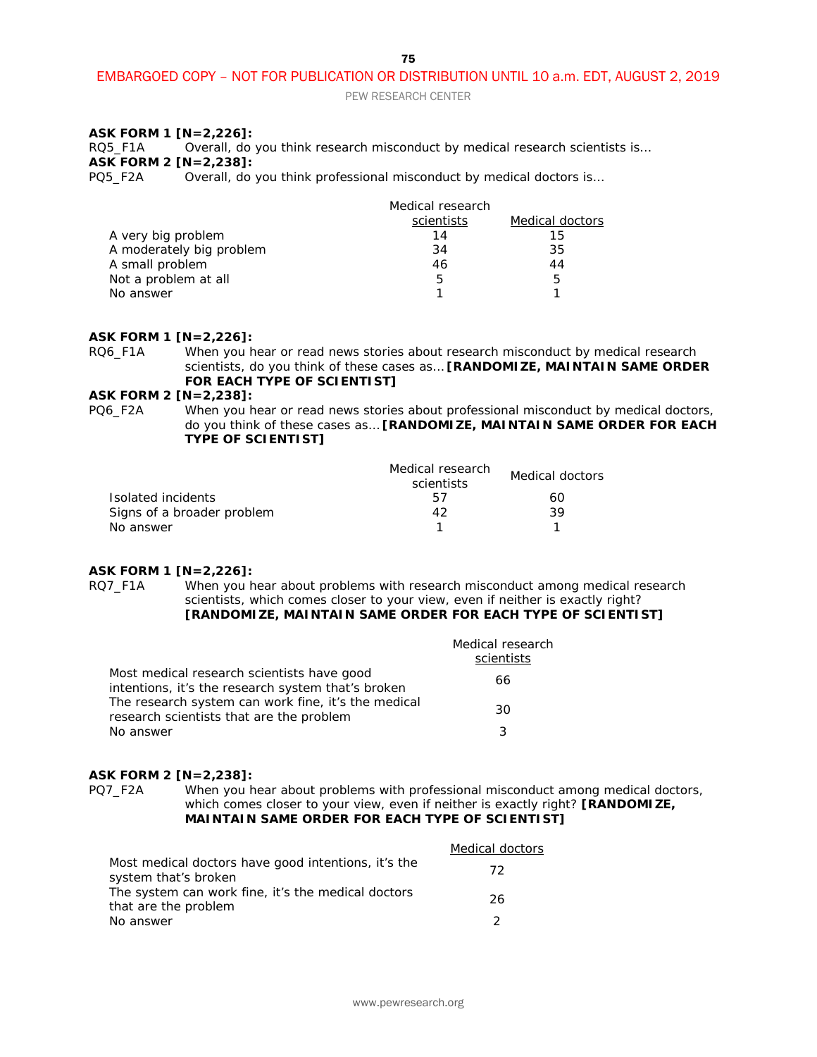PEW RESEARCH CENTER

#### **ASK FORM 1 [N=2,226]:**

RQ5\_F1A Overall, do you think research misconduct by medical research scientists is… **ASK FORM 2 [N=2,238]:**<br>PQ5\_F2A Overall, do

Overall, do you think professional misconduct by medical doctors is...

|                          | Medical research |                 |
|--------------------------|------------------|-----------------|
|                          | scientists       | Medical doctors |
| A very big problem       | 14               | 15              |
| A moderately big problem | 34               | 35              |
| A small problem          | 46               | 44              |
| Not a problem at all     | 5                | 5               |
| No answer                |                  |                 |

#### **ASK FORM 1 [N=2,226]:**

RQ6\_F1A When you hear or read news stories about research misconduct by medical research scientists, do you think of these cases as… **[RANDOMIZE, MAINTAIN SAME ORDER FOR EACH TYPE OF SCIENTIST]**

**ASK FORM 2 [N=2,238]:**<br>PQ6\_F2A When you h When you hear or read news stories about professional misconduct by medical doctors, do you think of these cases as… **[RANDOMIZE, MAINTAIN SAME ORDER FOR EACH TYPE OF SCIENTIST]** 

|                            | Medical research<br>scientists | Medical doctors |
|----------------------------|--------------------------------|-----------------|
| Isolated incidents         | h/                             | 60              |
| Signs of a broader problem | 42                             | 39              |
| No answer                  |                                |                 |

#### **ASK FORM 1 [N=2,226]:**

RQ7\_F1A When you hear about problems with research misconduct among medical research scientists, which comes closer to your view, even if neither is exactly right? **[RANDOMIZE, MAINTAIN SAME ORDER FOR EACH TYPE OF SCIENTIST]**

|                                                                                                  | Medical research<br>scientists |
|--------------------------------------------------------------------------------------------------|--------------------------------|
| Most medical research scientists have good<br>intentions, it's the research system that's broken | 66                             |
| The research system can work fine, it's the medical<br>research scientists that are the problem  | 30                             |
| No answer                                                                                        | 3                              |

#### **ASK FORM 2 [N=2,238]:**

PQ7\_F2A When you hear about problems with professional misconduct among medical doctors, which comes closer to your view, even if neither is exactly right? **[RANDOMIZE, MAINTAIN SAME ORDER FOR EACH TYPE OF SCIENTIST]**

|                                                                             | Medical doctors |
|-----------------------------------------------------------------------------|-----------------|
| Most medical doctors have good intentions, it's the<br>system that's broken | 72              |
| The system can work fine, it's the medical doctors<br>that are the problem  | 26              |
| No answer                                                                   |                 |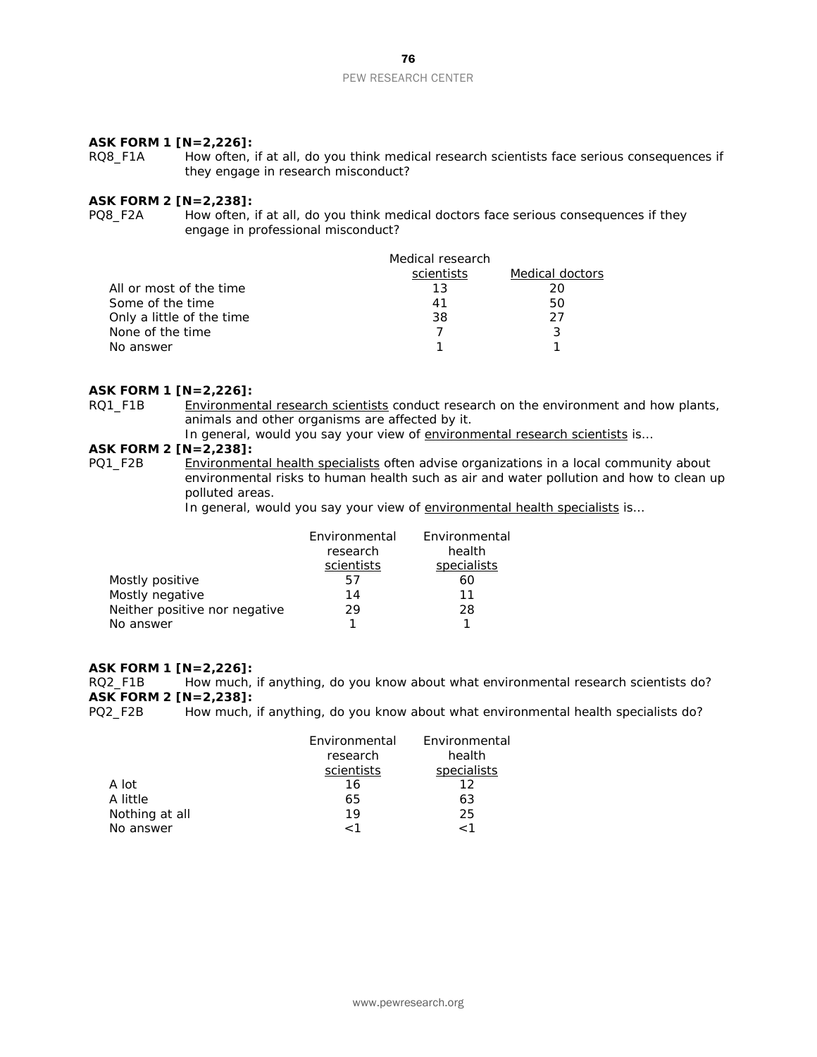# **ASK FORM 1 [N=2,226]:**<br>RQ8\_F1A How often,

How often, if at all, do you think medical research scientists face serious consequences if they engage in research misconduct?

#### **ASK FORM 2 [N=2,238]:**

PQ8 F2A How often, if at all, do you think medical doctors face serious consequences if they engage in professional misconduct?

|                           | Medical research |                 |
|---------------------------|------------------|-----------------|
|                           | scientists       | Medical doctors |
| All or most of the time   | 13               | 20              |
| Some of the time          | 41               | 50              |
| Only a little of the time | 38.              | 27              |
| None of the time          |                  |                 |
| No answer                 |                  |                 |

#### **ASK FORM 1 [N=2,226]:**

RQ1\_F1B Environmental research scientists conduct research on the environment and how plants, animals and other organisms are affected by it.

In general, would you say your view of environmental research scientists is...

# **ASK FORM 2 [N=2,238]:**<br>PQ1\_F2B <u>Environmen</u>

Environmental health specialists often advise organizations in a local community about environmental risks to human health such as air and water pollution and how to clean up polluted areas.

In general, would you say your view of environmental health specialists is...

|                               | Environmental | Environmental |
|-------------------------------|---------------|---------------|
|                               | research      | health        |
|                               | scientists    | specialists   |
| Mostly positive               | h/            | 60            |
| Mostly negative               | 14            | 11            |
| Neither positive nor negative | 29            | 28            |
| No answer                     |               |               |

#### **ASK FORM 1 [N=2,226]:**

RQ2\_F1B How much, if anything, do you know about what environmental research scientists do? **ASK FORM 2 [N=2,238]:**

PQ2\_F2B How much, if anything, do you know about what environmental health specialists do?

|                | Environmental | Environmental |
|----------------|---------------|---------------|
|                | research      | health        |
|                | scientists    | specialists   |
| A lot          | 16            | 12            |
| A little       | 65            | 63            |
| Nothing at all | 19            | 25            |
| No answer      | 1 >           | $\sim$ 1      |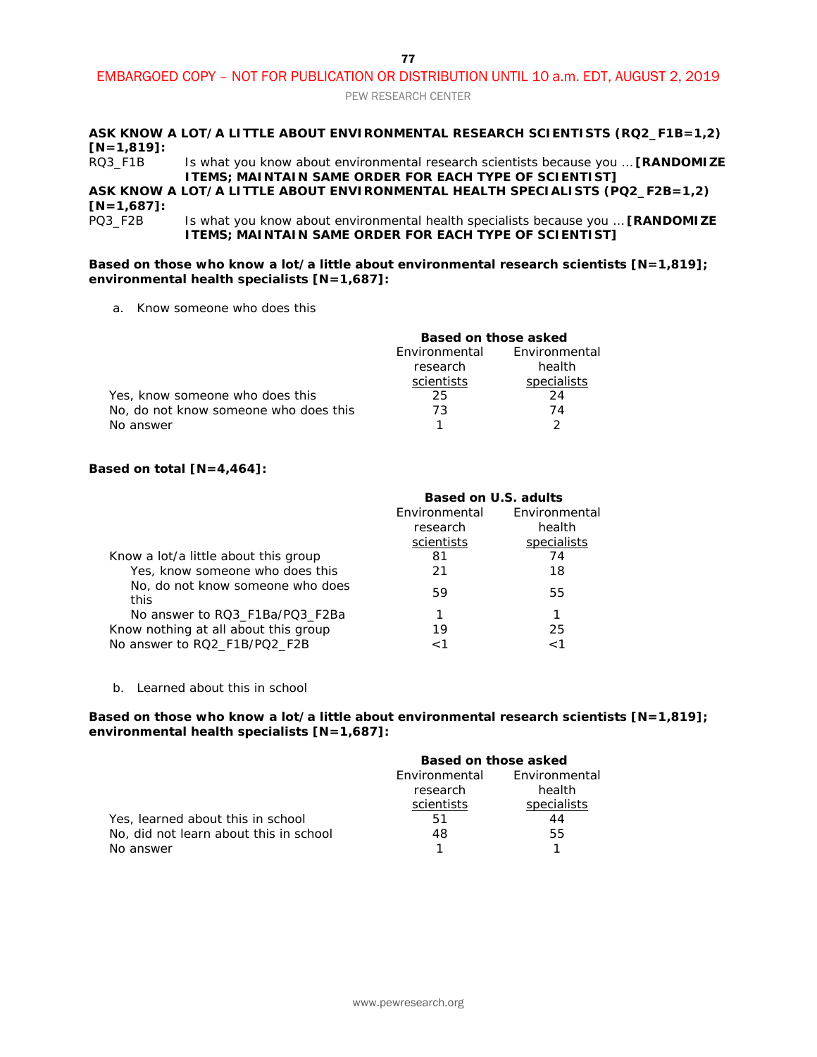PEW RESEARCH CENTER

#### **ASK KNOW A LOT/A LITTLE ABOUT ENVIRONMENTAL RESEARCH SCIENTISTS (RQ2\_F1B=1,2) [N=1,819]:**

RQ3\_F1B Is what you know about environmental research scientists because you … **[RANDOMIZE ITEMS; MAINTAIN SAME ORDER FOR EACH TYPE OF SCIENTIST]**

### **ASK KNOW A LOT/A LITTLE ABOUT ENVIRONMENTAL HEALTH SPECIALISTS (PQ2\_F2B=1,2) [N=1,687]:**

Is what you know about environmental health specialists because you ... [RANDOMIZE **ITEMS; MAINTAIN SAME ORDER FOR EACH TYPE OF SCIENTIST]**

#### **Based on those who know a lot/a little about environmental research scientists [N=1,819]; environmental health specialists [N=1,687]:**

a. Know someone who does this

|                                       | Based on those asked |               |
|---------------------------------------|----------------------|---------------|
|                                       | Environmental        | Environmental |
|                                       | research             | health        |
|                                       | scientists           | specialists   |
| Yes, know someone who does this       | 25                   | 24            |
| No, do not know someone who does this | 73                   | 74            |
| No answer                             |                      |               |

#### **Based on total [N=4,464]:**

|                                          | Based on U.S. adults |               |
|------------------------------------------|----------------------|---------------|
|                                          | Environmental        | Environmental |
|                                          | research             | health        |
|                                          | scientists           | specialists   |
| Know a lot/a little about this group     | 81                   | 74            |
| Yes, know someone who does this          | 21                   | 18            |
| No, do not know someone who does<br>this | 59                   | 55            |
| No answer to RQ3 F1Ba/PQ3 F2Ba           |                      |               |
| Know nothing at all about this group     | 19                   | 25            |
| No answer to RQ2_F1B/PQ2_F2B             |                      | 1 >           |

b. Learned about this in school

#### **Based on those who know a lot/a little about environmental research scientists [N=1,819]; environmental health specialists [N=1,687]:**

|                                        | Based on those asked |               |
|----------------------------------------|----------------------|---------------|
|                                        | Environmental        | Environmental |
|                                        | research             | health        |
|                                        | scientists           | specialists   |
| Yes, learned about this in school      | 51                   | 44            |
| No, did not learn about this in school | 48                   | 55            |
| No answer                              |                      |               |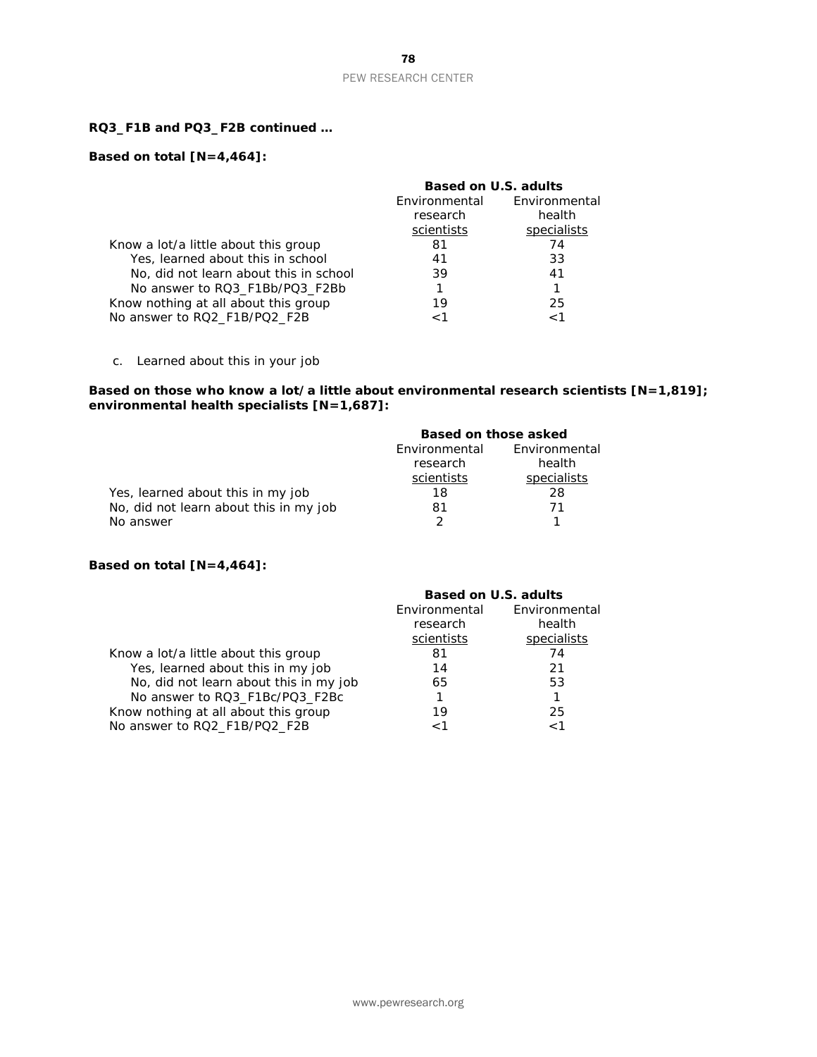#### **RQ3\_F1B and PQ3\_F2B continued …**

### **Based on total [N=4,464]:**

|                                        | Based on U.S. adults |               |
|----------------------------------------|----------------------|---------------|
|                                        | Environmental        | Environmental |
|                                        | research             | health        |
|                                        | scientists           | specialists   |
| Know a lot/a little about this group   | 81                   | 74            |
| Yes, learned about this in school      | 41                   | 33            |
| No, did not learn about this in school | 39                   | 41            |
| No answer to RQ3 F1Bb/PQ3 F2Bb         |                      |               |
| Know nothing at all about this group   | 19                   | 25            |
| No answer to RQ2_F1B/PQ2_F2B           | 1>                   | 1 >           |

c. Learned about this in your job

#### **Based on those who know a lot/a little about environmental research scientists [N=1,819]; environmental health specialists [N=1,687]:**

|                                        | Based on those asked |               |
|----------------------------------------|----------------------|---------------|
|                                        | Environmental        | Environmental |
|                                        | research             | health        |
|                                        | scientists           | specialists   |
| Yes, learned about this in my job      | 18                   | 28            |
| No, did not learn about this in my job | 81                   | 71            |
| No answer                              |                      |               |

#### **Based on total [N=4,464]:**

|                                        | Based on U.S. adults |               |
|----------------------------------------|----------------------|---------------|
|                                        | Environmental        | Environmental |
|                                        | research             | health        |
|                                        | scientists           | specialists   |
| Know a lot/a little about this group   | 81                   | 74            |
| Yes, learned about this in my job      | 14                   | 21            |
| No, did not learn about this in my job | 65                   | 53            |
| No answer to RQ3_F1Bc/PQ3_F2Bc         | 1                    | 1             |
| Know nothing at all about this group   | 19                   | 25            |
| No answer to RQ2_F1B/PQ2_F2B           | 1 >                  | 1 ~           |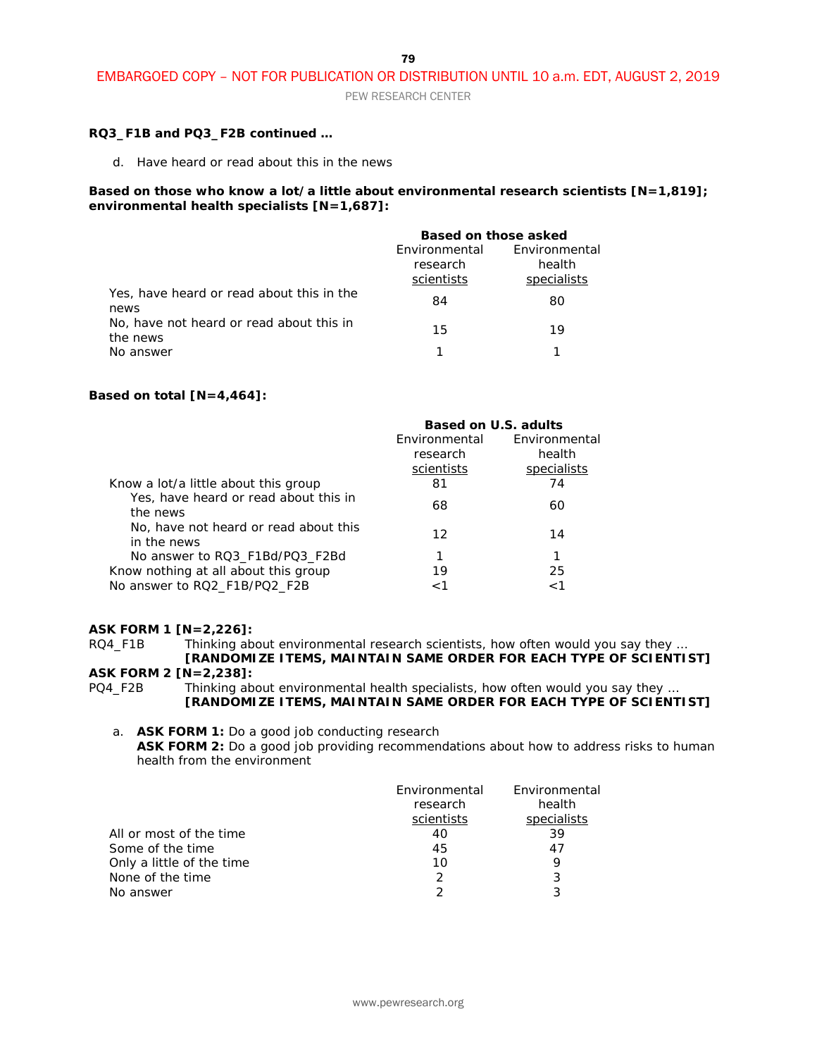PEW RESEARCH CENTER

#### **RQ3\_F1B and PQ3\_F2B continued …**

d. Have heard or read about this in the news

#### **Based on those who know a lot/a little about environmental research scientists [N=1,819]; environmental health specialists [N=1,687]:**

|                                                      | Based on those asked                    |                                        |
|------------------------------------------------------|-----------------------------------------|----------------------------------------|
|                                                      | Environmental<br>research<br>scientists | Environmental<br>health<br>specialists |
| Yes, have heard or read about this in the<br>news    | 84                                      | 80                                     |
| No, have not heard or read about this in<br>the news | 15                                      | 19                                     |
| No answer                                            |                                         |                                        |

#### **Based on total [N=4,464]:**

|                                                      | Based on U.S. adults |               |
|------------------------------------------------------|----------------------|---------------|
|                                                      | Environmental        | Environmental |
|                                                      | research             | health        |
|                                                      | scientists           | specialists   |
| Know a lot/a little about this group                 | 81                   | 74            |
| Yes, have heard or read about this in<br>the news    | 68                   | 60            |
| No, have not heard or read about this<br>in the news | 12                   | 14            |
| No answer to RQ3 F1Bd/PQ3 F2Bd                       |                      | 1             |
| Know nothing at all about this group                 | 19                   | 25            |
| No answer to RQ2_F1B/PQ2_F2B                         | 1 >                  | 1 >           |

#### **ASK FORM 1 [N=2,226]:**

RQ4\_F1B Thinking about environmental research scientists, how often would you say they ... **[RANDOMIZE ITEMS, MAINTAIN SAME ORDER FOR EACH TYPE OF SCIENTIST]**

#### **ASK FORM 2 [N=2,238]:**

PQ4\_F2B Thinking about environmental health specialists, how often would you say they ... **[RANDOMIZE ITEMS, MAINTAIN SAME ORDER FOR EACH TYPE OF SCIENTIST]**

#### a. **ASK FORM 1:** Do a good job conducting research **ASK FORM 2:** Do a good job providing recommendations about how to address risks to human health from the environment

|                           | Environmental<br>research | Environmental<br>health |
|---------------------------|---------------------------|-------------------------|
|                           | scientists                | specialists             |
| All or most of the time   | 40                        | 39                      |
| Some of the time          | 45                        | 47                      |
| Only a little of the time | 10                        |                         |
| None of the time          | 2                         | 3                       |
| No answer                 |                           | ર                       |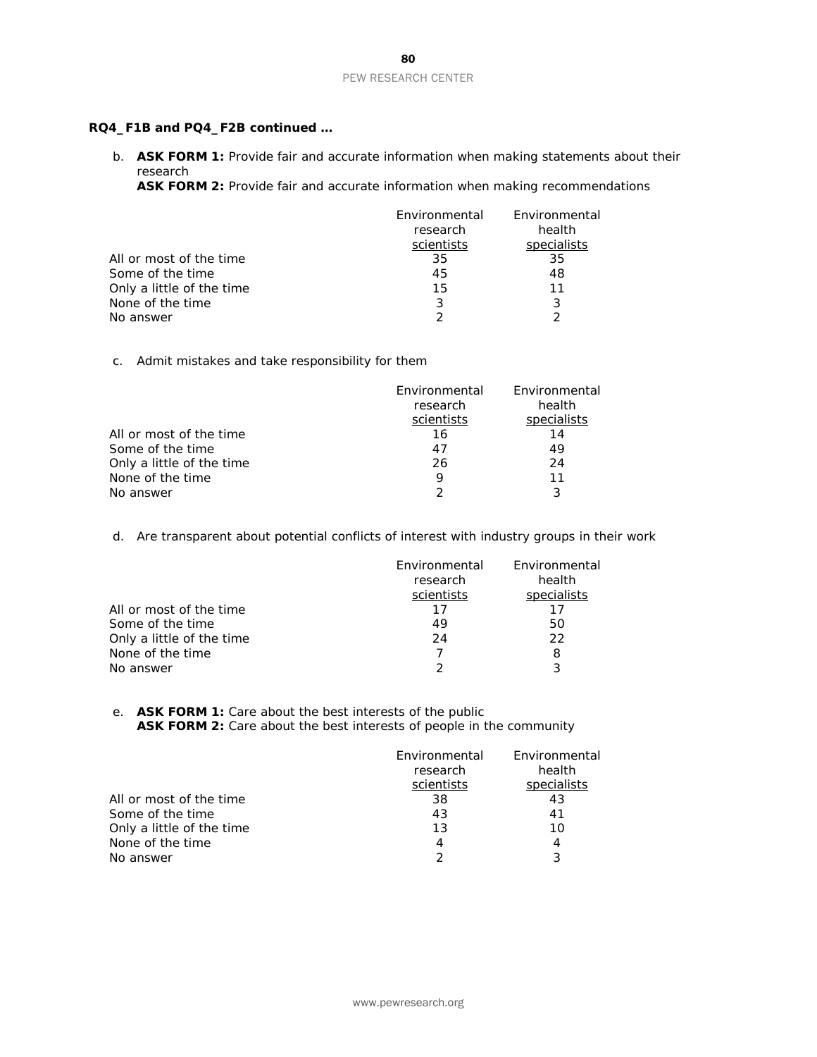#### **RQ4\_F1B and PQ4\_F2B continued …**

b. **ASK FORM 1:** Provide fair and accurate information when making statements about their research

**ASK FORM 2:** Provide fair and accurate information when making recommendations

|                           | Environmental<br>research | Environmental<br>health |
|---------------------------|---------------------------|-------------------------|
|                           | scientists                | specialists             |
| All or most of the time   | 35                        | 35                      |
| Some of the time          | 45                        | 48                      |
| Only a little of the time | 15                        | 11                      |
| None of the time          | 3                         | 3                       |
| No answer                 |                           | っ                       |

#### c. Admit mistakes and take responsibility for them

|                           | Environmental | Environmental |
|---------------------------|---------------|---------------|
|                           | research      | health        |
|                           | scientists    | specialists   |
| All or most of the time   | 16            | 14            |
| Some of the time          | 47            | 49            |
| Only a little of the time | 26            | 24            |
| None of the time          | 9             | 11            |
| No answer                 | $\mathcal{P}$ | 3             |

d. Are transparent about potential conflicts of interest with industry groups in their work

|                           | Environmental<br>research<br>scientists | Environmental<br>health<br>specialists |
|---------------------------|-----------------------------------------|----------------------------------------|
| All or most of the time   | 17                                      | 17                                     |
| Some of the time          | 49                                      | 50                                     |
| Only a little of the time | 24                                      | 22                                     |
| None of the time          |                                         | 8                                      |
| No answer                 |                                         | 3                                      |

#### e. **ASK FORM 1:** Care about the best interests of the public ASK FORM 2: Care about the best interests of people in the community

|                           | Environmental<br>research<br>scientists | Environmental<br>health<br>specialists |
|---------------------------|-----------------------------------------|----------------------------------------|
| All or most of the time   | 38                                      | 43                                     |
| Some of the time          | 43                                      | 41                                     |
| Only a little of the time | 13                                      | 10                                     |
| None of the time          | 4                                       | 4                                      |
| No answer                 |                                         | 3                                      |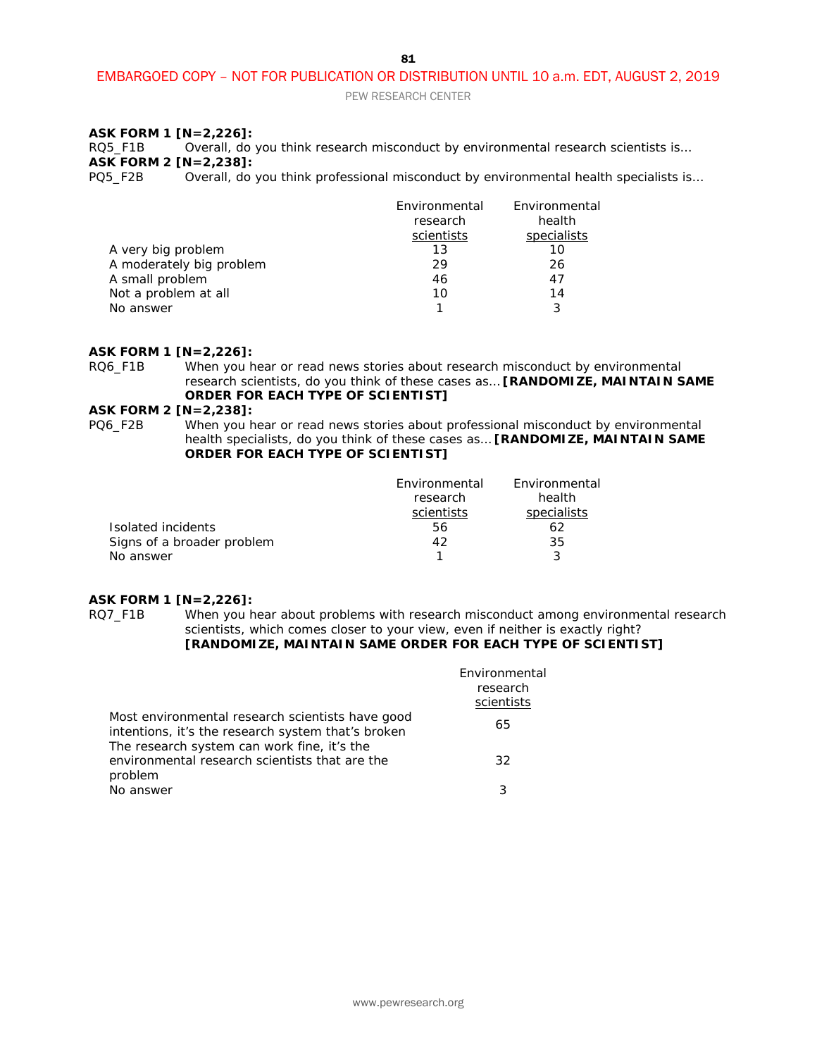PEW RESEARCH CENTER

#### **ASK FORM 1 [N=2,226]:**

RQ5\_F1B Overall, do you think research misconduct by environmental research scientists is… **ASK FORM 2 [N=2,238]:**<br>PQ5\_F2B Overall, do

Overall, do you think professional misconduct by environmental health specialists is...

|                          | Environmental | Environmental |
|--------------------------|---------------|---------------|
|                          | research      | health        |
|                          | scientists    | specialists   |
| A very big problem       | 13            | 10            |
| A moderately big problem | 29            | 26            |
| A small problem          | 46            | 47            |
| Not a problem at all     | 10            | 14            |
| No answer                |               | 3             |

#### **ASK FORM 1 [N=2,226]:**

RQ6\_F1B When you hear or read news stories about research misconduct by environmental research scientists, do you think of these cases as… **[RANDOMIZE, MAINTAIN SAME ORDER FOR EACH TYPE OF SCIENTIST]**

# **ASK FORM 2 [N=2,238]:**<br>PQ6\_F2B When you h

- - When you hear or read news stories about professional misconduct by environmental health specialists, do you think of these cases as… **[RANDOMIZE, MAINTAIN SAME ORDER FOR EACH TYPE OF SCIENTIST]**

|                            | Environmental | Environmental |
|----------------------------|---------------|---------------|
|                            | research      | health        |
|                            | scientists    | specialists   |
| Isolated incidents         | 56            | 62            |
| Signs of a broader problem | 42            | 35            |
| No answer                  |               |               |

#### **ASK FORM 1 [N=2,226]:**

RQ7\_F1B When you hear about problems with research misconduct among environmental research scientists, which comes closer to your view, even if neither is exactly right? **[RANDOMIZE, MAINTAIN SAME ORDER FOR EACH TYPE OF SCIENTIST]**

|                                                                                                          | Environmental<br>research<br>scientists |
|----------------------------------------------------------------------------------------------------------|-----------------------------------------|
| Most environmental research scientists have good<br>intentions, it's the research system that's broken   | 65                                      |
| The research system can work fine, it's the<br>environmental research scientists that are the<br>problem | 32                                      |
| No answer                                                                                                | 3                                       |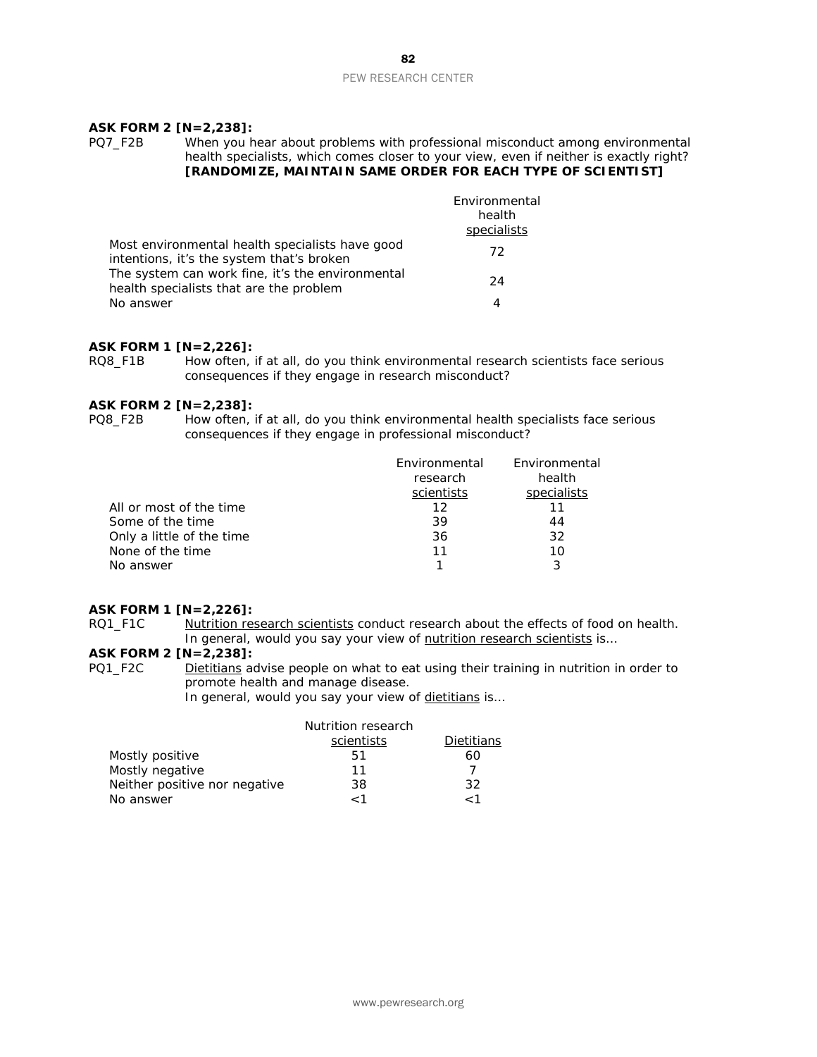#### **ASK FORM 2 [N=2,238]:**

#### PQ7\_F2B When you hear about problems with professional misconduct among environmental health specialists, which comes closer to your view, even if neither is exactly right? **[RANDOMIZE, MAINTAIN SAME ORDER FOR EACH TYPE OF SCIENTIST]**

|                                                                                              | Environmental<br>health<br>specialists |
|----------------------------------------------------------------------------------------------|----------------------------------------|
| Most environmental health specialists have good<br>intentions, it's the system that's broken | 72                                     |
| The system can work fine, it's the environmental<br>health specialists that are the problem  | 24                                     |
| No answer                                                                                    | 4                                      |

# **ASK FORM 1 [N=2,226]:**

How often, if at all, do you think environmental research scientists face serious consequences if they engage in research misconduct?

#### **ASK FORM 2 [N=2,238]:**

- 
- PQ8\_F2B How often, if at all, do you think environmental health specialists face serious consequences if they engage in professional misconduct?

|                           | Environmental<br>research<br>scientists | Environmental<br>health<br>specialists |
|---------------------------|-----------------------------------------|----------------------------------------|
| All or most of the time   | 12                                      | 11                                     |
| Some of the time          | 39                                      | 44                                     |
| Only a little of the time | 36                                      | 32                                     |
| None of the time          | 11                                      | 10                                     |
| No answer                 |                                         | 3                                      |

#### **ASK FORM 1 [N=2,226]:**

RQ1\_F1C Nutrition research scientists conduct research about the effects of food on health. In general, would you say your view of nutrition research scientists is...

### **ASK FORM 2 [N=2,238]:**

PQ1\_F2C Dietitians advise people on what to eat using their training in nutrition in order to promote health and manage disease.

In general, would you say your view of dietitians is...

|                               | Nutrition research |            |
|-------------------------------|--------------------|------------|
|                               | scientists         | Dietitians |
| Mostly positive               | 51                 | 60         |
| Mostly negative               | 11                 |            |
| Neither positive nor negative | 38                 | 32         |
| No answer                     | - 1                | - 1        |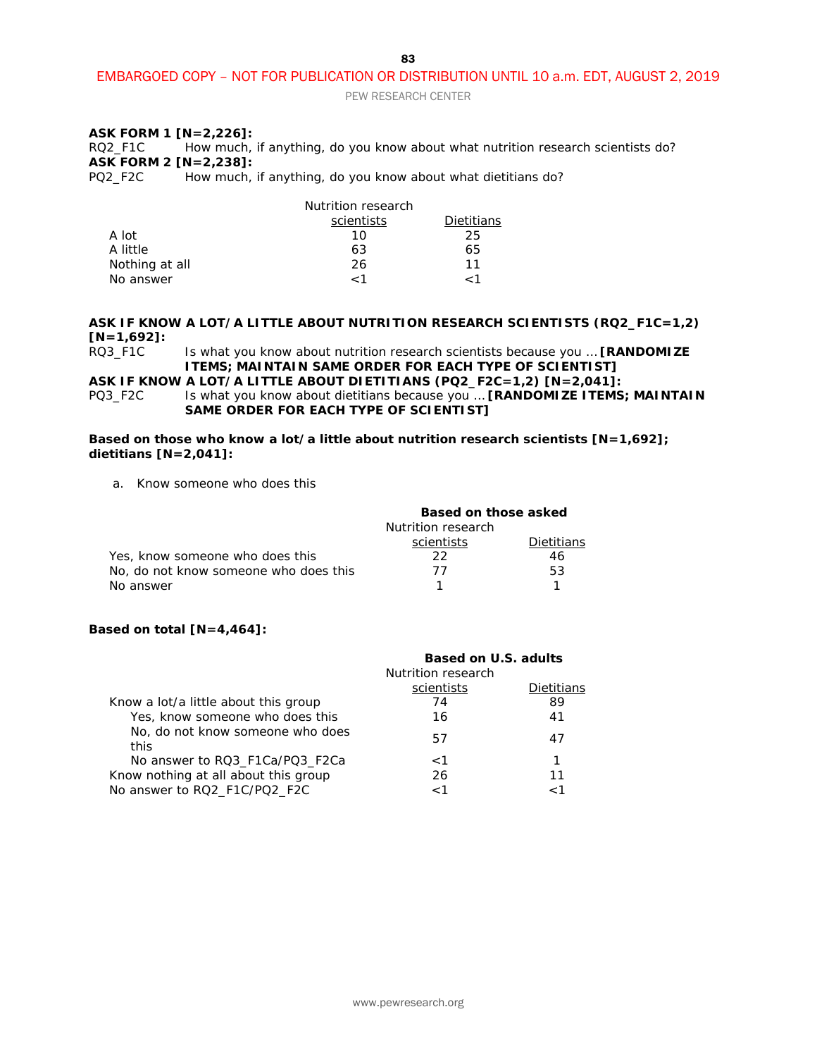PEW RESEARCH CENTER

#### **ASK FORM 1 [N=2,226]:**

RQ2\_F1C How much, if anything, do you know about what nutrition research scientists do? **ASK FORM 2 [N=2,238]:**<br>PQ2\_F2C How much,

How much, if anything, do you know about what dietitians do?

|                | Nutrition research |            |
|----------------|--------------------|------------|
|                | scientists         | Dietitians |
| A lot          | 10                 | 25         |
| A little       | 63                 | 65         |
| Nothing at all | 26                 | 11         |
| No answer      | 1 >                | - 1        |

**ASK IF KNOW A LOT/A LITTLE ABOUT NUTRITION RESEARCH SCIENTISTS (RQ2\_F1C=1,2) [N=1,692]:**

```
Is what you know about nutrition research scientists because you ... [RANDOMIZE
ITEMS; MAINTAIN SAME ORDER FOR EACH TYPE OF SCIENTIST]
```
**ASK IF KNOW A LOT/A LITTLE ABOUT DIETITIANS (PQ2\_F2C=1,2) [N=2,041]:**

PQ3\_F2C Is what you know about dietitians because you ... **[RANDOMIZE ITEMS; MAINTAIN SAME ORDER FOR EACH TYPE OF SCIENTIST]**

**Based on those who know a lot/a little about nutrition research scientists [N=1,692]; dietitians [N=2,041]:**

a. Know someone who does this

|                                       | Based on those asked |            |
|---------------------------------------|----------------------|------------|
|                                       | Nutrition research   |            |
|                                       | scientists           | Dietitians |
| Yes, know someone who does this       | フフ                   | 46         |
| No, do not know someone who does this | 77                   | 53         |
| No answer                             |                      |            |

#### **Based on total [N=4,464]:**

|                                          | Based on U.S. adults |            |
|------------------------------------------|----------------------|------------|
|                                          | Nutrition research   |            |
|                                          | scientists           | Dietitians |
| Know a lot/a little about this group     | 74                   | 89         |
| Yes, know someone who does this          | 16                   | 41         |
| No, do not know someone who does<br>this | 57                   | 47         |
| No answer to RQ3 F1Ca/PQ3 F2Ca           | $\lt1$               |            |
| Know nothing at all about this group     | 26                   | 11         |
| No answer to RQ2_F1C/PQ2_F2C             | 1 >                  |            |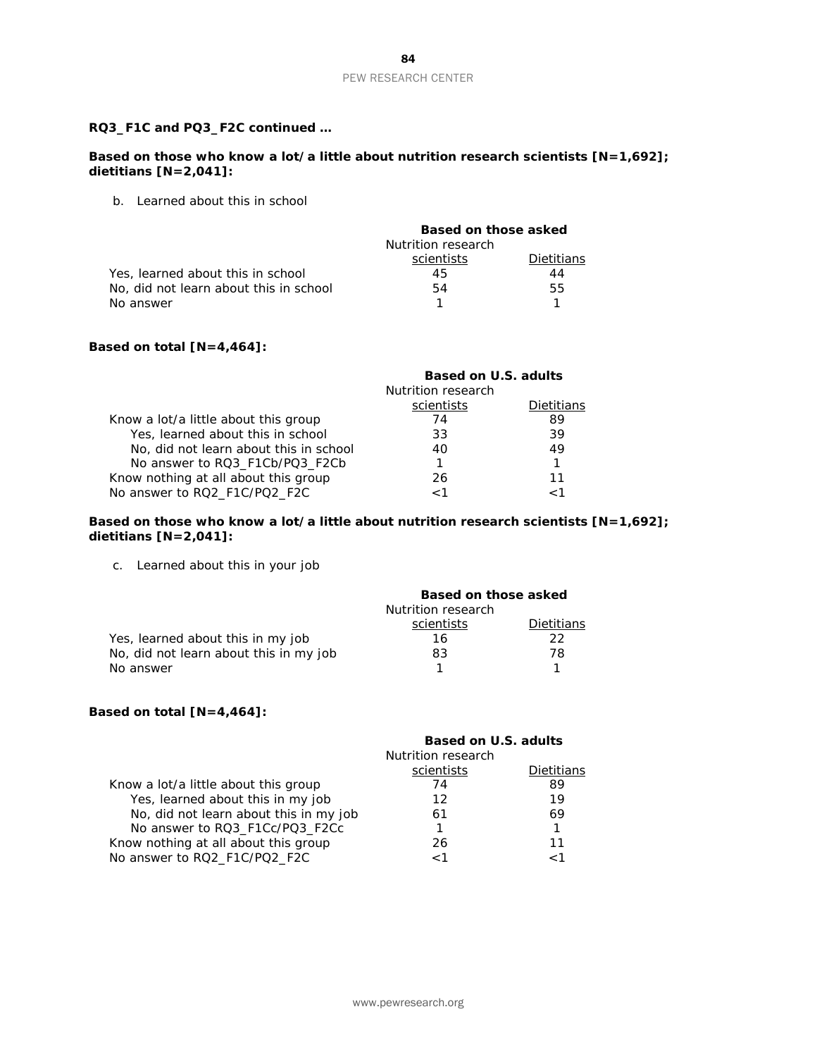#### **RQ3\_F1C and PQ3\_F2C continued …**

**Based on those who know a lot/a little about nutrition research scientists [N=1,692]; dietitians [N=2,041]:**

b. Learned about this in school

|                                        | Based on those asked |            |
|----------------------------------------|----------------------|------------|
|                                        | Nutrition research   |            |
|                                        | scientists           | Dietitians |
| Yes, learned about this in school      | 45                   | 44         |
| No, did not learn about this in school | 54                   | 55         |
| No answer                              |                      |            |

#### **Based on total [N=4,464]:**

|                                        | Based on U.S. adults |            |
|----------------------------------------|----------------------|------------|
|                                        | Nutrition research   |            |
|                                        | scientists           | Dietitians |
| Know a lot/a little about this group   | 74                   | 89         |
| Yes, learned about this in school      | 33                   | 39         |
| No, did not learn about this in school | 40                   | 49         |
| No answer to RQ3_F1Cb/PQ3_F2Cb         |                      |            |
| Know nothing at all about this group   | 26                   | 11         |
| No answer to RQ2_F1C/PQ2_F2C           | - 1                  |            |

#### **Based on those who know a lot/a little about nutrition research scientists [N=1,692]; dietitians [N=2,041]:**

c. Learned about this in your job

|                                        | Based on those asked |            |
|----------------------------------------|----------------------|------------|
|                                        | Nutrition research   |            |
|                                        | scientists           | Dietitians |
| Yes, learned about this in my job      | 16                   | 22.        |
| No, did not learn about this in my job | 83                   | 78.        |
| No answer                              |                      |            |

#### **Based on total [N=4,464]:**

|                                        | <b>Based on U.S. adults</b><br>Nutrition research |            |
|----------------------------------------|---------------------------------------------------|------------|
|                                        | scientists                                        | Dietitians |
| Know a lot/a little about this group   | 74                                                | 89         |
| Yes, learned about this in my job      | 12                                                | 19         |
| No, did not learn about this in my job | 61                                                | 69         |
| No answer to RQ3_F1Cc/PQ3_F2Cc         |                                                   |            |
| Know nothing at all about this group   | 26                                                | 11         |
| No answer to RQ2_F1C/PQ2_F2C           | 1 >                                               | 1 ~        |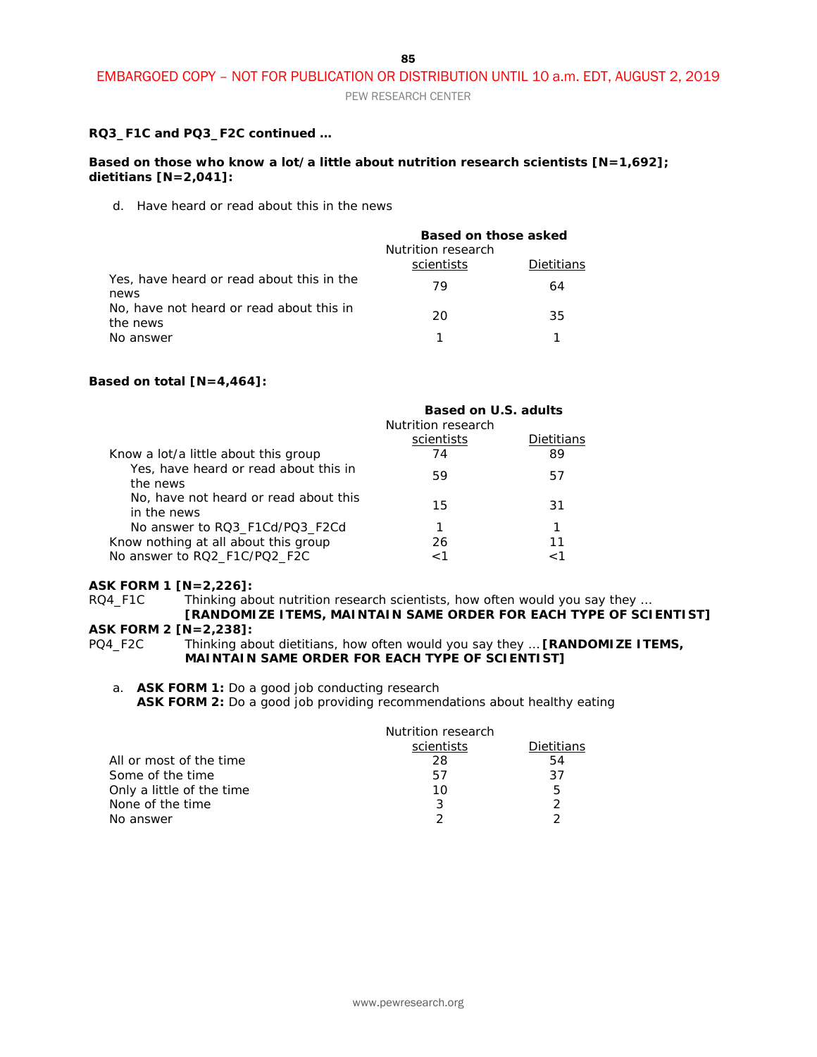PEW RESEARCH CENTER

#### **RQ3\_F1C and PQ3\_F2C continued …**

#### **Based on those who know a lot/a little about nutrition research scientists [N=1,692]; dietitians [N=2,041]:**

d. Have heard or read about this in the news

|                                                                                                           | Based on those asked<br>Nutrition research |            |
|-----------------------------------------------------------------------------------------------------------|--------------------------------------------|------------|
|                                                                                                           | scientists                                 | Dietitians |
| Yes, have heard or read about this in the<br>news<br>No, have not heard or read about this in<br>the news | 79                                         | 64         |
|                                                                                                           | 20                                         | 35         |
| No answer                                                                                                 |                                            |            |

#### **Based on total [N=4,464]:**

|                                                                      | Based on U.S. adults<br>Nutrition research |                  |
|----------------------------------------------------------------------|--------------------------------------------|------------------|
| Know a lot/a little about this group                                 | scientists<br>74                           | Dietitians<br>89 |
| Yes, have heard or read about this in<br>the news                    | 59                                         | 57               |
| No, have not heard or read about this<br>in the news                 | 15                                         | 31               |
| No answer to RQ3 F1Cd/PQ3 F2Cd                                       |                                            |                  |
| Know nothing at all about this group<br>No answer to RQ2_F1C/PQ2_F2C | 26<br>1 >                                  | 11<br>1 ~        |

# **ASK FORM 1 [N=2,226]:**<br>RQ4\_F1C Thinking ab

Thinking about nutrition research scientists, how often would you say they ...

#### **[RANDOMIZE ITEMS, MAINTAIN SAME ORDER FOR EACH TYPE OF SCIENTIST] ASK FORM 2 [N=2,238]:**

PQ4\_F2C Thinking about dietitians, how often would you say they … **[RANDOMIZE ITEMS, MAINTAIN SAME ORDER FOR EACH TYPE OF SCIENTIST]**

a. **ASK FORM 1:** Do a good job conducting research

**ASK FORM 2:** Do a good job providing recommendations about healthy eating

|                           | Nutrition research |               |
|---------------------------|--------------------|---------------|
|                           | scientists         | Dietitians    |
| All or most of the time   | 28                 | 54            |
| Some of the time          | 57                 | 37            |
| Only a little of the time | 10                 | 5             |
| None of the time          | 3                  | $\mathcal{P}$ |
| No answer                 | っ                  | າ             |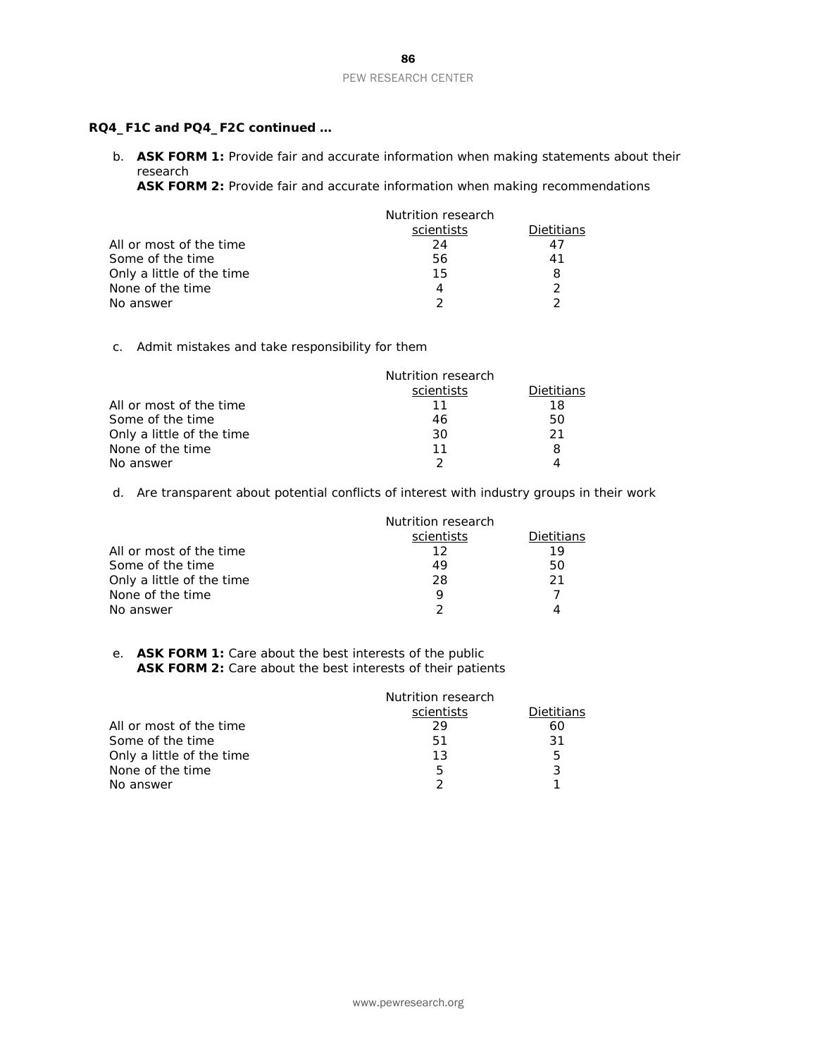#### **RQ4\_F1C and PQ4\_F2C continued …**

b. **ASK FORM 1:** Provide fair and accurate information when making statements about their research

**ASK FORM 2:** Provide fair and accurate information when making recommendations

|                           | Nutrition research |            |
|---------------------------|--------------------|------------|
|                           | scientists         | Dietitians |
| All or most of the time   | 24                 |            |
| Some of the time          | 56                 | 41         |
| Only a little of the time | 15                 | 8          |
| None of the time          | Δ                  |            |
| No answer                 |                    |            |

c. Admit mistakes and take responsibility for them

|                           | Nutrition research |                   |
|---------------------------|--------------------|-------------------|
|                           | scientists         | <b>Dietitians</b> |
| All or most of the time   |                    | 18                |
| Some of the time          | 46                 | 50                |
| Only a little of the time | 30                 | 21                |
| None of the time          | 11                 | 8                 |
| No answer                 | ∍                  |                   |

d. Are transparent about potential conflicts of interest with industry groups in their work

|                           | Nutrition research |                   |
|---------------------------|--------------------|-------------------|
|                           | scientists         | <b>Dietitians</b> |
| All or most of the time   | 12                 | 19                |
| Some of the time          | 49                 | 50                |
| Only a little of the time | 28                 | 21                |
| None of the time          |                    |                   |
| No answer                 |                    |                   |

e. **ASK FORM 1:** Care about the best interests of the public ASK FORM 2: Care about the best interests of their patients

|                           | Nutrition research |            |
|---------------------------|--------------------|------------|
|                           | scientists         | Dietitians |
| All or most of the time   | 29                 | 60         |
| Some of the time          | .51                | -31        |
| Only a little of the time | 13                 | 5          |
| None of the time          | 5                  | 3          |
| No answer                 |                    |            |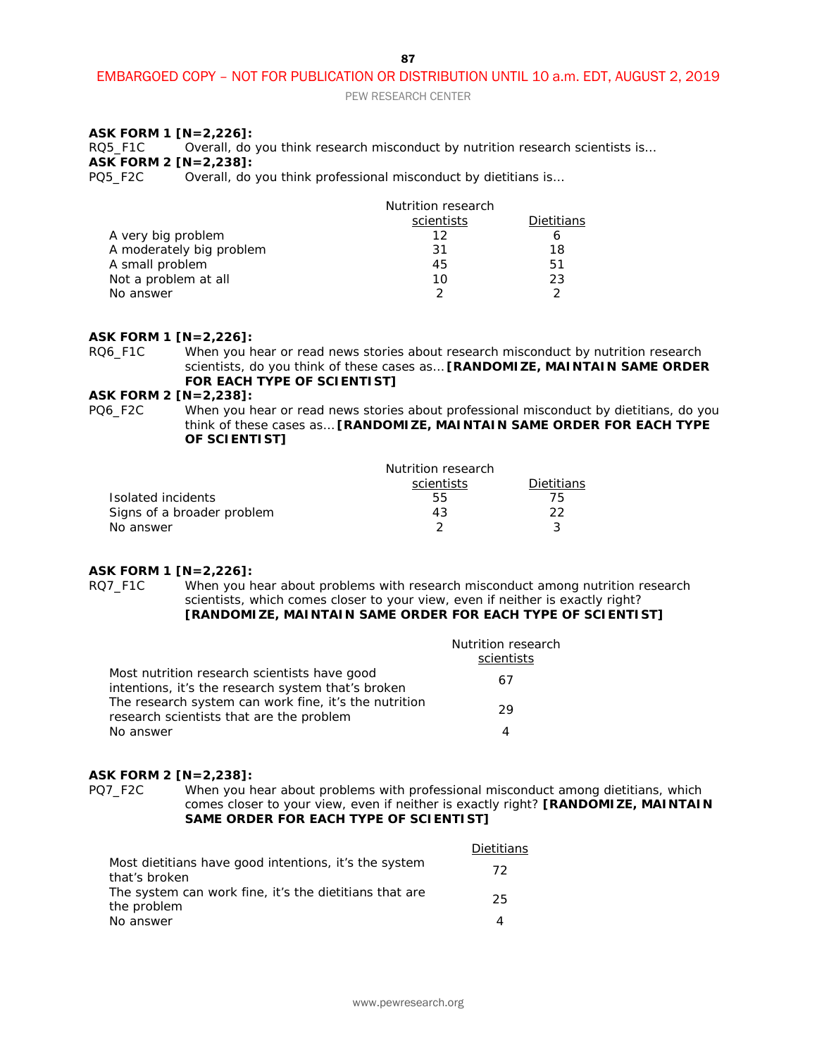PEW RESEARCH CENTER

#### **ASK FORM 1 [N=2,226]:**

RQ5\_F1C Overall, do you think research misconduct by nutrition research scientists is... **ASK FORM 2 [N=2,238]:**<br>PQ5\_F2C Overall, do

Overall, do you think professional misconduct by dietitians is...

| scientists<br>Dietitians |
|--------------------------|
| 12<br>6                  |
| 18<br>-31                |
| 51<br>45                 |
| 23<br>10                 |
|                          |
|                          |

#### **ASK FORM 1 [N=2,226]:**

RQ6\_F1C When you hear or read news stories about research misconduct by nutrition research scientists, do you think of these cases as… **[RANDOMIZE, MAINTAIN SAME ORDER FOR EACH TYPE OF SCIENTIST]**

# **ASK FORM 2 [N=2,238]:**<br>PQ6\_F2C When you h

When you hear or read news stories about professional misconduct by dietitians, do you think of these cases as… **[RANDOMIZE, MAINTAIN SAME ORDER FOR EACH TYPE OF SCIENTIST]**

|                            | Nutrition research |                   |
|----------------------------|--------------------|-------------------|
|                            | scientists         | <b>Dietitians</b> |
| Isolated incidents         | 55                 | 75.               |
| Signs of a broader problem | 43                 | つつ                |
| No answer                  |                    |                   |

#### **ASK FORM 1 [N=2,226]:**

RQ7 F1C When you hear about problems with research misconduct among nutrition research scientists, which comes closer to your view, even if neither is exactly right? **[RANDOMIZE, MAINTAIN SAME ORDER FOR EACH TYPE OF SCIENTIST]**

|                                                                                                    | Nutrition research<br>scientists |
|----------------------------------------------------------------------------------------------------|----------------------------------|
| Most nutrition research scientists have good<br>intentions, it's the research system that's broken | 67                               |
| The research system can work fine, it's the nutrition<br>research scientists that are the problem  | 29                               |
| No answer                                                                                          |                                  |

#### **ASK FORM 2 [N=2,238]:**

PQ7\_F2C When you hear about problems with professional misconduct among dietitians, which comes closer to your view, even if neither is exactly right? **[RANDOMIZE, MAINTAIN SAME ORDER FOR EACH TYPE OF SCIENTIST]**

|                                                                       | <b>Dietitians</b> |
|-----------------------------------------------------------------------|-------------------|
| Most dietitians have good intentions, it's the system                 | 72                |
| that's broken                                                         |                   |
| The system can work fine, it's the dietitians that are<br>the problem | 25                |
| No answer                                                             | Δ                 |
|                                                                       |                   |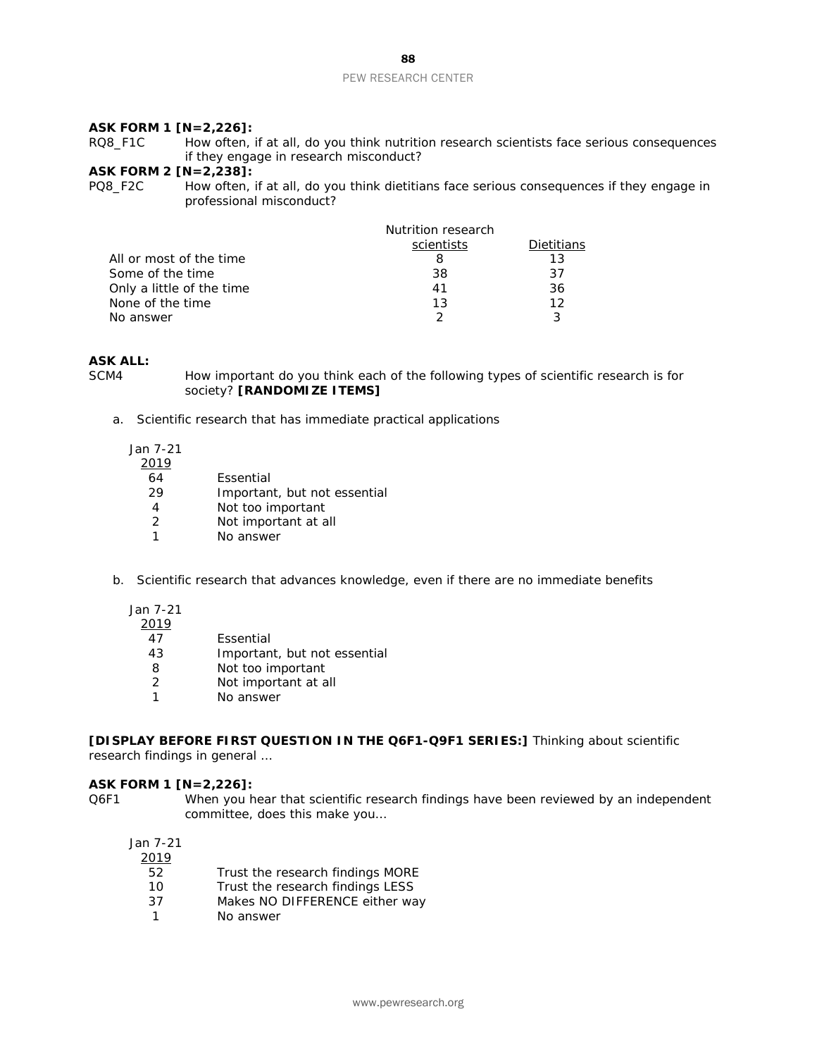#### PEW RESEARCH CENTER

#### **ASK FORM 1 [N=2,226]:**

RQ8\_F1C How often, if at all, do you think nutrition research scientists face serious consequences if they engage in research misconduct?

# **ASK FORM 2 [N=2,238]:**

How often, if at all, do you think dietitians face serious consequences if they engage in professional misconduct?

| Nutrition research |            |
|--------------------|------------|
| scientists         | Dietitians |
|                    | 13         |
| 38                 | 37         |
| 41                 | 36         |
| 13                 | 12         |
|                    |            |
|                    |            |

# **ASK ALL:**

How important do you think each of the following types of scientific research is for society? **[RANDOMIZE ITEMS]**

a. Scientific research that has immediate practical applications

| Jan 7-21      |                              |
|---------------|------------------------------|
| 2019          |                              |
| 64            | Essential                    |
| 29            | Important, but not essential |
|               | Not too important            |
| $\mathcal{L}$ | Not important at all         |
|               | No answer                    |
|               |                              |

- b. Scientific research that advances knowledge, even if there are no immediate benefits
	- Jan 7-21  $2010$

| τ.<br>╯ |  |
|---------|--|
|         |  |

- 47 Essential<br>43 Importan
- Important, but not essential
- 8 Not too important<br>2 Not important at a
- Not important at all
- 1 No answer

**[DISPLAY BEFORE FIRST QUESTION IN THE Q6F1-Q9F1 SERIES:]** Thinking about scientific research findings in general …

#### **ASK FORM 1 [N=2,226]:**

Q6F1 When you hear that scientific research findings have been reviewed by an independent committee, does this make you…

| 2019 |                                  |
|------|----------------------------------|
| 52   | Trust the research findings MORE |
| 10   | Trust the research findings LESS |
| 37   | Makes NO DIFFERENCE either way   |
| 1    | No answer                        |
|      |                                  |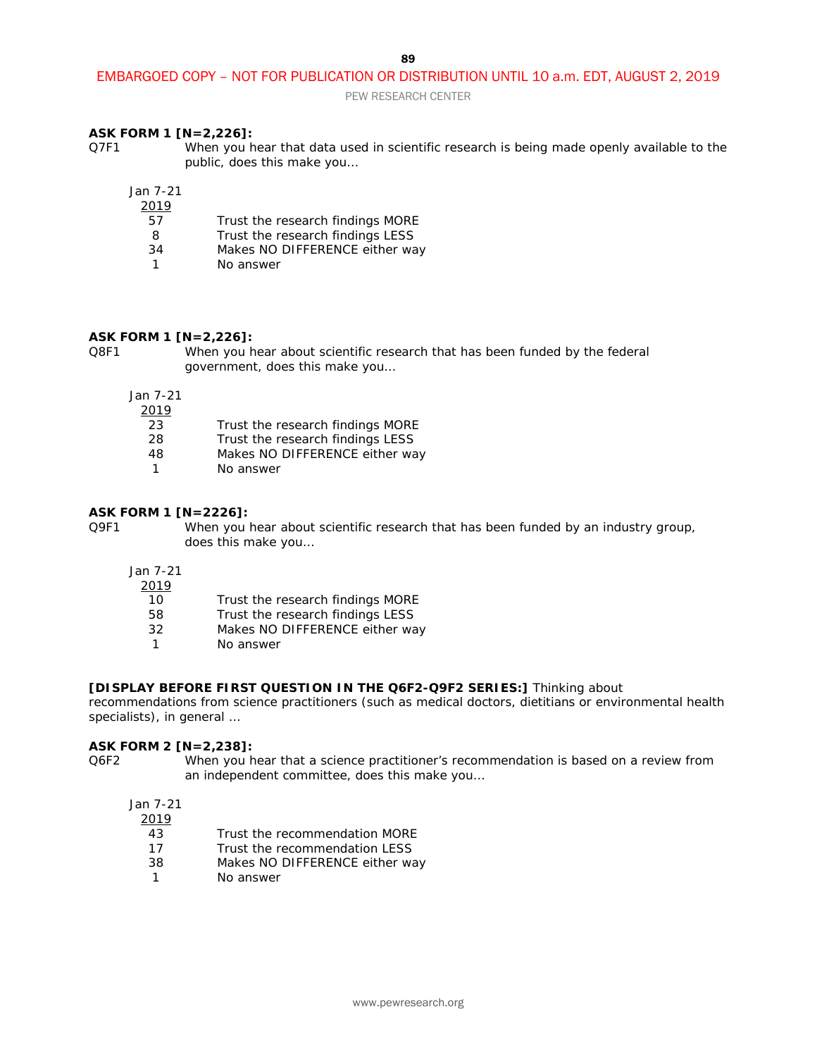PEW RESEARCH CENTER

### **ASK FORM 1 [N=2,226]:**

Q7F1 When you hear that data used in scientific research is being made openly available to the public, does this make you…

Jan 7-21

- 2019
	- 57 Trust the research findings MORE
	- 8 Trust the research findings LESS<br>34 Makes NO DIFFERENCE either wa
	- Makes NO DIFFERENCE either way
	- 1 No answer

#### **ASK FORM 1 [N=2,226]:**

Q8F1 When you hear about scientific research that has been funded by the federal government, does this make you…

Jan 7-21

- $\frac{2019}{23}$ 
	- Trust the research findings MORE
	- 28 Trust the research findings LESS
- 48 Makes NO DIFFERENCE either way
- 1 No answer

### **ASK FORM 1 [N=2226]:**<br> **O9F1** When you

When you hear about scientific research that has been funded by an industry group, does this make you…

Jan 7-21

- 2019 10 Trust the research findings MORE
- 
- 58 Trust the research findings LESS<br>32 Makes NO DIFFERENCE either wa Makes NO DIFFERENCE either way
- 1 No answer

#### **[DISPLAY BEFORE FIRST QUESTION IN THE Q6F2-Q9F2 SERIES:]** Thinking about

recommendations from science practitioners (such as medical doctors, dietitians or environmental health specialists), in general …

#### **ASK FORM 2 [N=2,238]:**

Q6F2 When you hear that a science practitioner's recommendation is based on a review from an independent committee, does this make you…

Jan 7-21

2019

- 43 Trust the recommendation MORE
- 17 Trust the recommendation LESS
- 38 Makes NO DIFFERENCE either way
- 1 No answer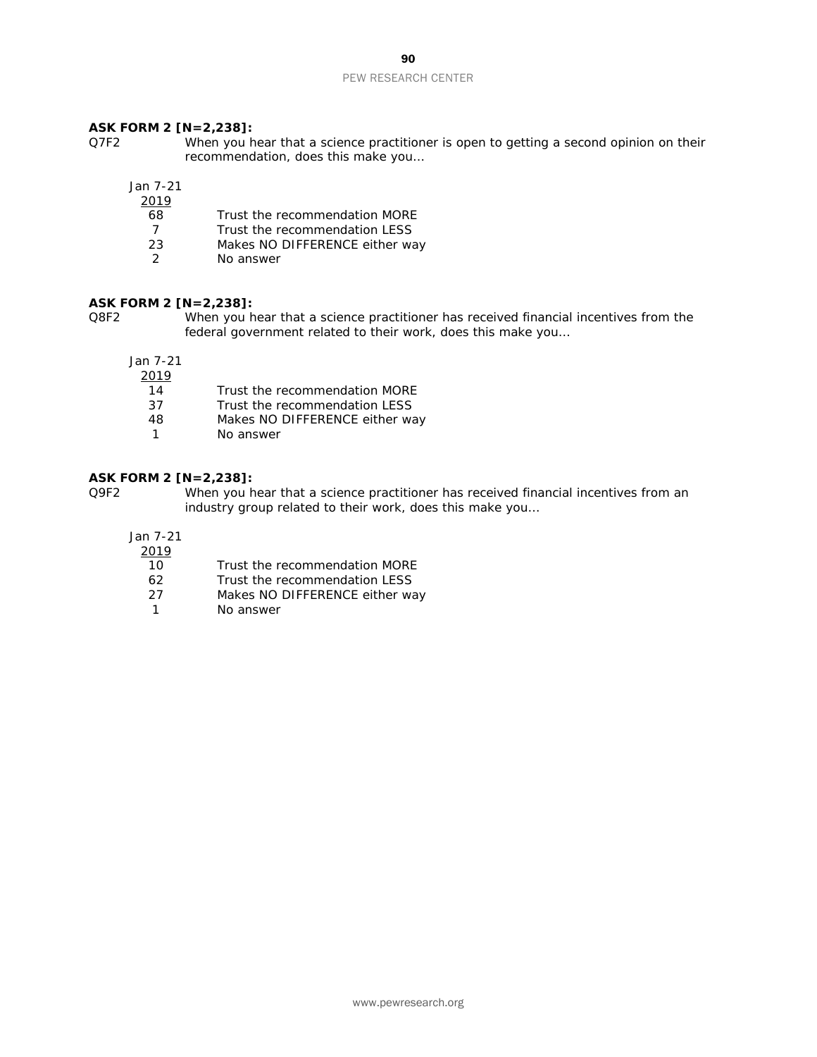### 90

#### PEW RESEARCH CENTER

#### **ASK FORM 2 [N=2,238]:**

Q7F2 When you hear that a science practitioner is open to getting a second opinion on their recommendation, does this make you…

Jan 7-21

| ۰, |  |
|----|--|

- 68 Trust the recommendation MORE<br>7 Trust the recommendation LESS
- 7 Trust the recommendation LESS
- 23 Makes NO DIFFERENCE either way<br>2 Mo answer
- No answer

#### **ASK FORM 2 [N=2,238]:**

Q8F2 When you hear that a science practitioner has received financial incentives from the federal government related to their work, does this make you…

Jan 7-21

| 2019 |                                |
|------|--------------------------------|
| 14   | Trust the recommendation MORE  |
| 37   | Trust the recommendation LESS  |
| 48   | Makes NO DIFFERENCE either way |
| 1    | No answer                      |

#### **ASK FORM 2 [N=2,238]:**

Q9F2 When you hear that a science practitioner has received financial incentives from an industry group related to their work, does this make you…

- $\frac{2019}{10}$
- 10 Trust the recommendation MORE<br>62 Trust the recommendation LESS Trust the recommendation LESS
- 27 Makes NO DIFFERENCE either way
- 1 No answer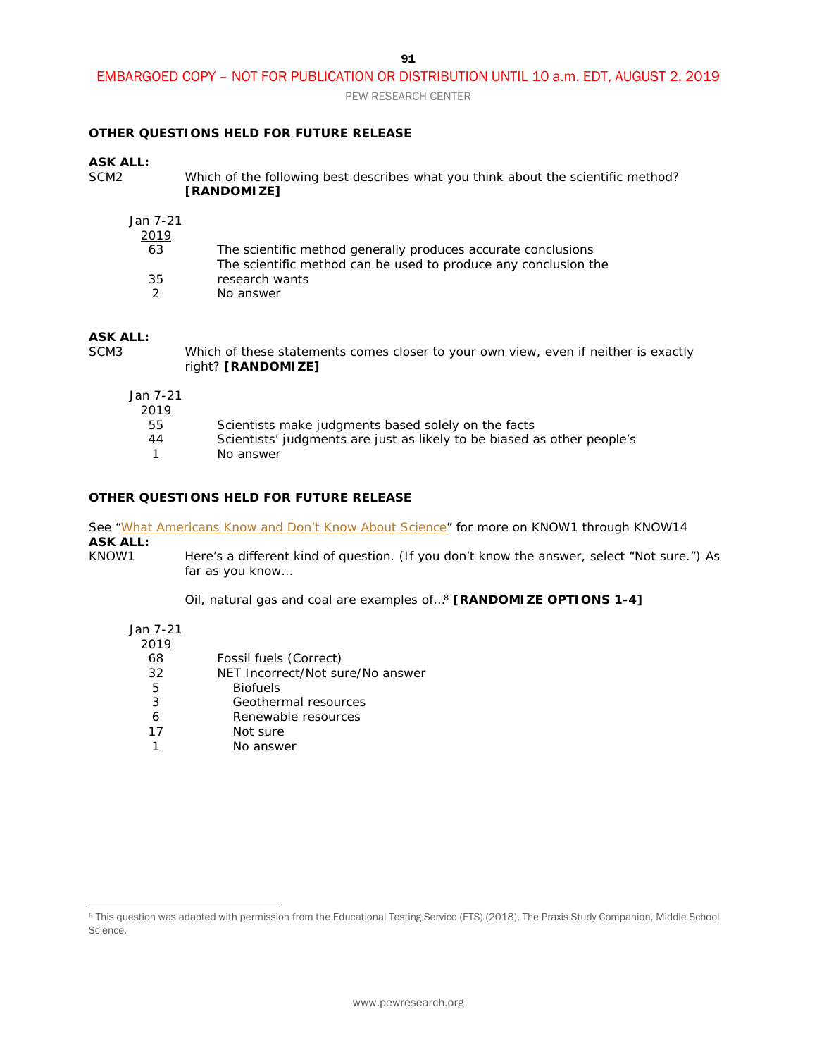PEW RESEARCH CENTER

#### **OTHER QUESTIONS HELD FOR FUTURE RELEASE**

### **ASK ALL:**

Which of the following best describes what you think about the scientific method? **[RANDOMIZE]**

| Jan 7-21      |                                                                                                                                  |
|---------------|----------------------------------------------------------------------------------------------------------------------------------|
| 2019          |                                                                                                                                  |
| 63            | The scientific method generally produces accurate conclusions<br>The scientific method can be used to produce any conclusion the |
| 35            | research wants                                                                                                                   |
| $\mathcal{D}$ | No answer                                                                                                                        |

# **ASK ALL:**

Which of these statements comes closer to your own view, even if neither is exactly right? **[RANDOMIZE]**

| Jan 7-21<br>2019 |                                                                         |
|------------------|-------------------------------------------------------------------------|
| 55               | Scientists make judgments based solely on the facts                     |
| 44               | Scientists' judgments are just as likely to be biased as other people's |
|                  | No answer                                                               |

#### **OTHER QUESTIONS HELD FOR FUTURE RELEASE**

See ["What Americans Know and Don't Know About Science"](https://www.pewresearch.org/science/2019/03/28/what-americans-know-about-science/) for more on KNOW1 through KNOW14 **ASK ALL:**

KNOW1 Here's a different kind of question. (If you don't know the answer, select "Not sure.") As far as you know…

Oil, natural gas and coal are examples of…[8](#page-90-0) **[RANDOMIZE OPTIONS 1-4]**

Jan 7-21

 $\overline{a}$ 

| 2019 |                                  |
|------|----------------------------------|
| 68   | Fossil fuels (Correct)           |
| 32   | NET Incorrect/Not sure/No answer |
| 5    | <b>Biofuels</b>                  |
| 3    | Geothermal resources             |
| 6    | Renewable resources              |
| 17   | Not sure                         |
|      | No answer                        |
|      |                                  |

<span id="page-90-0"></span><sup>8</sup> This question was adapted with permission from the Educational Testing Service (ETS) (2018), The Praxis Study Companion, Middle School Science.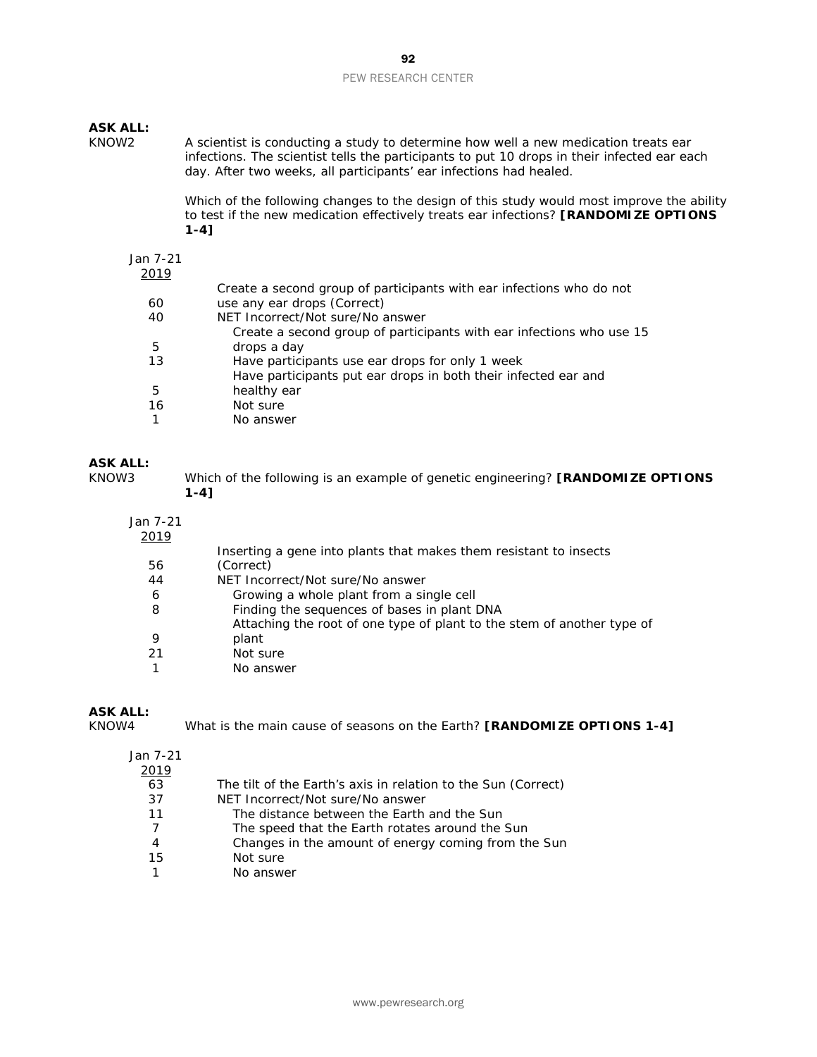### **ASK ALL:**

A scientist is conducting a study to determine how well a new medication treats ear infections. The scientist tells the participants to put 10 drops in their infected ear each day. After two weeks, all participants' ear infections had healed.

> Which of the following changes to the design of this study would most improve the ability to test if the new medication effectively treats ear infections? **[RANDOMIZE OPTIONS 1-4]**

Jan 7-21

| 2019 |                                                                      |
|------|----------------------------------------------------------------------|
|      | Create a second group of participants with ear infections who do not |
| 60   | use any ear drops (Correct)                                          |
| 40   | NET Incorrect/Not sure/No answer                                     |
|      | Create a second group of participants with ear infections who use 15 |
| 5    | drops a day                                                          |
| 13   | Have participants use ear drops for only 1 week                      |
|      | Have participants put ear drops in both their infected ear and       |
| 5    | healthy ear                                                          |
| 16   | Not sure                                                             |
|      | No answer                                                            |
|      |                                                                      |

# **ASK ALL:**

| KNOW3 | Which of the following is an example of genetic engineering? [RANDOMIZE OPTIONS |
|-------|---------------------------------------------------------------------------------|
|       | 1-41                                                                            |

| Jan 7-21<br>2019 |                                                                        |
|------------------|------------------------------------------------------------------------|
|                  | Inserting a gene into plants that makes them resistant to insects      |
| 56               | (Correct)                                                              |
| 44               | NET Incorrect/Not sure/No answer                                       |
| 6                | Growing a whole plant from a single cell                               |
| 8                | Finding the sequences of bases in plant DNA                            |
|                  | Attaching the root of one type of plant to the stem of another type of |
| 9                | plant                                                                  |
| 21               | Not sure                                                               |
|                  | No answer                                                              |

# **ASK ALL:**

What is the main cause of seasons on the Earth? **[RANDOMIZE OPTIONS 1-4]** 

| 2019 |                                                               |
|------|---------------------------------------------------------------|
| 63   | The tilt of the Earth's axis in relation to the Sun (Correct) |
| 37   | NET Incorrect/Not sure/No answer                              |
| 11   | The distance between the Earth and the Sun                    |
| 7    | The speed that the Earth rotates around the Sun               |
| 4    | Changes in the amount of energy coming from the Sun           |
| 15   | Not sure                                                      |
|      | No answer                                                     |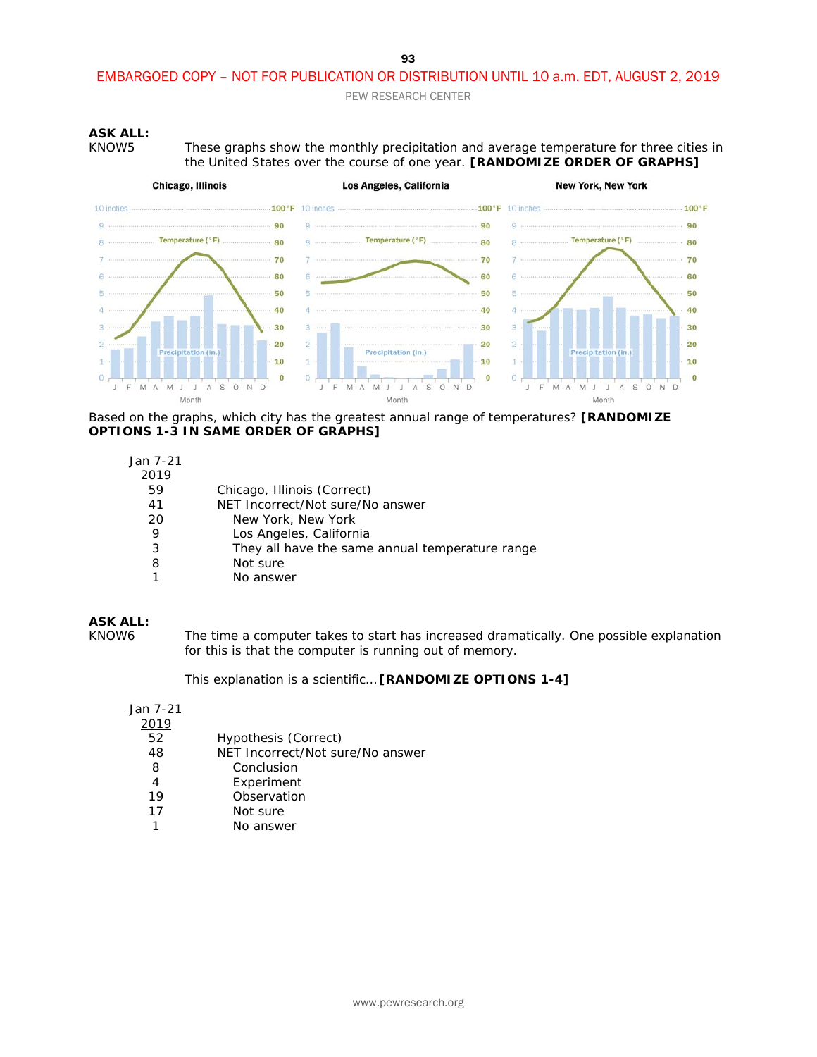PEW RESEARCH CENTER

#### **ASK ALL:**

KNOW5 These graphs show the monthly precipitation and average temperature for three cities in the United States over the course of one year. **[RANDOMIZE ORDER OF GRAPHS]**



Based on the graphs, which city has the greatest annual range of temperatures? **[RANDOMIZE OPTIONS 1-3 IN SAME ORDER OF GRAPHS]**

| Jan 7-21 |                                                 |
|----------|-------------------------------------------------|
| 2019     |                                                 |
| 59       | Chicago, Illinois (Correct)                     |
| 41       | NET Incorrect/Not sure/No answer                |
| 20       | New York, New York                              |
| 9        | Los Angeles, California                         |
| 3        | They all have the same annual temperature range |
| 8        | Not sure                                        |
|          |                                                 |

1 No answer

#### **ASK ALL:**

KNOW6 The time a computer takes to start has increased dramatically. One possible explanation for this is that the computer is running out of memory.

This explanation is a scientific… **[RANDOMIZE OPTIONS 1-4]**

| 2019 |                                  |
|------|----------------------------------|
| 52   | Hypothesis (Correct)             |
| 48   | NET Incorrect/Not sure/No answer |
| 8    | Conclusion                       |
| 4    | Experiment                       |
| 19   | Observation                      |
| 17   | Not sure                         |
|      | No answer                        |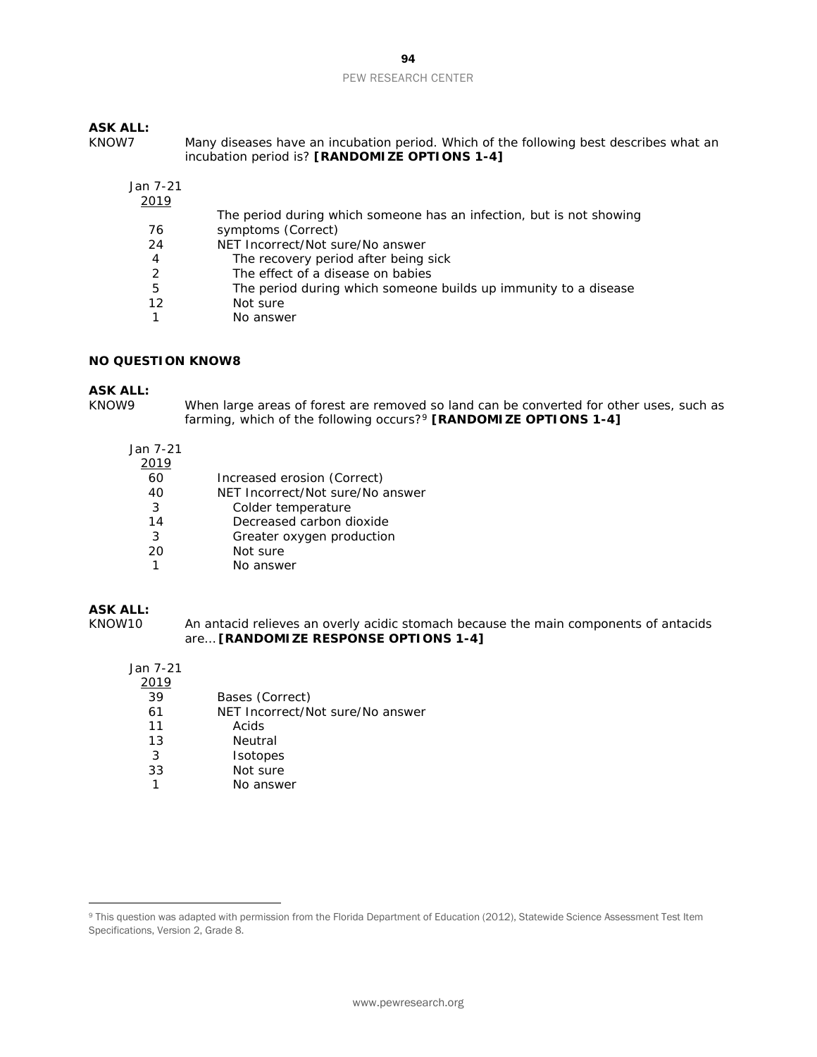### **ASK ALL:**

| KNOW7 | Many diseases have an incubation period. Which of the following best describes what an |
|-------|----------------------------------------------------------------------------------------|
|       | incubation period is? [RANDOMIZE OPTIONS 1-4]                                          |

### Jan 7-21

| 2019 |                                                                      |
|------|----------------------------------------------------------------------|
|      | The period during which someone has an infection, but is not showing |
| 76   | symptoms (Correct)                                                   |
| 24   | NET Incorrect/Not sure/No answer                                     |
| 4    | The recovery period after being sick                                 |
| 2    | The effect of a disease on babies                                    |
| 5    | The period during which someone builds up immunity to a disease      |
| 12   | Not sure                                                             |
|      | No answer                                                            |

#### **NO QUESTION KNOW8**

### **ASK ALL:**

When large areas of forest are removed so land can be converted for other uses, such as farming, which of the following occurs?[9](#page-93-0) **[RANDOMIZE OPTIONS 1-4]**

Jan 7-21

| 2019 |                                  |
|------|----------------------------------|
| 60   | Increased erosion (Correct)      |
| 40   | NET Incorrect/Not sure/No answer |
| 3    | Colder temperature               |
| 14   | Decreased carbon dioxide         |
| 3    | Greater oxygen production        |
| 20   | Not sure                         |
|      | No answer                        |

#### **ASK ALL:**

 $\overline{a}$ 

KNOW10 An antacid relieves an overly acidic stomach because the main components of antacids are… **[RANDOMIZE RESPONSE OPTIONS 1-4]**

| 39 | Bases (Correct)                  |
|----|----------------------------------|
| 61 | NET Incorrect/Not sure/No answer |
| 11 | Acids                            |
| 13 | Neutral                          |
| 3  | <i>I</i> sotopes                 |
| 33 | Not sure                         |
| 1  | No answer                        |

<span id="page-93-0"></span><sup>9</sup> This question was adapted with permission from the Florida Department of Education (2012), Statewide Science Assessment Test Item Specifications, Version 2, Grade 8.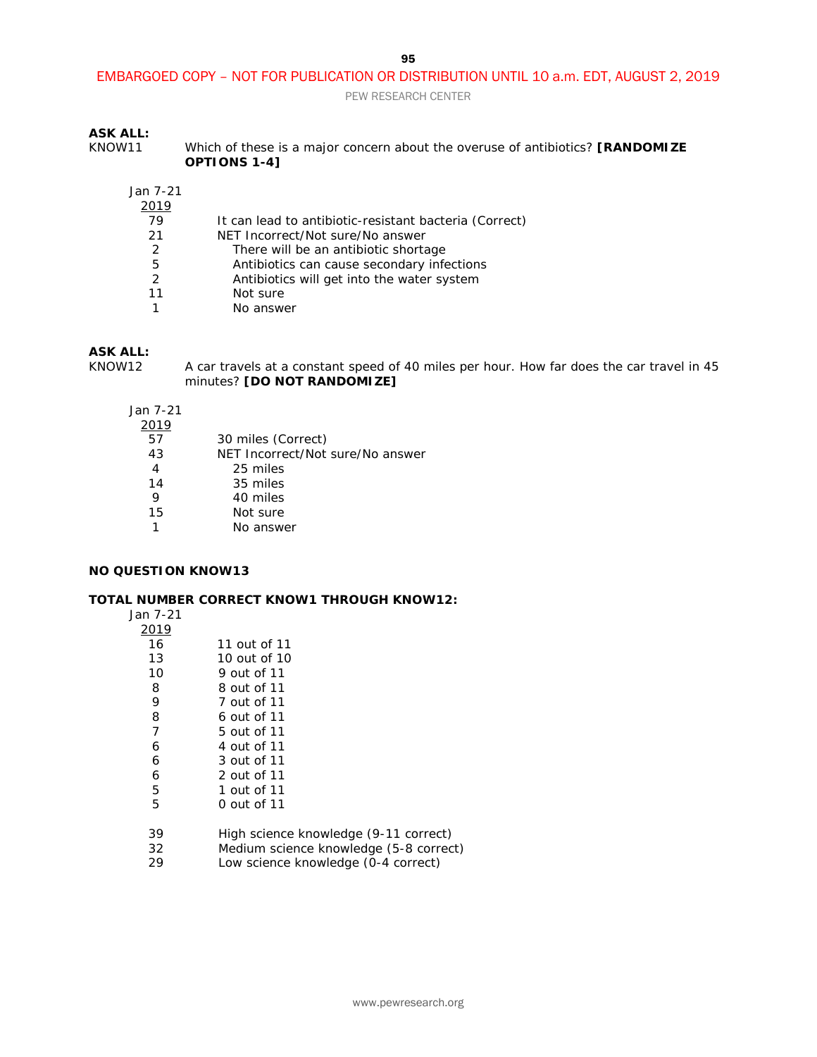PEW RESEARCH CENTER

### **ASK ALL:**

KNOW11 Which of these is a major concern about the overuse of antibiotics? **[RANDOMIZE OPTIONS 1-4]**

| Jan 7-21 |                                                        |
|----------|--------------------------------------------------------|
| 2019     |                                                        |
| 79       | It can lead to antibiotic-resistant bacteria (Correct) |
| 21       | NET Incorrect/Not sure/No answer                       |
| 2        | There will be an antibiotic shortage                   |
| 5        | Antibiotics can cause secondary infections             |
| 2        | Antibiotics will get into the water system             |
| 11       | Not sure                                               |
|          | No answer                                              |

# **ASK ALL:**

KNOW12 A car travels at a constant speed of 40 miles per hour. How far does the car travel in 45 minutes? **[DO NOT RANDOMIZE]**

Jan 7-21

| 2019 |                                  |
|------|----------------------------------|
| 57   | 30 miles (Correct)               |
| 43   | NET Incorrect/Not sure/No answer |
| 4    | 25 miles                         |
| 14   | 35 miles                         |
| 9    | 40 miles                         |
| 15   | Not sure                         |
|      | No answer                        |

#### **NO QUESTION KNOW13**

#### **TOTAL NUMBER CORRECT KNOW1 THROUGH KNOW12:**

| lan |  |
|-----|--|
|     |  |

| 2019 |                                        |
|------|----------------------------------------|
| 16   | 11 out of 11                           |
| 13   | 10 out of 10                           |
| 10   | 9 out of 11                            |
| 8    | 8 out of 11                            |
| 9    | 7 out of 11                            |
| 8    | 6 out of 11                            |
| 7    | 5 out of 11                            |
| 6    | 4 out of 11                            |
| 6    | 3 out of 11                            |
| 6    | 2 out of 11                            |
| 5    | 1 out of 11                            |
| 5    | 0 out of 11                            |
| 39   | High science knowledge (9-11 correct)  |
| 32   | Medium science knowledge (5-8 correct) |
| 29   | Low science knowledge (0-4 correct)    |
|      |                                        |